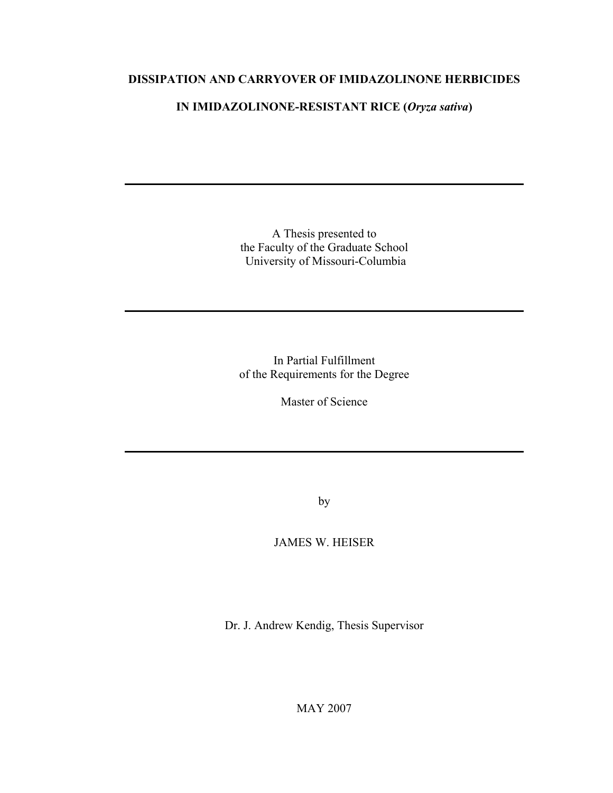# **DISSIPATION AND CARRYOVER OF IMIDAZOLINONE HERBICIDES**

# **IN IMIDAZOLINONE-RESISTANT RICE (***Oryza sativa***)**

A Thesis presented to the Faculty of the Graduate School University of Missouri-Columbia

In Partial Fulfillment of the Requirements for the Degree

Master of Science

by

# JAMES W. HEISER

Dr. J. Andrew Kendig, Thesis Supervisor

MAY 2007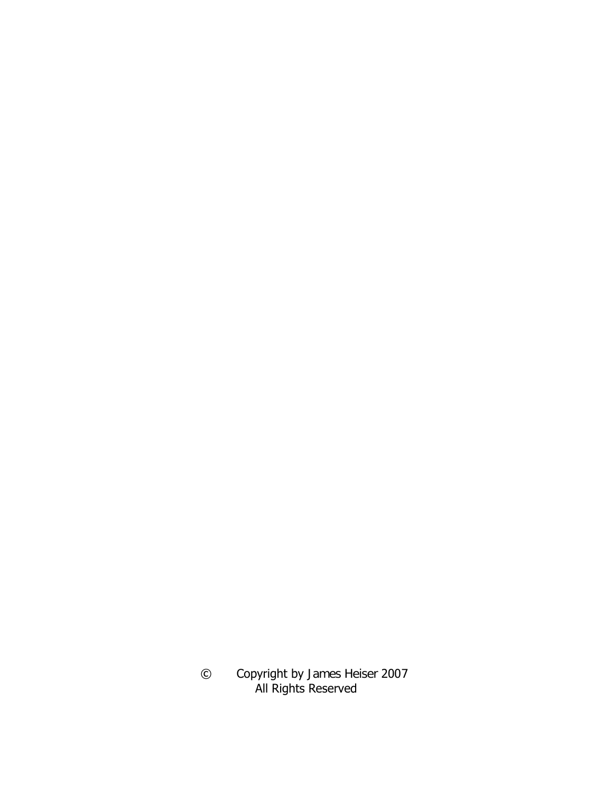© Copyright by James Heiser 2007 All Rights Reserved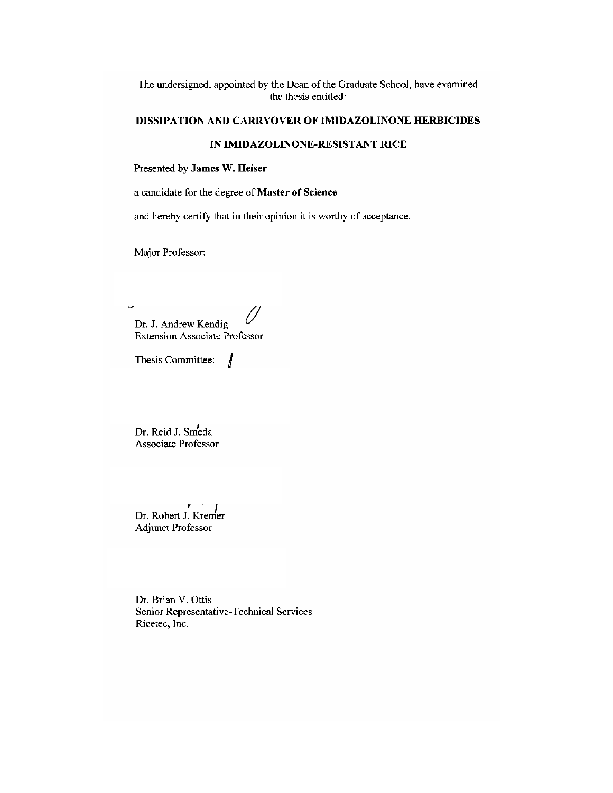The undersigned, appointed by the Dean of the Graduate School, have examined the thesis entitled:

#### DISSIPATION AND CARRYOVER OF IMIDAZOLINONE HERBICIDES

## IN IMIDAZOLINONE-RESISTANT RICE

Presented by James W. Heiser

a candidate for the degree of Master of Science

and hereby certify that in their opinion it is worthy of acceptance.

Major Professor:

Dr. J. Andrew Kendig **Extension Associate Professor** 

Thesis Committee: J

Dr. Reid J. Smeda Associate Professor

Dr. Robert J. Kremer Adjunct Professor

Dr. Brian V. Ottis Senior Representative-Technical Services Ricetec, Inc.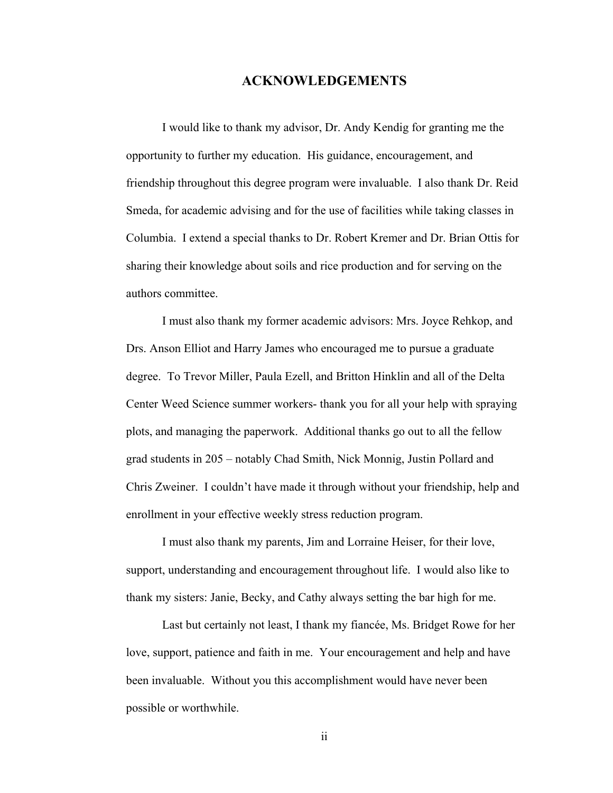# **ACKNOWLEDGEMENTS**

 I would like to thank my advisor, Dr. Andy Kendig for granting me the opportunity to further my education. His guidance, encouragement, and friendship throughout this degree program were invaluable. I also thank Dr. Reid Smeda, for academic advising and for the use of facilities while taking classes in Columbia. I extend a special thanks to Dr. Robert Kremer and Dr. Brian Ottis for sharing their knowledge about soils and rice production and for serving on the authors committee.

 I must also thank my former academic advisors: Mrs. Joyce Rehkop, and Drs. Anson Elliot and Harry James who encouraged me to pursue a graduate degree. To Trevor Miller, Paula Ezell, and Britton Hinklin and all of the Delta Center Weed Science summer workers- thank you for all your help with spraying plots, and managing the paperwork. Additional thanks go out to all the fellow grad students in 205 – notably Chad Smith, Nick Monnig, Justin Pollard and Chris Zweiner. I couldn't have made it through without your friendship, help and enrollment in your effective weekly stress reduction program.

 I must also thank my parents, Jim and Lorraine Heiser, for their love, support, understanding and encouragement throughout life. I would also like to thank my sisters: Janie, Becky, and Cathy always setting the bar high for me.

 Last but certainly not least, I thank my fiancée, Ms. Bridget Rowe for her love, support, patience and faith in me. Your encouragement and help and have been invaluable. Without you this accomplishment would have never been possible or worthwhile.

ii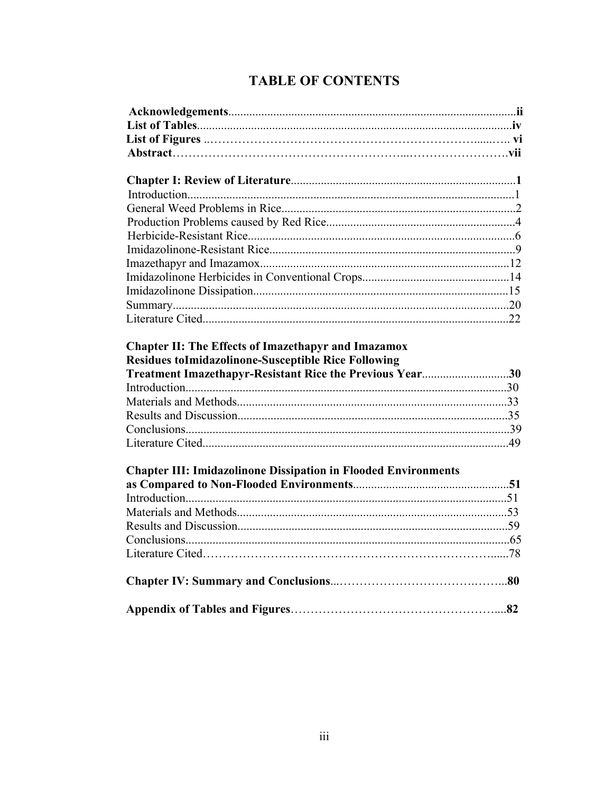# **TABLE OF CONTENTS**

| <b>Chapter II: The Effects of Imazethapyr and Imazamox</b><br><b>Residues toImidazolinone-Susceptible Rice Following</b> |  |
|--------------------------------------------------------------------------------------------------------------------------|--|
| Treatment Imazethapyr-Resistant Rice the Previous Year30                                                                 |  |
|                                                                                                                          |  |
|                                                                                                                          |  |
|                                                                                                                          |  |
|                                                                                                                          |  |
|                                                                                                                          |  |
| <b>Chapter III: Imidazolinone Dissipation in Flooded Environments</b>                                                    |  |
|                                                                                                                          |  |
|                                                                                                                          |  |
|                                                                                                                          |  |
|                                                                                                                          |  |
|                                                                                                                          |  |
|                                                                                                                          |  |
|                                                                                                                          |  |
|                                                                                                                          |  |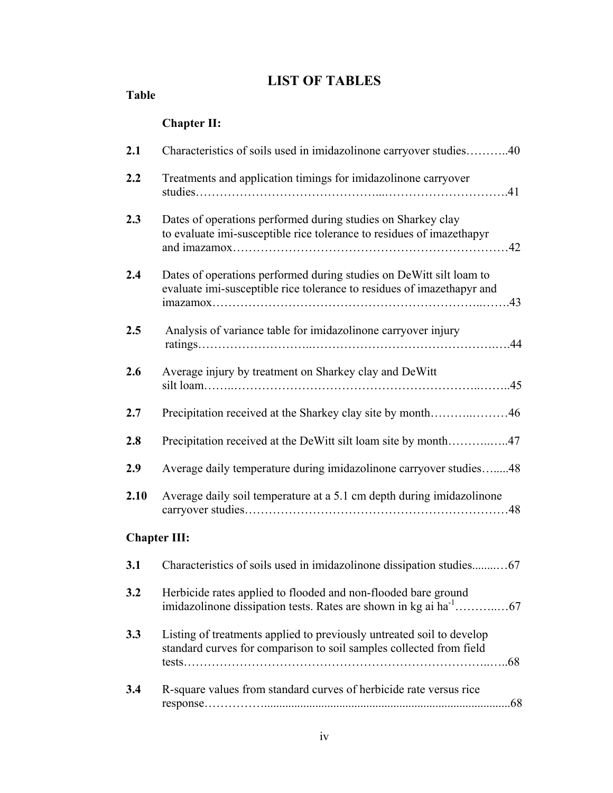# **LIST OF TABLES**

**Table** 

|                     | <b>Chapter II:</b>                                                                                                                            |  |
|---------------------|-----------------------------------------------------------------------------------------------------------------------------------------------|--|
| 2.1                 | Characteristics of soils used in imidazolinone carryover studies40                                                                            |  |
| 2.2                 | Treatments and application timings for imidazolinone carryover                                                                                |  |
| 2.3                 | Dates of operations performed during studies on Sharkey clay<br>to evaluate imi-susceptible rice tolerance to residues of imazethapyr         |  |
| 2.4                 | Dates of operations performed during studies on DeWitt silt loam to<br>evaluate imi-susceptible rice tolerance to residues of imazethapyr and |  |
| 2.5                 | Analysis of variance table for imidazolinone carryover injury                                                                                 |  |
| 2.6                 | Average injury by treatment on Sharkey clay and DeWitt                                                                                        |  |
| 2.7                 |                                                                                                                                               |  |
| 2.8                 | Precipitation received at the DeWitt silt loam site by month47                                                                                |  |
| 2.9                 | Average daily temperature during imidazolinone carryover studies48                                                                            |  |
| 2.10                | Average daily soil temperature at a 5.1 cm depth during imidazolinone                                                                         |  |
| <b>Chapter III:</b> |                                                                                                                                               |  |
| 3.1                 | Characteristics of soils used in imidazolinone dissipation studies67                                                                          |  |
| 3.2                 | Herbicide rates applied to flooded and non-flooded bare ground                                                                                |  |
| 3.3                 | Listing of treatments applied to previously untreated soil to develop<br>standard curves for comparison to soil samples collected from field  |  |
|                     |                                                                                                                                               |  |

**3.4** R-square values from standard curves of herbicide rate versus rice response……………..................................................................................68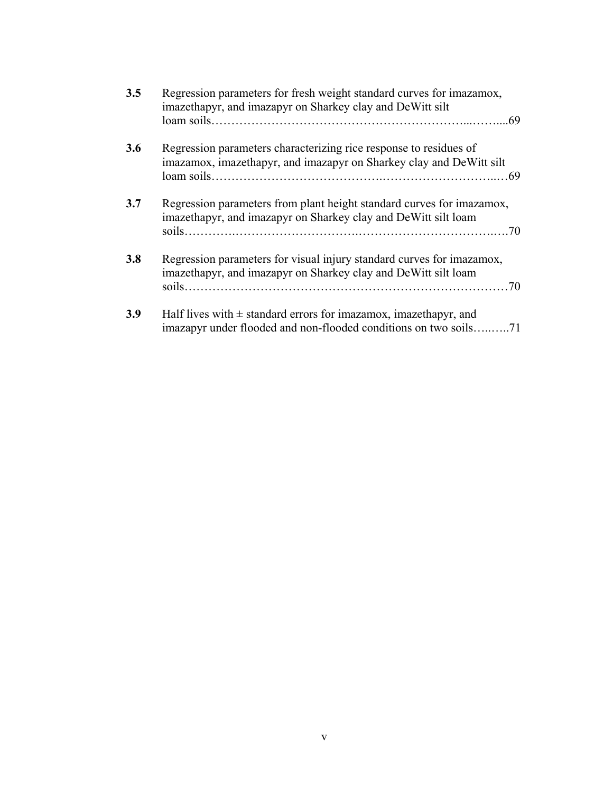| 3.5 | Regression parameters for fresh weight standard curves for imazamox,<br>imazethapyr, and imazapyr on Sharkey clay and DeWitt silt            |
|-----|----------------------------------------------------------------------------------------------------------------------------------------------|
|     |                                                                                                                                              |
| 3.6 | Regression parameters characterizing rice response to residues of<br>imazamox, imazethapyr, and imazapyr on Sharkey clay and DeWitt silt     |
| 3.7 | Regression parameters from plant height standard curves for imazamox,<br>imazethapyr, and imazapyr on Sharkey clay and DeWitt silt loam      |
| 3.8 | Regression parameters for visual injury standard curves for imazamox,<br>imazethapyr, and imazapyr on Sharkey clay and DeWitt silt loam      |
| 3.9 | Half lives with $\pm$ standard errors for imazamox, imazethapyr, and<br>imazapyr under flooded and non-flooded conditions on two soils<br>71 |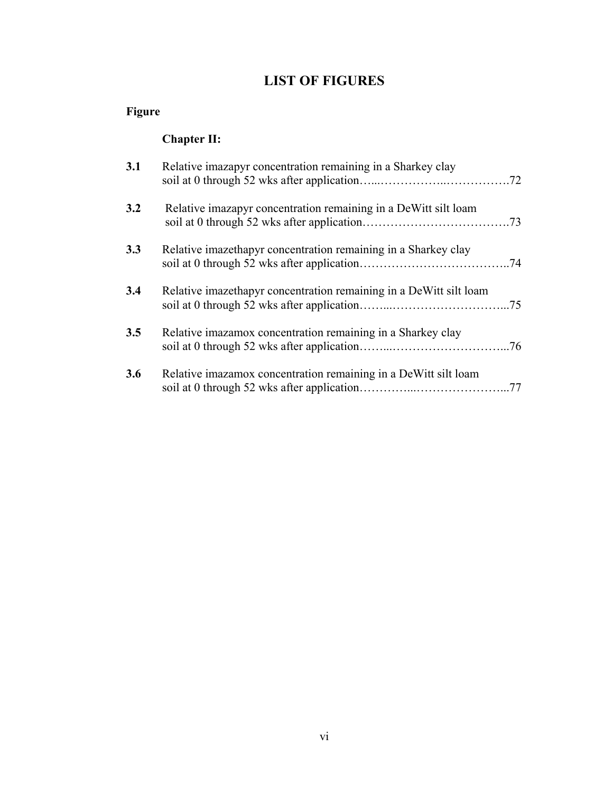# **LIST OF FIGURES**

# **Figure**

# **Chapter II:**

| 3.1 | Relative imazapyr concentration remaining in a Sharkey clay        | .72 |
|-----|--------------------------------------------------------------------|-----|
| 3.2 | Relative imazapyr concentration remaining in a DeWitt silt loam    |     |
| 3.3 | Relative imazethapyr concentration remaining in a Sharkey clay     |     |
| 3.4 | Relative imazethapyr concentration remaining in a DeWitt silt loam |     |
| 3.5 | Relative imazamox concentration remaining in a Sharkey clay        | .76 |
| 3.6 | Relative imazamox concentration remaining in a DeWitt silt loam    |     |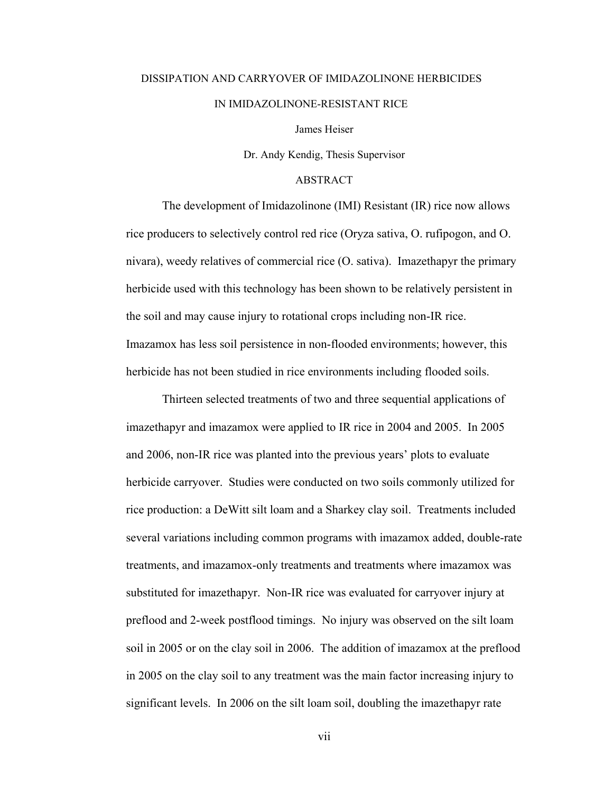# DISSIPATION AND CARRYOVER OF IMIDAZOLINONE HERBICIDES IN IMIDAZOLINONE-RESISTANT RICE

James Heiser

Dr. Andy Kendig, Thesis Supervisor

#### ABSTRACT

 The development of Imidazolinone (IMI) Resistant (IR) rice now allows rice producers to selectively control red rice (Oryza sativa, O. rufipogon, and O. nivara), weedy relatives of commercial rice (O. sativa). Imazethapyr the primary herbicide used with this technology has been shown to be relatively persistent in the soil and may cause injury to rotational crops including non-IR rice. Imazamox has less soil persistence in non-flooded environments; however, this herbicide has not been studied in rice environments including flooded soils.

 Thirteen selected treatments of two and three sequential applications of imazethapyr and imazamox were applied to IR rice in 2004 and 2005. In 2005 and 2006, non-IR rice was planted into the previous years' plots to evaluate herbicide carryover. Studies were conducted on two soils commonly utilized for rice production: a DeWitt silt loam and a Sharkey clay soil. Treatments included several variations including common programs with imazamox added, double-rate treatments, and imazamox-only treatments and treatments where imazamox was substituted for imazethapyr. Non-IR rice was evaluated for carryover injury at preflood and 2-week postflood timings. No injury was observed on the silt loam soil in 2005 or on the clay soil in 2006. The addition of imazamox at the preflood in 2005 on the clay soil to any treatment was the main factor increasing injury to significant levels. In 2006 on the silt loam soil, doubling the imazethapyr rate

vii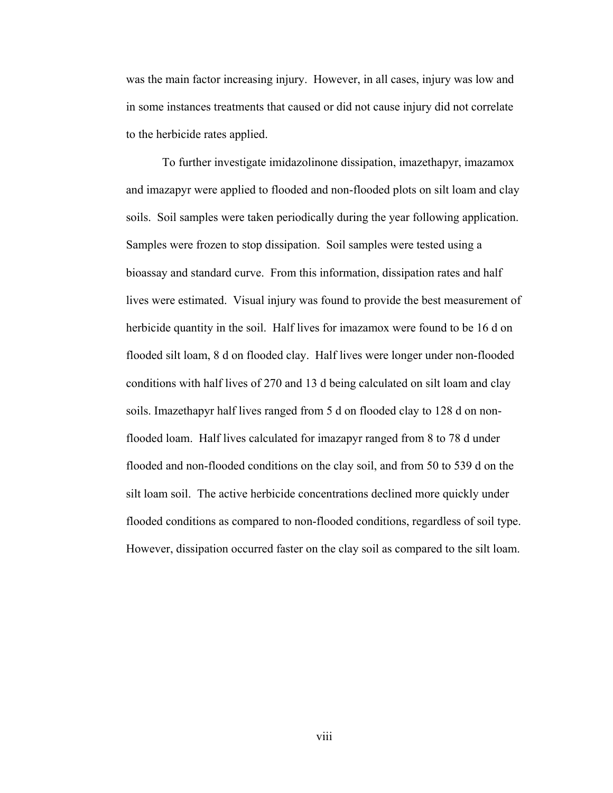was the main factor increasing injury. However, in all cases, injury was low and in some instances treatments that caused or did not cause injury did not correlate to the herbicide rates applied.

 To further investigate imidazolinone dissipation, imazethapyr, imazamox and imazapyr were applied to flooded and non-flooded plots on silt loam and clay soils. Soil samples were taken periodically during the year following application. Samples were frozen to stop dissipation. Soil samples were tested using a bioassay and standard curve. From this information, dissipation rates and half lives were estimated. Visual injury was found to provide the best measurement of herbicide quantity in the soil. Half lives for imazamox were found to be 16 d on flooded silt loam, 8 d on flooded clay. Half lives were longer under non-flooded conditions with half lives of 270 and 13 d being calculated on silt loam and clay soils. Imazethapyr half lives ranged from 5 d on flooded clay to 128 d on nonflooded loam. Half lives calculated for imazapyr ranged from 8 to 78 d under flooded and non-flooded conditions on the clay soil, and from 50 to 539 d on the silt loam soil. The active herbicide concentrations declined more quickly under flooded conditions as compared to non-flooded conditions, regardless of soil type. However, dissipation occurred faster on the clay soil as compared to the silt loam.

viii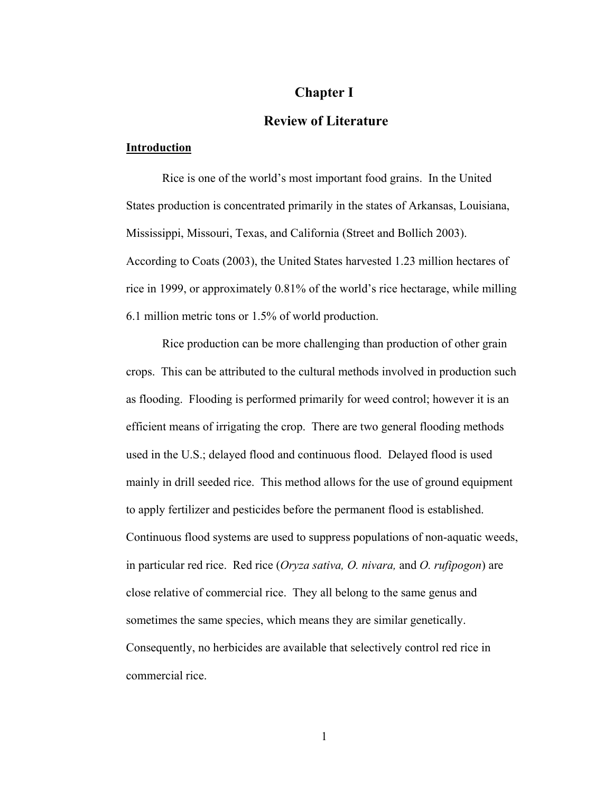# **Chapter I**

# **Review of Literature**

## **Introduction**

 Rice is one of the world's most important food grains. In the United States production is concentrated primarily in the states of Arkansas, Louisiana, Mississippi, Missouri, Texas, and California (Street and Bollich 2003). According to Coats (2003), the United States harvested 1.23 million hectares of rice in 1999, or approximately 0.81% of the world's rice hectarage, while milling 6.1 million metric tons or 1.5% of world production.

 Rice production can be more challenging than production of other grain crops. This can be attributed to the cultural methods involved in production such as flooding. Flooding is performed primarily for weed control; however it is an efficient means of irrigating the crop. There are two general flooding methods used in the U.S.; delayed flood and continuous flood. Delayed flood is used mainly in drill seeded rice. This method allows for the use of ground equipment to apply fertilizer and pesticides before the permanent flood is established. Continuous flood systems are used to suppress populations of non-aquatic weeds, in particular red rice. Red rice (*Oryza sativa, O. nivara,* and *O. rufipogon*) are close relative of commercial rice. They all belong to the same genus and sometimes the same species, which means they are similar genetically. Consequently, no herbicides are available that selectively control red rice in commercial rice.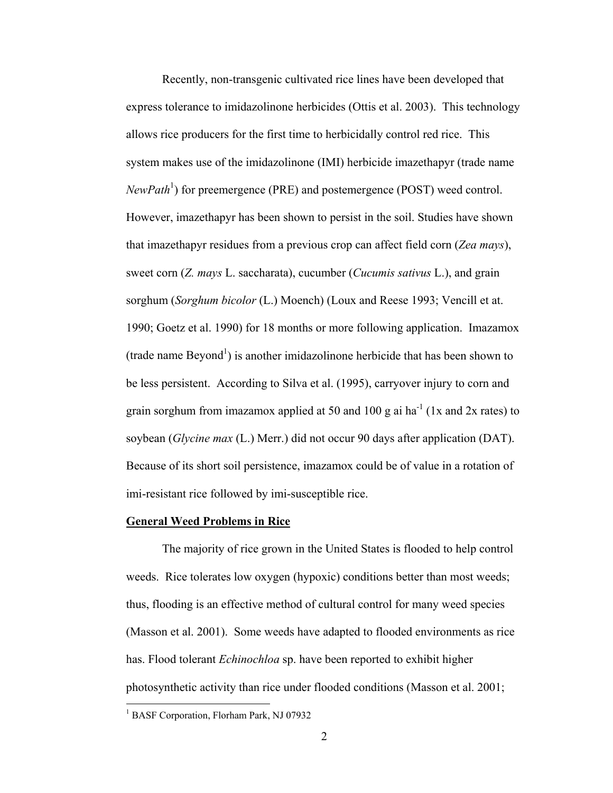Recently, non-transgenic cultivated rice lines have been developed that express tolerance to imidazolinone herbicides (Ottis et al. 2003). This technology allows rice producers for the first time to herbicidally control red rice. This system makes use of the imidazolinone (IMI) herbicide imazethapyr (trade name *NewPath*<sup>1</sup>) for preemergence (PRE) and postemergence (POST) weed control. However, imazethapyr has been shown to persist in the soil. Studies have shown that imazethapyr residues from a previous crop can affect field corn (*Zea mays*), sweet corn (*Z. mays* L. saccharata), cucumber (*Cucumis sativus* L.), and grain sorghum (*Sorghum bicolor* (L.) Moench) (Loux and Reese 1993; Vencill et at. 1990; Goetz et al. 1990) for 18 months or more following application. Imazamox  $(trade name Beyond<sup>1</sup>)$  is another imidazolinone herbicide that has been shown to be less persistent. According to Silva et al. (1995), carryover injury to corn and grain sorghum from imazamox applied at 50 and 100 g ai ha<sup>-1</sup> (1x and 2x rates) to soybean (*Glycine max* (L.) Merr.) did not occur 90 days after application (DAT). Because of its short soil persistence, imazamox could be of value in a rotation of imi-resistant rice followed by imi-susceptible rice.

#### **General Weed Problems in Rice**

 The majority of rice grown in the United States is flooded to help control weeds. Rice tolerates low oxygen (hypoxic) conditions better than most weeds; thus, flooding is an effective method of cultural control for many weed species (Masson et al. 2001). Some weeds have adapted to flooded environments as rice has. Flood tolerant *Echinochloa* sp. have been reported to exhibit higher photosynthetic activity than rice under flooded conditions (Masson et al. 2001;

 $\overline{a}$ 

<sup>&</sup>lt;sup>1</sup> BASF Corporation, Florham Park, NJ 07932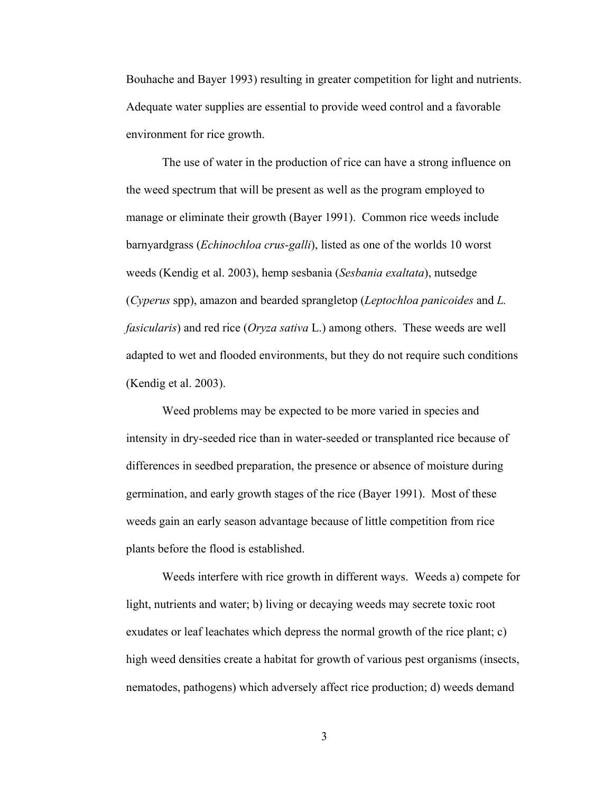Bouhache and Bayer 1993) resulting in greater competition for light and nutrients. Adequate water supplies are essential to provide weed control and a favorable environment for rice growth.

The use of water in the production of rice can have a strong influence on the weed spectrum that will be present as well as the program employed to manage or eliminate their growth (Bayer 1991). Common rice weeds include barnyardgrass (*Echinochloa crus-galli*), listed as one of the worlds 10 worst weeds (Kendig et al. 2003), hemp sesbania (*Sesbania exaltata*), nutsedge (*Cyperus* spp), amazon and bearded sprangletop (*Leptochloa panicoides* and *L. fasicularis*) and red rice (*Oryza sativa* L.) among others. These weeds are well adapted to wet and flooded environments, but they do not require such conditions (Kendig et al. 2003).

Weed problems may be expected to be more varied in species and intensity in dry-seeded rice than in water-seeded or transplanted rice because of differences in seedbed preparation, the presence or absence of moisture during germination, and early growth stages of the rice (Bayer 1991). Most of these weeds gain an early season advantage because of little competition from rice plants before the flood is established.

Weeds interfere with rice growth in different ways. Weeds a) compete for light, nutrients and water; b) living or decaying weeds may secrete toxic root exudates or leaf leachates which depress the normal growth of the rice plant; c) high weed densities create a habitat for growth of various pest organisms (insects, nematodes, pathogens) which adversely affect rice production; d) weeds demand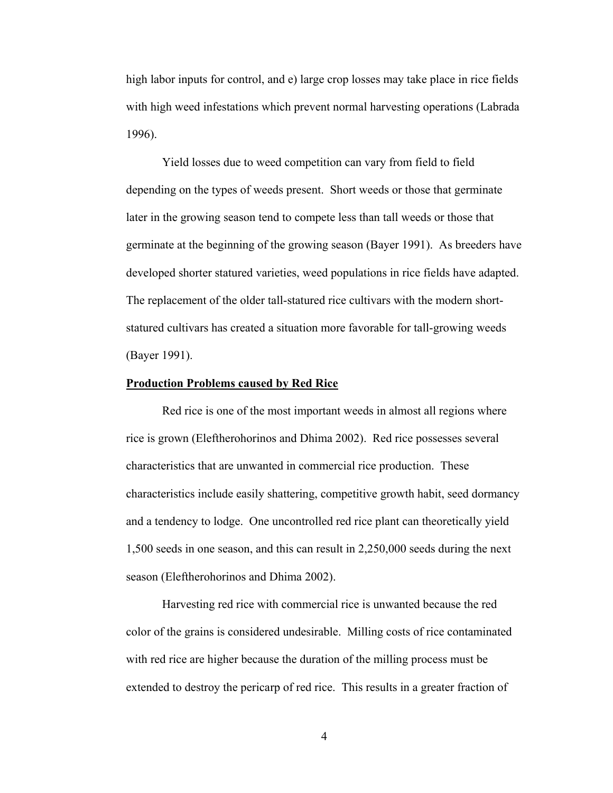high labor inputs for control, and e) large crop losses may take place in rice fields with high weed infestations which prevent normal harvesting operations (Labrada 1996).

 Yield losses due to weed competition can vary from field to field depending on the types of weeds present. Short weeds or those that germinate later in the growing season tend to compete less than tall weeds or those that germinate at the beginning of the growing season (Bayer 1991). As breeders have developed shorter statured varieties, weed populations in rice fields have adapted. The replacement of the older tall-statured rice cultivars with the modern shortstatured cultivars has created a situation more favorable for tall-growing weeds (Bayer 1991).

#### **Production Problems caused by Red Rice**

Red rice is one of the most important weeds in almost all regions where rice is grown (Eleftherohorinos and Dhima 2002). Red rice possesses several characteristics that are unwanted in commercial rice production. These characteristics include easily shattering, competitive growth habit, seed dormancy and a tendency to lodge. One uncontrolled red rice plant can theoretically yield 1,500 seeds in one season, and this can result in 2,250,000 seeds during the next season (Eleftherohorinos and Dhima 2002).

Harvesting red rice with commercial rice is unwanted because the red color of the grains is considered undesirable. Milling costs of rice contaminated with red rice are higher because the duration of the milling process must be extended to destroy the pericarp of red rice. This results in a greater fraction of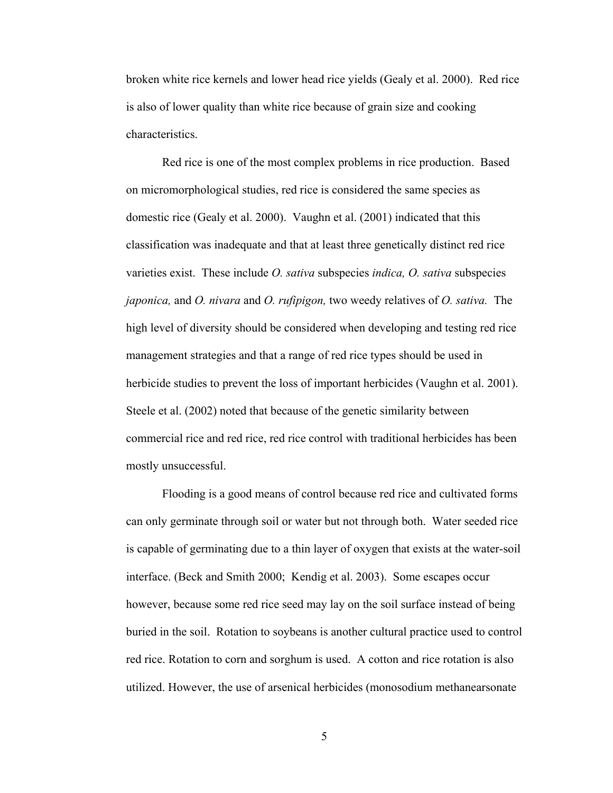broken white rice kernels and lower head rice yields (Gealy et al. 2000). Red rice is also of lower quality than white rice because of grain size and cooking characteristics.

Red rice is one of the most complex problems in rice production. Based on micromorphological studies, red rice is considered the same species as domestic rice (Gealy et al. 2000). Vaughn et al. (2001) indicated that this classification was inadequate and that at least three genetically distinct red rice varieties exist. These include *O. sativa* subspecies *indica, O. sativa* subspecies *japonica,* and *O. nivara* and *O. rufipigon,* two weedy relatives of *O. sativa.* The high level of diversity should be considered when developing and testing red rice management strategies and that a range of red rice types should be used in herbicide studies to prevent the loss of important herbicides (Vaughn et al. 2001). Steele et al. (2002) noted that because of the genetic similarity between commercial rice and red rice, red rice control with traditional herbicides has been mostly unsuccessful.

Flooding is a good means of control because red rice and cultivated forms can only germinate through soil or water but not through both. Water seeded rice is capable of germinating due to a thin layer of oxygen that exists at the water-soil interface. (Beck and Smith 2000; Kendig et al. 2003). Some escapes occur however, because some red rice seed may lay on the soil surface instead of being buried in the soil. Rotation to soybeans is another cultural practice used to control red rice. Rotation to corn and sorghum is used. A cotton and rice rotation is also utilized. However, the use of arsenical herbicides (monosodium methanearsonate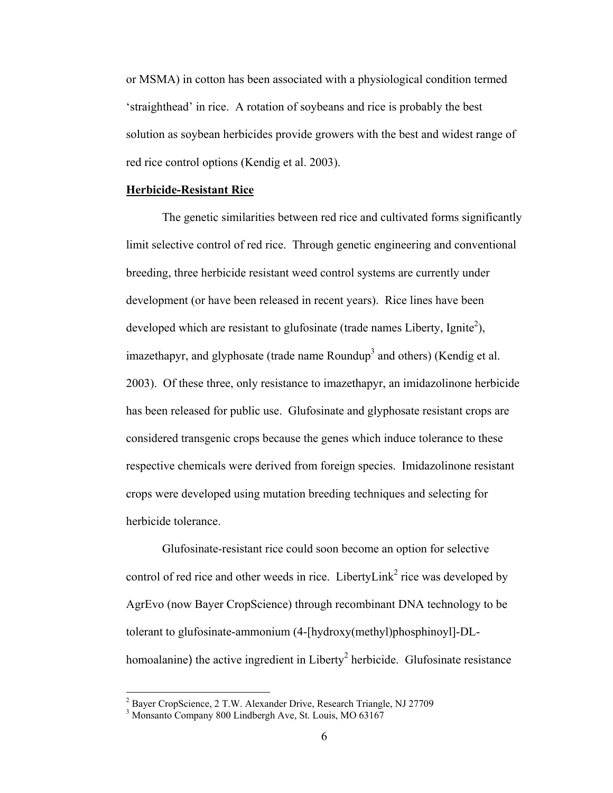or MSMA) in cotton has been associated with a physiological condition termed 'straighthead' in rice. A rotation of soybeans and rice is probably the best solution as soybean herbicides provide growers with the best and widest range of red rice control options (Kendig et al. 2003).

## **Herbicide-Resistant Rice**

The genetic similarities between red rice and cultivated forms significantly limit selective control of red rice. Through genetic engineering and conventional breeding, three herbicide resistant weed control systems are currently under development (or have been released in recent years). Rice lines have been developed which are resistant to glufosinate (trade names Liberty, Ignite<sup>2</sup>), imazethapyr, and glyphosate (trade name Roundup<sup>3</sup> and others) (Kendig et al. 2003). Of these three, only resistance to imazethapyr, an imidazolinone herbicide has been released for public use. Glufosinate and glyphosate resistant crops are considered transgenic crops because the genes which induce tolerance to these respective chemicals were derived from foreign species. Imidazolinone resistant crops were developed using mutation breeding techniques and selecting for herbicide tolerance.

Glufosinate-resistant rice could soon become an option for selective control of red rice and other weeds in rice. Liberty Link<sup>2</sup> rice was developed by AgrEvo (now Bayer CropScience) through recombinant DNA technology to be tolerant to glufosinate-ammonium (4-[hydroxy(methyl)phosphinoyl]-DLhomoalanine) the active ingredient in Liberty<sup>2</sup> herbicide. Glufosinate resistance

 $\overline{a}$ 

<sup>&</sup>lt;sup>2</sup> Bayer CropScience, 2 T.W. Alexander Drive, Research Triangle, NJ 27709

<sup>3</sup> Monsanto Company 800 Lindbergh Ave, St. Louis, MO 63167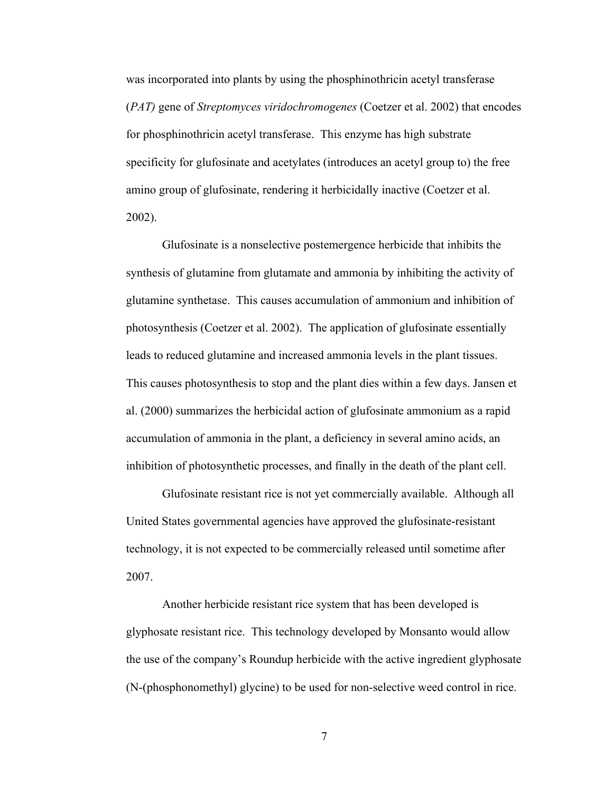was incorporated into plants by using the phosphinothricin acetyl transferase (*PAT)* gene of *Streptomyces viridochromogenes* (Coetzer et al. 2002) that encodes for phosphinothricin acetyl transferase. This enzyme has high substrate specificity for glufosinate and acetylates (introduces an acetyl group to) the free amino group of glufosinate, rendering it herbicidally inactive (Coetzer et al. 2002).

Glufosinate is a nonselective postemergence herbicide that inhibits the synthesis of glutamine from glutamate and ammonia by inhibiting the activity of glutamine synthetase. This causes accumulation of ammonium and inhibition of photosynthesis (Coetzer et al. 2002). The application of glufosinate essentially leads to reduced glutamine and increased ammonia levels in the plant tissues. This causes photosynthesis to stop and the plant dies within a few days. Jansen et al. (2000) summarizes the herbicidal action of glufosinate ammonium as a rapid accumulation of ammonia in the plant, a deficiency in several amino acids, an inhibition of photosynthetic processes, and finally in the death of the plant cell.

Glufosinate resistant rice is not yet commercially available. Although all United States governmental agencies have approved the glufosinate-resistant technology, it is not expected to be commercially released until sometime after 2007.

Another herbicide resistant rice system that has been developed is glyphosate resistant rice. This technology developed by Monsanto would allow the use of the company's Roundup herbicide with the active ingredient glyphosate (N-(phosphonomethyl) glycine) to be used for non-selective weed control in rice.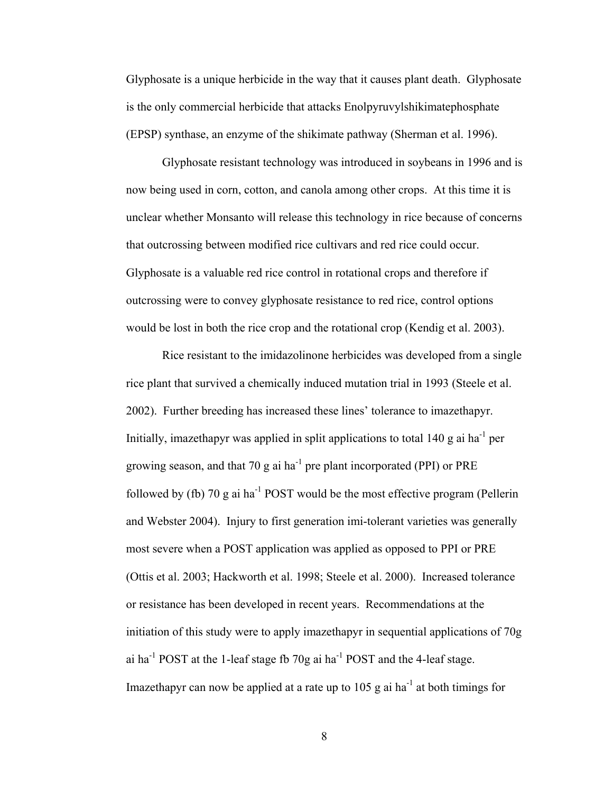Glyphosate is a unique herbicide in the way that it causes plant death. Glyphosate is the only commercial herbicide that attacks Enolpyruvylshikimatephosphate (EPSP) synthase, an enzyme of the shikimate pathway (Sherman et al. 1996).

Glyphosate resistant technology was introduced in soybeans in 1996 and is now being used in corn, cotton, and canola among other crops. At this time it is unclear whether Monsanto will release this technology in rice because of concerns that outcrossing between modified rice cultivars and red rice could occur. Glyphosate is a valuable red rice control in rotational crops and therefore if outcrossing were to convey glyphosate resistance to red rice, control options would be lost in both the rice crop and the rotational crop (Kendig et al. 2003).

Rice resistant to the imidazolinone herbicides was developed from a single rice plant that survived a chemically induced mutation trial in 1993 (Steele et al. 2002). Further breeding has increased these lines' tolerance to imazethapyr. Initially, imazethapyr was applied in split applications to total 140 g ai ha<sup>-1</sup> per growing season, and that 70 g ai  $ha^{-1}$  pre plant incorporated (PPI) or PRE followed by (fb) 70 g ai  $ha^{-1}$  POST would be the most effective program (Pellerin and Webster 2004). Injury to first generation imi-tolerant varieties was generally most severe when a POST application was applied as opposed to PPI or PRE (Ottis et al. 2003; Hackworth et al. 1998; Steele et al. 2000). Increased tolerance or resistance has been developed in recent years. Recommendations at the initiation of this study were to apply imazethapyr in sequential applications of 70g ai ha<sup>-1</sup> POST at the 1-leaf stage fb 70g ai ha<sup>-1</sup> POST and the 4-leaf stage. Imazethapyr can now be applied at a rate up to 105 g ai ha<sup>-1</sup> at both timings for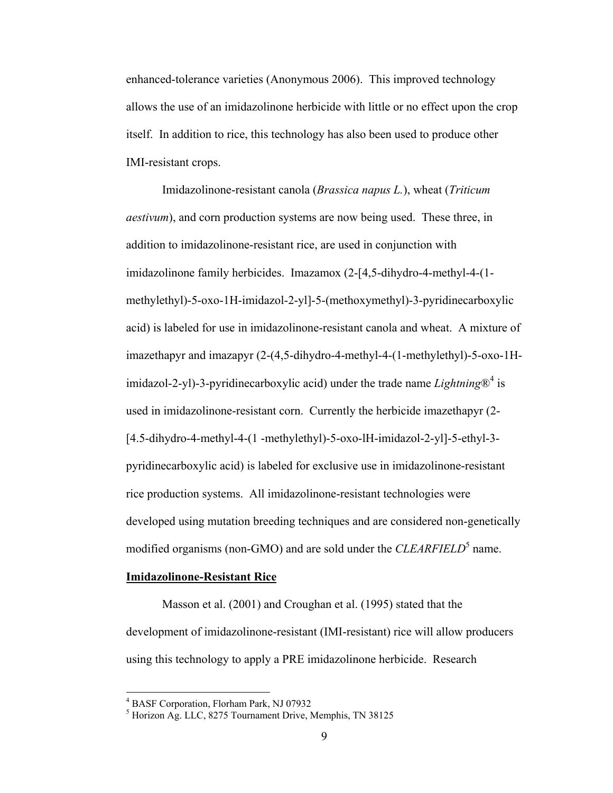enhanced-tolerance varieties (Anonymous 2006). This improved technology allows the use of an imidazolinone herbicide with little or no effect upon the crop itself. In addition to rice, this technology has also been used to produce other IMI-resistant crops.

Imidazolinone-resistant canola (*Brassica napus L.*), wheat (*Triticum aestivum*), and corn production systems are now being used. These three, in addition to imidazolinone-resistant rice, are used in conjunction with imidazolinone family herbicides. Imazamox (2-[4,5-dihydro-4-methyl-4-(1 methylethyl)-5-oxo-1H-imidazol-2-yl]-5-(methoxymethyl)-3-pyridinecarboxylic acid) is labeled for use in imidazolinone-resistant canola and wheat. A mixture of imazethapyr and imazapyr (2-(4,5-dihydro-4-methyl-4-(1-methylethyl)-5-oxo-1Himidazol-2-yl)-3-pyridinecarboxylic acid) under the trade name *Lightning* $\mathcal{D}^4$  is used in imidazolinone-resistant corn. Currently the herbicide imazethapyr (2- [4.5-dihydro-4-methyl-4-(1 -methylethyl)-5-oxo-lH-imidazol-2-yl]-5-ethyl-3 pyridinecarboxylic acid) is labeled for exclusive use in imidazolinone-resistant rice production systems. All imidazolinone-resistant technologies were developed using mutation breeding techniques and are considered non-genetically modified organisms (non-GMO) and are sold under the *CLEARFIELD*<sup>5</sup> name.

## **Imidazolinone-Resistant Rice**

Masson et al. (2001) and Croughan et al. (1995) stated that the development of imidazolinone-resistant (IMI-resistant) rice will allow producers using this technology to apply a PRE imidazolinone herbicide. Research

<sup>4</sup> BASF Corporation, Florham Park, NJ 07932

<sup>5</sup> Horizon Ag. LLC, 8275 Tournament Drive, Memphis, TN 38125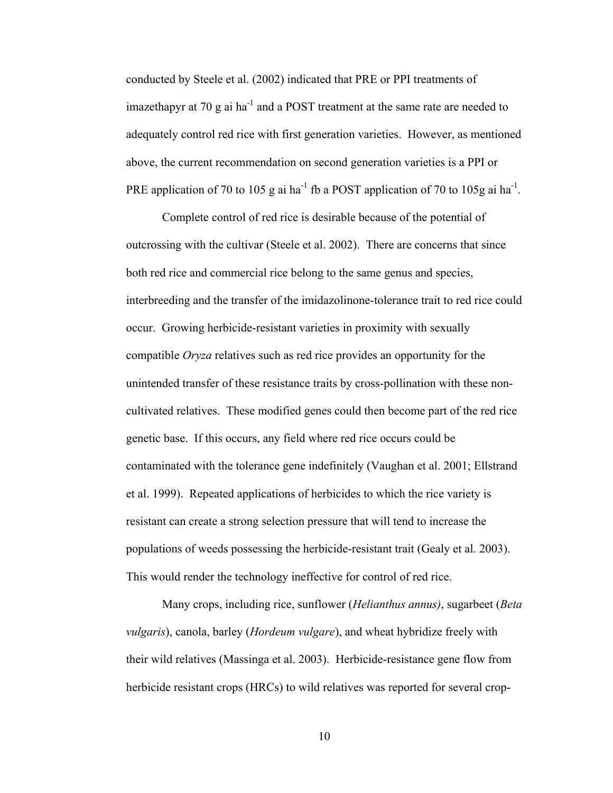conducted by Steele et al. (2002) indicated that PRE or PPI treatments of imazethapyr at 70  $\mu$  ai ha<sup>-1</sup> and a POST treatment at the same rate are needed to adequately control red rice with first generation varieties. However, as mentioned above, the current recommendation on second generation varieties is a PPI or PRE application of 70 to 105 g ai ha<sup>-1</sup> fb a POST application of 70 to 105g ai ha<sup>-1</sup>.

Complete control of red rice is desirable because of the potential of outcrossing with the cultivar (Steele et al. 2002). There are concerns that since both red rice and commercial rice belong to the same genus and species, interbreeding and the transfer of the imidazolinone-tolerance trait to red rice could occur. Growing herbicide-resistant varieties in proximity with sexually compatible *Oryza* relatives such as red rice provides an opportunity for the unintended transfer of these resistance traits by cross-pollination with these noncultivated relatives. These modified genes could then become part of the red rice genetic base. If this occurs, any field where red rice occurs could be contaminated with the tolerance gene indefinitely (Vaughan et al. 2001; Ellstrand et al. 1999). Repeated applications of herbicides to which the rice variety is resistant can create a strong selection pressure that will tend to increase the populations of weeds possessing the herbicide-resistant trait (Gealy et al. 2003). This would render the technology ineffective for control of red rice.

Many crops, including rice, sunflower (*Helianthus annus)*, sugarbeet (*Beta vulgaris*), canola, barley (*Hordeum vulgare*), and wheat hybridize freely with their wild relatives (Massinga et al. 2003). Herbicide-resistance gene flow from herbicide resistant crops (HRCs) to wild relatives was reported for several crop-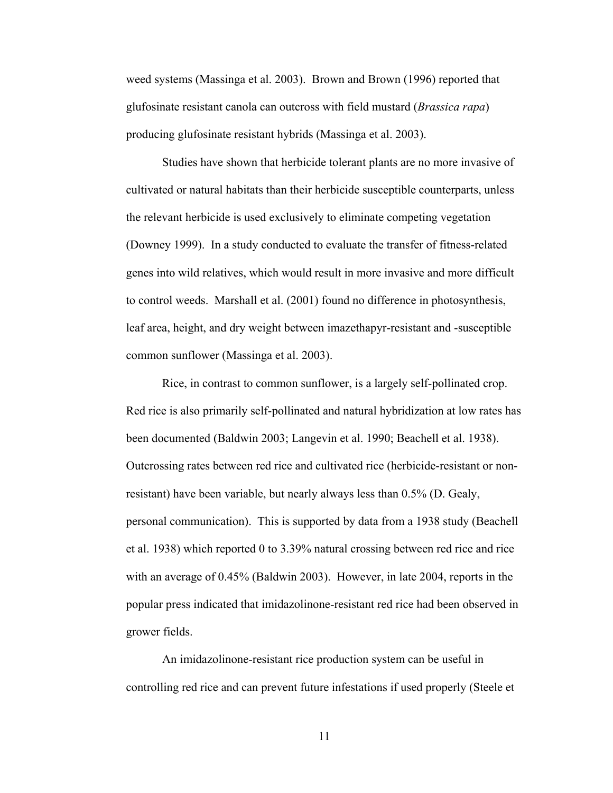weed systems (Massinga et al. 2003). Brown and Brown (1996) reported that glufosinate resistant canola can outcross with field mustard (*Brassica rapa*) producing glufosinate resistant hybrids (Massinga et al. 2003).

Studies have shown that herbicide tolerant plants are no more invasive of cultivated or natural habitats than their herbicide susceptible counterparts, unless the relevant herbicide is used exclusively to eliminate competing vegetation (Downey 1999). In a study conducted to evaluate the transfer of fitness-related genes into wild relatives, which would result in more invasive and more difficult to control weeds. Marshall et al. (2001) found no difference in photosynthesis, leaf area, height, and dry weight between imazethapyr-resistant and -susceptible common sunflower (Massinga et al. 2003).

Rice, in contrast to common sunflower, is a largely self-pollinated crop. Red rice is also primarily self-pollinated and natural hybridization at low rates has been documented (Baldwin 2003; Langevin et al. 1990; Beachell et al. 1938). Outcrossing rates between red rice and cultivated rice (herbicide-resistant or nonresistant) have been variable, but nearly always less than 0.5% (D. Gealy, personal communication). This is supported by data from a 1938 study (Beachell et al. 1938) which reported 0 to 3.39% natural crossing between red rice and rice with an average of 0.45% (Baldwin 2003). However, in late 2004, reports in the popular press indicated that imidazolinone-resistant red rice had been observed in grower fields.

An imidazolinone-resistant rice production system can be useful in controlling red rice and can prevent future infestations if used properly (Steele et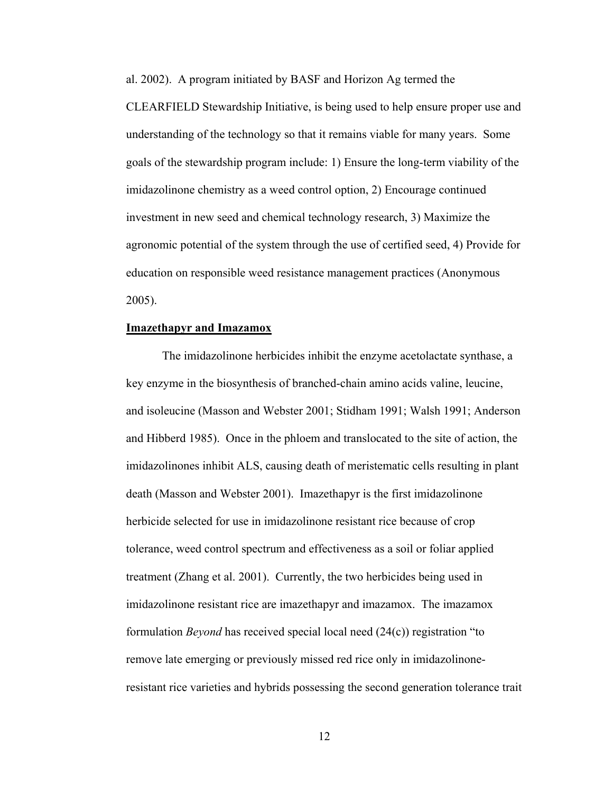al. 2002). A program initiated by BASF and Horizon Ag termed the CLEARFIELD Stewardship Initiative, is being used to help ensure proper use and understanding of the technology so that it remains viable for many years. Some goals of the stewardship program include: 1) Ensure the long-term viability of the imidazolinone chemistry as a weed control option, 2) Encourage continued investment in new seed and chemical technology research, 3) Maximize the agronomic potential of the system through the use of certified seed, 4) Provide for education on responsible weed resistance management practices (Anonymous 2005).

#### **Imazethapyr and Imazamox**

 The imidazolinone herbicides inhibit the enzyme acetolactate synthase, a key enzyme in the biosynthesis of branched-chain amino acids valine, leucine, and isoleucine (Masson and Webster 2001; Stidham 1991; Walsh 1991; Anderson and Hibberd 1985). Once in the phloem and translocated to the site of action, the imidazolinones inhibit ALS, causing death of meristematic cells resulting in plant death (Masson and Webster 2001). Imazethapyr is the first imidazolinone herbicide selected for use in imidazolinone resistant rice because of crop tolerance, weed control spectrum and effectiveness as a soil or foliar applied treatment (Zhang et al. 2001). Currently, the two herbicides being used in imidazolinone resistant rice are imazethapyr and imazamox. The imazamox formulation *Beyond* has received special local need (24(c)) registration "to remove late emerging or previously missed red rice only in imidazolinoneresistant rice varieties and hybrids possessing the second generation tolerance trait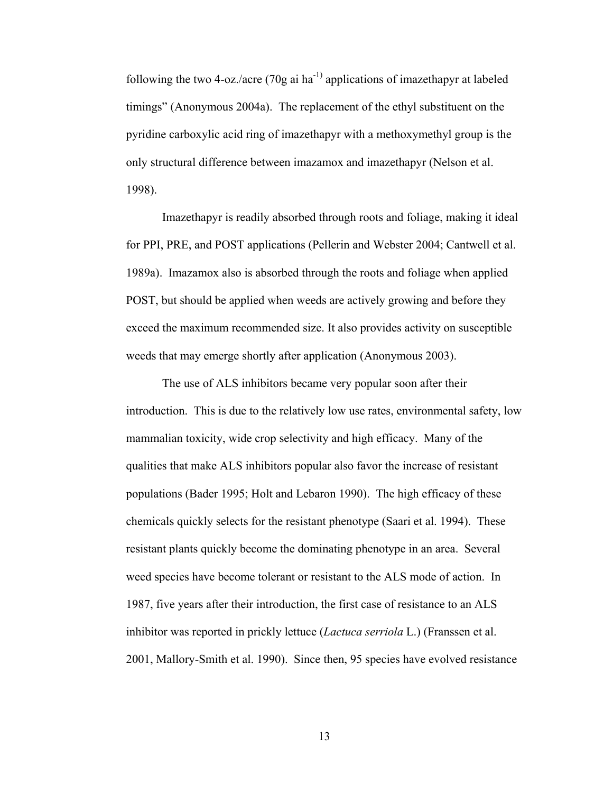following the two 4-oz./acre (70g ai  $ha^{-1}$ ) applications of imazethapyr at labeled timings" (Anonymous 2004a). The replacement of the ethyl substituent on the pyridine carboxylic acid ring of imazethapyr with a methoxymethyl group is the only structural difference between imazamox and imazethapyr (Nelson et al. 1998).

Imazethapyr is readily absorbed through roots and foliage, making it ideal for PPI, PRE, and POST applications (Pellerin and Webster 2004; Cantwell et al. 1989a). Imazamox also is absorbed through the roots and foliage when applied POST, but should be applied when weeds are actively growing and before they exceed the maximum recommended size. It also provides activity on susceptible weeds that may emerge shortly after application (Anonymous 2003).

 The use of ALS inhibitors became very popular soon after their introduction. This is due to the relatively low use rates, environmental safety, low mammalian toxicity, wide crop selectivity and high efficacy. Many of the qualities that make ALS inhibitors popular also favor the increase of resistant populations (Bader 1995; Holt and Lebaron 1990). The high efficacy of these chemicals quickly selects for the resistant phenotype (Saari et al. 1994). These resistant plants quickly become the dominating phenotype in an area. Several weed species have become tolerant or resistant to the ALS mode of action. In 1987, five years after their introduction, the first case of resistance to an ALS inhibitor was reported in prickly lettuce (*Lactuca serriola* L.) (Franssen et al. 2001, Mallory-Smith et al. 1990). Since then, 95 species have evolved resistance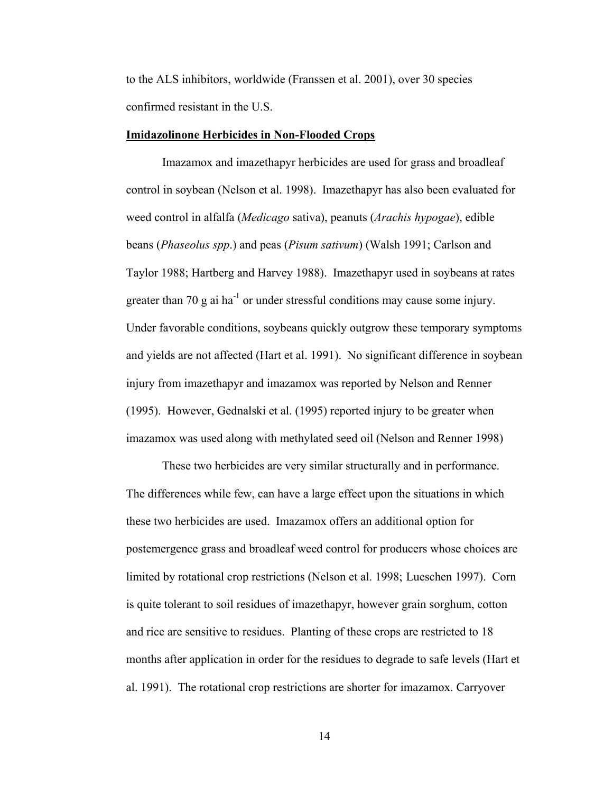to the ALS inhibitors, worldwide (Franssen et al. 2001), over 30 species confirmed resistant in the U.S.

#### **Imidazolinone Herbicides in Non-Flooded Crops**

 Imazamox and imazethapyr herbicides are used for grass and broadleaf control in soybean (Nelson et al. 1998). Imazethapyr has also been evaluated for weed control in alfalfa (*Medicago* sativa), peanuts (*Arachis hypogae*), edible beans (*Phaseolus spp*.) and peas (*Pisum sativum*) (Walsh 1991; Carlson and Taylor 1988; Hartberg and Harvey 1988). Imazethapyr used in soybeans at rates greater than 70 g ai  $ha^{-1}$  or under stressful conditions may cause some injury. Under favorable conditions, soybeans quickly outgrow these temporary symptoms and yields are not affected (Hart et al. 1991). No significant difference in soybean injury from imazethapyr and imazamox was reported by Nelson and Renner (1995). However, Gednalski et al. (1995) reported injury to be greater when imazamox was used along with methylated seed oil (Nelson and Renner 1998)

 These two herbicides are very similar structurally and in performance. The differences while few, can have a large effect upon the situations in which these two herbicides are used. Imazamox offers an additional option for postemergence grass and broadleaf weed control for producers whose choices are limited by rotational crop restrictions (Nelson et al. 1998; Lueschen 1997). Corn is quite tolerant to soil residues of imazethapyr, however grain sorghum, cotton and rice are sensitive to residues. Planting of these crops are restricted to 18 months after application in order for the residues to degrade to safe levels (Hart et al. 1991). The rotational crop restrictions are shorter for imazamox. Carryover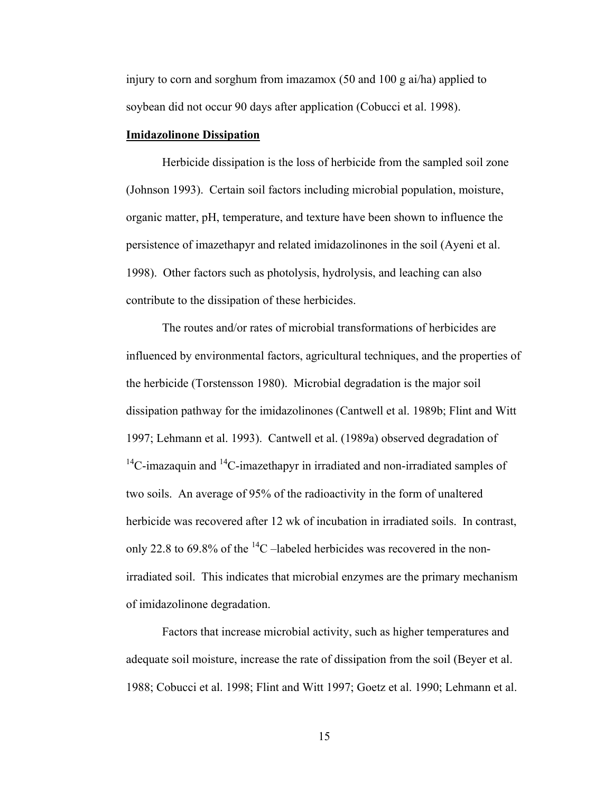injury to corn and sorghum from imazamox (50 and 100 g ai/ha) applied to soybean did not occur 90 days after application (Cobucci et al. 1998).

## **Imidazolinone Dissipation**

Herbicide dissipation is the loss of herbicide from the sampled soil zone (Johnson 1993). Certain soil factors including microbial population, moisture, organic matter, pH, temperature, and texture have been shown to influence the persistence of imazethapyr and related imidazolinones in the soil (Ayeni et al. 1998). Other factors such as photolysis, hydrolysis, and leaching can also contribute to the dissipation of these herbicides.

The routes and/or rates of microbial transformations of herbicides are influenced by environmental factors, agricultural techniques, and the properties of the herbicide (Torstensson 1980). Microbial degradation is the major soil dissipation pathway for the imidazolinones (Cantwell et al. 1989b; Flint and Witt 1997; Lehmann et al. 1993). Cantwell et al. (1989a) observed degradation of  $14^{\circ}$ C-imazaquin and  $14^{\circ}$ C-imazethapyr in irradiated and non-irradiated samples of two soils. An average of 95% of the radioactivity in the form of unaltered herbicide was recovered after 12 wk of incubation in irradiated soils. In contrast, only 22.8 to 69.8% of the  $^{14}$ C –labeled herbicides was recovered in the nonirradiated soil. This indicates that microbial enzymes are the primary mechanism of imidazolinone degradation.

Factors that increase microbial activity, such as higher temperatures and adequate soil moisture, increase the rate of dissipation from the soil (Beyer et al. 1988; Cobucci et al. 1998; Flint and Witt 1997; Goetz et al. 1990; Lehmann et al.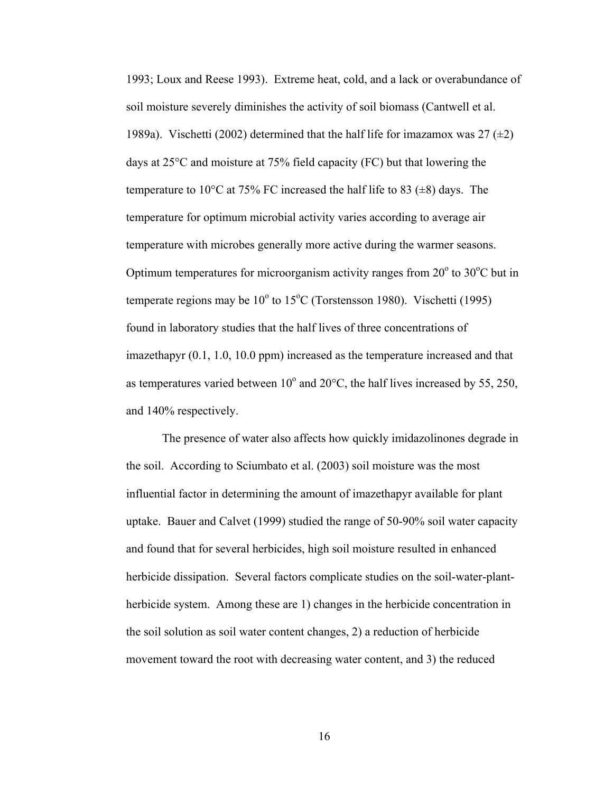1993; Loux and Reese 1993). Extreme heat, cold, and a lack or overabundance of soil moisture severely diminishes the activity of soil biomass (Cantwell et al. 1989a). Vischetti (2002) determined that the half life for imazamox was 27  $(\pm 2)$ days at 25°C and moisture at 75% field capacity (FC) but that lowering the temperature to 10<sup>o</sup>C at 75% FC increased the half life to 83 ( $\pm$ 8) days. The temperature for optimum microbial activity varies according to average air temperature with microbes generally more active during the warmer seasons. Optimum temperatures for microorganism activity ranges from  $20^{\circ}$  to  $30^{\circ}$ C but in temperate regions may be  $10^{\circ}$  to  $15^{\circ}$ C (Torstensson 1980). Vischetti (1995) found in laboratory studies that the half lives of three concentrations of imazethapyr (0.1, 1.0, 10.0 ppm) increased as the temperature increased and that as temperatures varied between  $10^{\circ}$  and  $20^{\circ}$ C, the half lives increased by 55, 250, and 140% respectively.

The presence of water also affects how quickly imidazolinones degrade in the soil. According to Sciumbato et al. (2003) soil moisture was the most influential factor in determining the amount of imazethapyr available for plant uptake. Bauer and Calvet (1999) studied the range of 50-90% soil water capacity and found that for several herbicides, high soil moisture resulted in enhanced herbicide dissipation. Several factors complicate studies on the soil-water-plantherbicide system. Among these are 1) changes in the herbicide concentration in the soil solution as soil water content changes, 2) a reduction of herbicide movement toward the root with decreasing water content, and 3) the reduced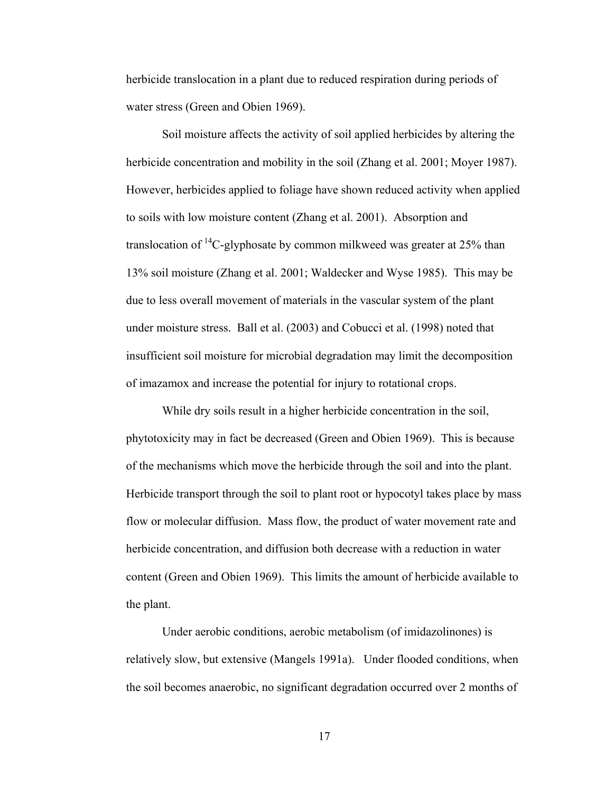herbicide translocation in a plant due to reduced respiration during periods of water stress (Green and Obien 1969).

Soil moisture affects the activity of soil applied herbicides by altering the herbicide concentration and mobility in the soil (Zhang et al. 2001; Moyer 1987). However, herbicides applied to foliage have shown reduced activity when applied to soils with low moisture content (Zhang et al. 2001). Absorption and translocation of  $^{14}$ C-glyphosate by common milkweed was greater at 25% than 13% soil moisture (Zhang et al. 2001; Waldecker and Wyse 1985). This may be due to less overall movement of materials in the vascular system of the plant under moisture stress. Ball et al. (2003) and Cobucci et al. (1998) noted that insufficient soil moisture for microbial degradation may limit the decomposition of imazamox and increase the potential for injury to rotational crops.

While dry soils result in a higher herbicide concentration in the soil, phytotoxicity may in fact be decreased (Green and Obien 1969). This is because of the mechanisms which move the herbicide through the soil and into the plant. Herbicide transport through the soil to plant root or hypocotyl takes place by mass flow or molecular diffusion. Mass flow, the product of water movement rate and herbicide concentration, and diffusion both decrease with a reduction in water content (Green and Obien 1969). This limits the amount of herbicide available to the plant.

Under aerobic conditions, aerobic metabolism (of imidazolinones) is relatively slow, but extensive (Mangels 1991a). Under flooded conditions, when the soil becomes anaerobic, no significant degradation occurred over 2 months of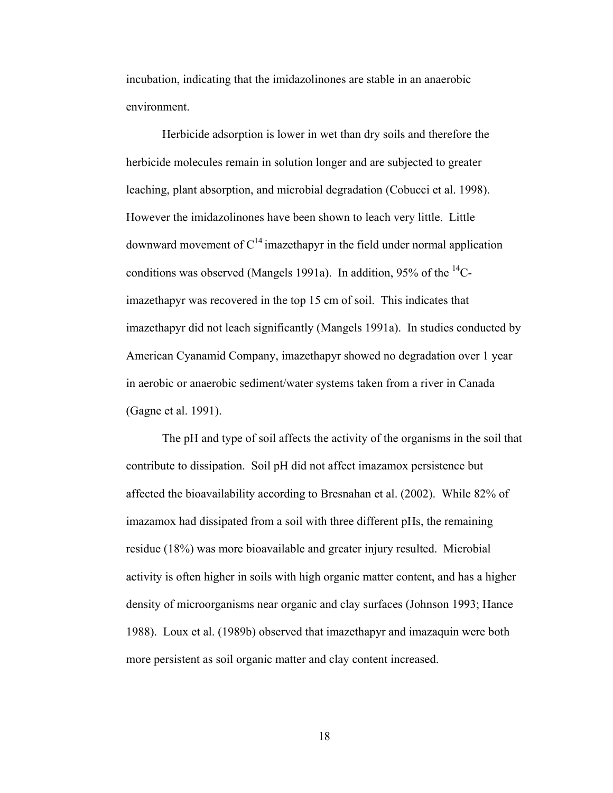incubation, indicating that the imidazolinones are stable in an anaerobic environment.

Herbicide adsorption is lower in wet than dry soils and therefore the herbicide molecules remain in solution longer and are subjected to greater leaching, plant absorption, and microbial degradation (Cobucci et al. 1998). However the imidazolinones have been shown to leach very little. Little downward movement of  $C^{14}$  imazethapyr in the field under normal application conditions was observed (Mangels 1991a). In addition, 95% of the  ${}^{14}C$ imazethapyr was recovered in the top 15 cm of soil. This indicates that imazethapyr did not leach significantly (Mangels 1991a). In studies conducted by American Cyanamid Company, imazethapyr showed no degradation over 1 year in aerobic or anaerobic sediment/water systems taken from a river in Canada (Gagne et al. 1991).

The pH and type of soil affects the activity of the organisms in the soil that contribute to dissipation. Soil pH did not affect imazamox persistence but affected the bioavailability according to Bresnahan et al. (2002). While 82% of imazamox had dissipated from a soil with three different pHs, the remaining residue (18%) was more bioavailable and greater injury resulted. Microbial activity is often higher in soils with high organic matter content, and has a higher density of microorganisms near organic and clay surfaces (Johnson 1993; Hance 1988). Loux et al. (1989b) observed that imazethapyr and imazaquin were both more persistent as soil organic matter and clay content increased.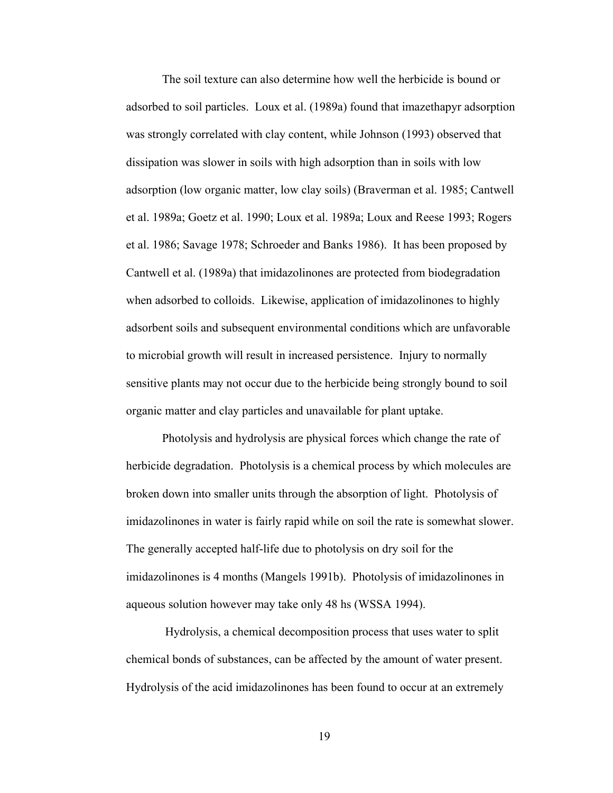The soil texture can also determine how well the herbicide is bound or adsorbed to soil particles. Loux et al. (1989a) found that imazethapyr adsorption was strongly correlated with clay content, while Johnson (1993) observed that dissipation was slower in soils with high adsorption than in soils with low adsorption (low organic matter, low clay soils) (Braverman et al. 1985; Cantwell et al. 1989a; Goetz et al. 1990; Loux et al. 1989a; Loux and Reese 1993; Rogers et al. 1986; Savage 1978; Schroeder and Banks 1986). It has been proposed by Cantwell et al. (1989a) that imidazolinones are protected from biodegradation when adsorbed to colloids. Likewise, application of imidazolinones to highly adsorbent soils and subsequent environmental conditions which are unfavorable to microbial growth will result in increased persistence. Injury to normally sensitive plants may not occur due to the herbicide being strongly bound to soil organic matter and clay particles and unavailable for plant uptake.

Photolysis and hydrolysis are physical forces which change the rate of herbicide degradation. Photolysis is a chemical process by which molecules are broken down into smaller units through the absorption of light. Photolysis of imidazolinones in water is fairly rapid while on soil the rate is somewhat slower. The generally accepted half-life due to photolysis on dry soil for the imidazolinones is 4 months (Mangels 1991b). Photolysis of imidazolinones in aqueous solution however may take only 48 hs (WSSA 1994).

 Hydrolysis, a chemical decomposition process that uses water to split chemical bonds of substances, can be affected by the amount of water present. Hydrolysis of the acid imidazolinones has been found to occur at an extremely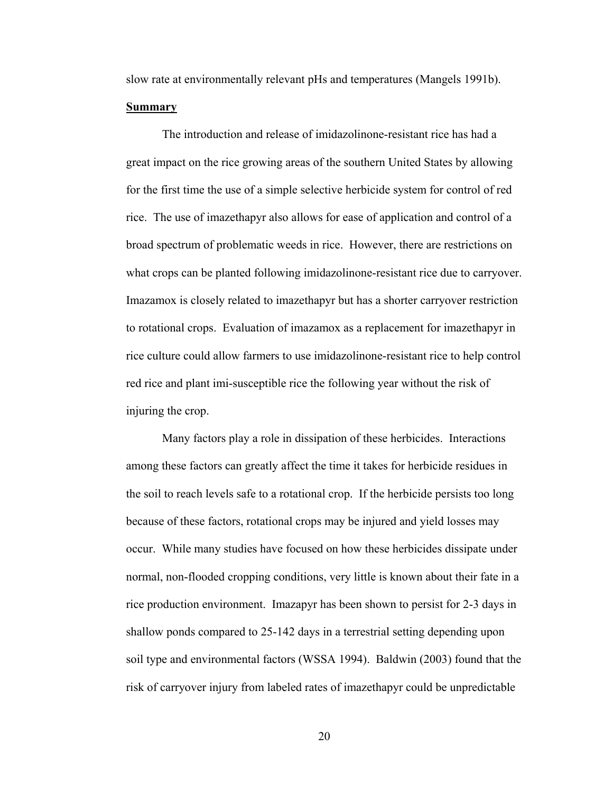slow rate at environmentally relevant pHs and temperatures (Mangels 1991b).

#### **Summary**

The introduction and release of imidazolinone-resistant rice has had a great impact on the rice growing areas of the southern United States by allowing for the first time the use of a simple selective herbicide system for control of red rice. The use of imazethapyr also allows for ease of application and control of a broad spectrum of problematic weeds in rice. However, there are restrictions on what crops can be planted following imidazolinone-resistant rice due to carryover. Imazamox is closely related to imazethapyr but has a shorter carryover restriction to rotational crops. Evaluation of imazamox as a replacement for imazethapyr in rice culture could allow farmers to use imidazolinone-resistant rice to help control red rice and plant imi-susceptible rice the following year without the risk of injuring the crop.

 Many factors play a role in dissipation of these herbicides. Interactions among these factors can greatly affect the time it takes for herbicide residues in the soil to reach levels safe to a rotational crop. If the herbicide persists too long because of these factors, rotational crops may be injured and yield losses may occur. While many studies have focused on how these herbicides dissipate under normal, non-flooded cropping conditions, very little is known about their fate in a rice production environment. Imazapyr has been shown to persist for 2-3 days in shallow ponds compared to 25-142 days in a terrestrial setting depending upon soil type and environmental factors (WSSA 1994). Baldwin (2003) found that the risk of carryover injury from labeled rates of imazethapyr could be unpredictable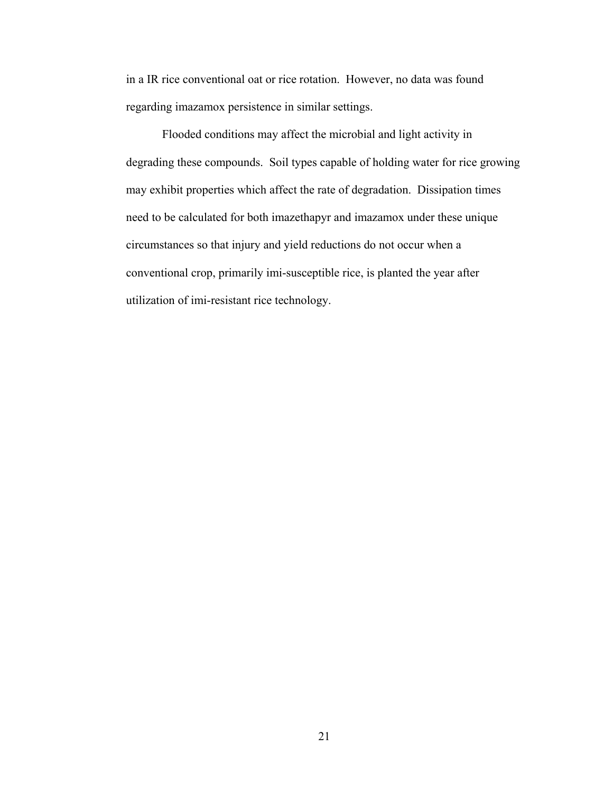in a IR rice conventional oat or rice rotation. However, no data was found regarding imazamox persistence in similar settings.

 Flooded conditions may affect the microbial and light activity in degrading these compounds. Soil types capable of holding water for rice growing may exhibit properties which affect the rate of degradation. Dissipation times need to be calculated for both imazethapyr and imazamox under these unique circumstances so that injury and yield reductions do not occur when a conventional crop, primarily imi-susceptible rice, is planted the year after utilization of imi-resistant rice technology.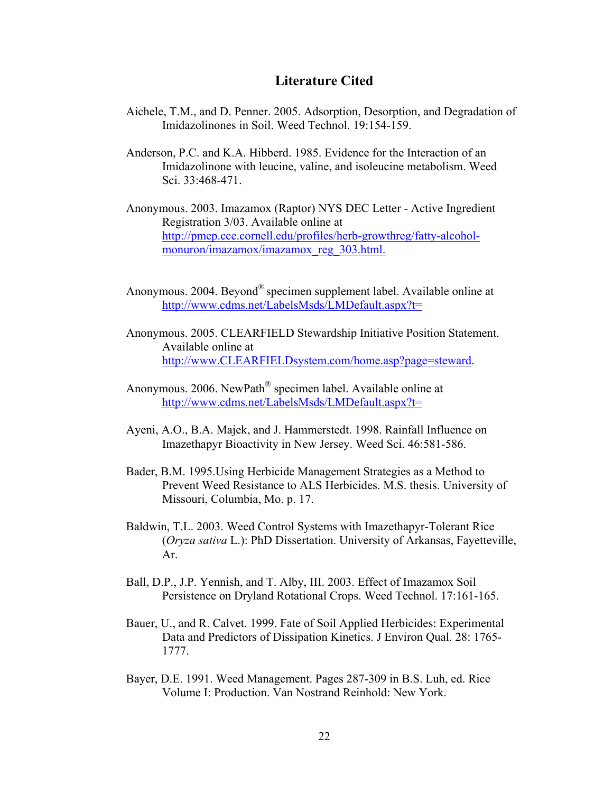# **Literature Cited**

- Aichele, T.M., and D. Penner. 2005. Adsorption, Desorption, and Degradation of Imidazolinones in Soil. Weed Technol. 19:154-159.
- Anderson, P.C. and K.A. Hibberd. 1985. Evidence for the Interaction of an Imidazolinone with leucine, valine, and isoleucine metabolism. Weed Sci. 33:468-471.
- Anonymous. 2003. Imazamox (Raptor) NYS DEC Letter Active Ingredient Registration 3/03. Available online at http://pmep.cce.cornell.edu/profiles/herb-growthreg/fatty-alcohol monuron/imazamox/imazamox\_reg\_303.html.
- Anonymous. 2004. Beyond® specimen supplement label. Available online at http://www.cdms.net/LabelsMsds/LMDefault.aspx?t=
- Anonymous. 2005. CLEARFIELD Stewardship Initiative Position Statement. Available online at http://www.CLEARFIELDsystem.com/home.asp?page=steward.
- Anonymous. 2006. NewPath® specimen label. Available online at http://www.cdms.net/LabelsMsds/LMDefault.aspx?t=
- Ayeni, A.O., B.A. Majek, and J. Hammerstedt. 1998. Rainfall Influence on Imazethapyr Bioactivity in New Jersey. Weed Sci. 46:581-586.
- Bader, B.M. 1995.Using Herbicide Management Strategies as a Method to Prevent Weed Resistance to ALS Herbicides. M.S. thesis. University of Missouri, Columbia, Mo. p. 17.
- Baldwin, T.L. 2003. Weed Control Systems with Imazethapyr-Tolerant Rice (*Oryza sativa* L.): PhD Dissertation. University of Arkansas, Fayetteville, Ar.
- Ball, D.P., J.P. Yennish, and T. Alby, III. 2003. Effect of Imazamox Soil Persistence on Dryland Rotational Crops. Weed Technol. 17:161-165.
- Bauer, U., and R. Calvet. 1999. Fate of Soil Applied Herbicides: Experimental Data and Predictors of Dissipation Kinetics. J Environ Qual. 28: 1765- 1777.
- Bayer, D.E. 1991. Weed Management. Pages 287-309 in B.S. Luh, ed. Rice Volume I: Production. Van Nostrand Reinhold: New York.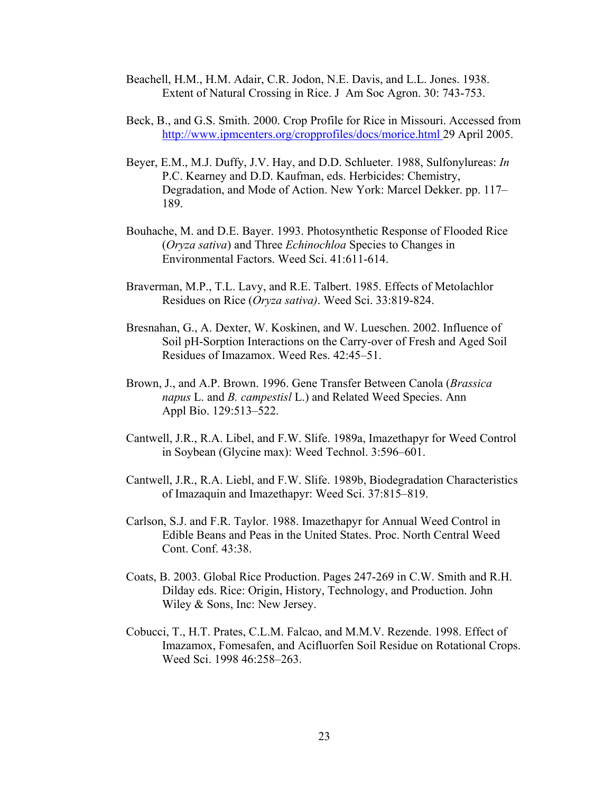- Beachell, H.M., H.M. Adair, C.R. Jodon, N.E. Davis, and L.L. Jones. 1938. Extent of Natural Crossing in Rice. J Am Soc Agron. 30: 743-753.
- Beck, B., and G.S. Smith. 2000. Crop Profile for Rice in Missouri. Accessed from http://www.ipmcenters.org/cropprofiles/docs/morice.html 29 April 2005.
- Beyer, E.M., M.J. Duffy, J.V. Hay, and D.D. Schlueter. 1988, Sulfonylureas: *In* P.C. Kearney and D.D. Kaufman, eds. Herbicides: Chemistry, Degradation, and Mode of Action. New York: Marcel Dekker. pp. 117– 189.
- Bouhache, M. and D.E. Bayer. 1993. Photosynthetic Response of Flooded Rice (*Oryza sativa*) and Three *Echinochloa* Species to Changes in Environmental Factors. Weed Sci. 41:611-614.
- Braverman, M.P., T.L. Lavy, and R.E. Talbert. 1985. Effects of Metolachlor Residues on Rice (*Oryza sativa)*. Weed Sci. 33:819-824.
- Bresnahan, G., A. Dexter, W. Koskinen, and W. Lueschen. 2002. Influence of Soil pH-Sorption Interactions on the Carry-over of Fresh and Aged Soil Residues of Imazamox. Weed Res. 42:45–51.
- Brown, J., and A.P. Brown. 1996. Gene Transfer Between Canola (*Brassica napus* L. and *B. campestisl* L.) and Related Weed Species. Ann Appl Bio. 129:513–522.
- Cantwell, J.R., R.A. Libel, and F.W. Slife. 1989a, Imazethapyr for Weed Control in Soybean (Glycine max): Weed Technol. 3:596–601.
- Cantwell, J.R., R.A. Liebl, and F.W. Slife. 1989b, Biodegradation Characteristics of Imazaquin and Imazethapyr: Weed Sci. 37:815–819.
- Carlson, S.J. and F.R. Taylor. 1988. Imazethapyr for Annual Weed Control in Edible Beans and Peas in the United States. Proc. North Central Weed Cont. Conf. 43:38.
- Coats, B. 2003. Global Rice Production. Pages 247-269 in C.W. Smith and R.H. Dilday eds. Rice: Origin, History, Technology, and Production. John Wiley & Sons, Inc: New Jersey.
- Cobucci, T., H.T. Prates, C.L.M. Falcao, and M.M.V. Rezende. 1998. Effect of Imazamox, Fomesafen, and Acifluorfen Soil Residue on Rotational Crops. Weed Sci. 1998 46:258–263.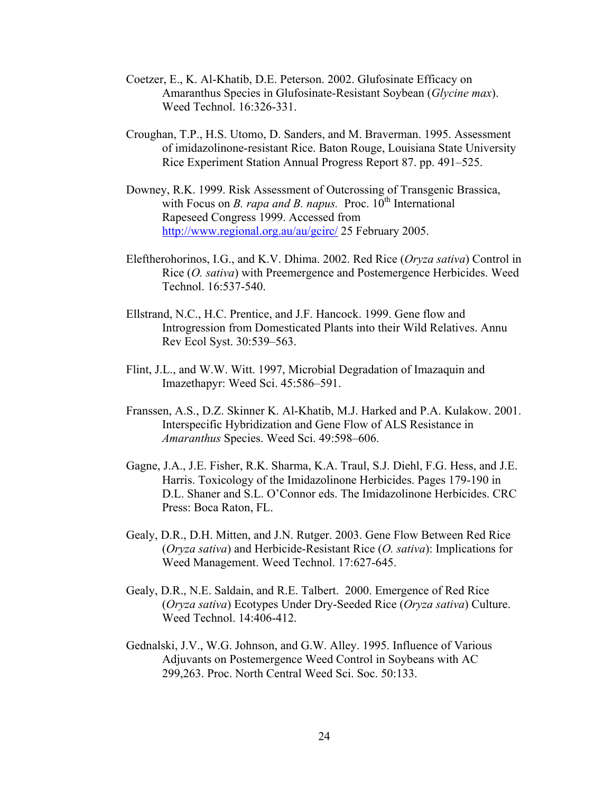- Coetzer, E., K. Al-Khatib, D.E. Peterson. 2002. Glufosinate Efficacy on Amaranthus Species in Glufosinate-Resistant Soybean (*Glycine max*). Weed Technol. 16:326-331.
- Croughan, T.P., H.S. Utomo, D. Sanders, and M. Braverman. 1995. Assessment of imidazolinone-resistant Rice. Baton Rouge, Louisiana State University Rice Experiment Station Annual Progress Report 87. pp. 491–525.
- Downey, R.K. 1999. Risk Assessment of Outcrossing of Transgenic Brassica, with Focus on *B. rapa and B. napus.* Proc.  $10<sup>th</sup>$  International Rapeseed Congress 1999. Accessed from http://www.regional.org.au/au/gcirc/ 25 February 2005.
- Eleftherohorinos, I.G., and K.V. Dhima. 2002. Red Rice (*Oryza sativa*) Control in Rice (*O. sativa*) with Preemergence and Postemergence Herbicides. Weed Technol. 16:537-540.
- Ellstrand, N.C., H.C. Prentice, and J.F. Hancock. 1999. Gene flow and Introgression from Domesticated Plants into their Wild Relatives. Annu Rev Ecol Syst. 30:539–563.
- Flint, J.L., and W.W. Witt. 1997, Microbial Degradation of Imazaquin and Imazethapyr: Weed Sci. 45:586–591.
- Franssen, A.S., D.Z. Skinner K. Al-Khatib, M.J. Harked and P.A. Kulakow. 2001. Interspecific Hybridization and Gene Flow of ALS Resistance in *Amaranthus* Species. Weed Sci. 49:598–606.
- Gagne, J.A., J.E. Fisher, R.K. Sharma, K.A. Traul, S.J. Diehl, F.G. Hess, and J.E. Harris. Toxicology of the Imidazolinone Herbicides. Pages 179-190 in D.L. Shaner and S.L. O'Connor eds. The Imidazolinone Herbicides. CRC Press: Boca Raton, FL.
- Gealy, D.R., D.H. Mitten, and J.N. Rutger. 2003. Gene Flow Between Red Rice (*Oryza sativa*) and Herbicide-Resistant Rice (*O. sativa*): Implications for Weed Management. Weed Technol. 17:627-645.
- Gealy, D.R., N.E. Saldain, and R.E. Talbert. 2000. Emergence of Red Rice (*Oryza sativa*) Ecotypes Under Dry-Seeded Rice (*Oryza sativa*) Culture. Weed Technol. 14:406-412.
- Gednalski, J.V., W.G. Johnson, and G.W. Alley. 1995. Influence of Various Adjuvants on Postemergence Weed Control in Soybeans with AC 299,263. Proc. North Central Weed Sci. Soc. 50:133.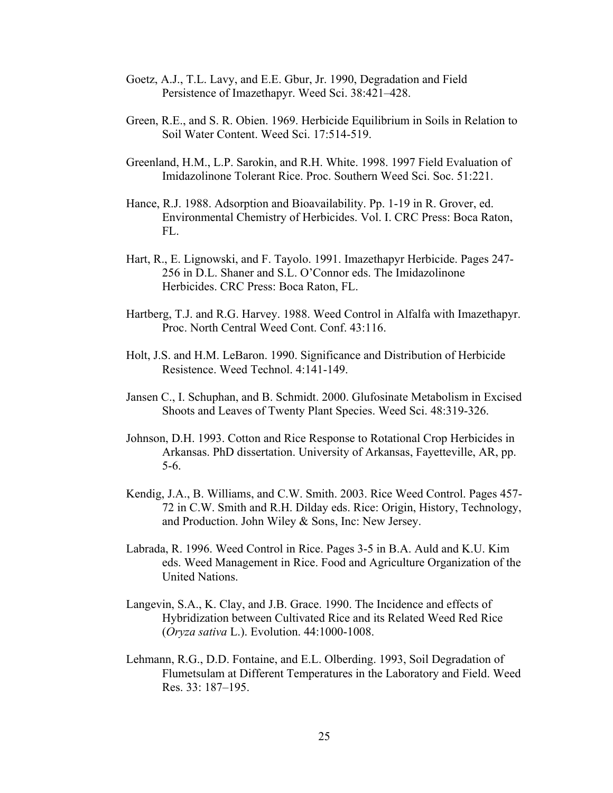- Goetz, A.J., T.L. Lavy, and E.E. Gbur, Jr. 1990, Degradation and Field Persistence of Imazethapyr. Weed Sci. 38:421–428.
- Green, R.E., and S. R. Obien. 1969. Herbicide Equilibrium in Soils in Relation to Soil Water Content. Weed Sci. 17:514-519.
- Greenland, H.M., L.P. Sarokin, and R.H. White. 1998. 1997 Field Evaluation of Imidazolinone Tolerant Rice. Proc. Southern Weed Sci. Soc. 51:221.
- Hance, R.J. 1988. Adsorption and Bioavailability. Pp. 1-19 in R. Grover, ed. Environmental Chemistry of Herbicides. Vol. I. CRC Press: Boca Raton, FL.
- Hart, R., E. Lignowski, and F. Tayolo. 1991. Imazethapyr Herbicide. Pages 247- 256 in D.L. Shaner and S.L. O'Connor eds. The Imidazolinone Herbicides. CRC Press: Boca Raton, FL.
- Hartberg, T.J. and R.G. Harvey. 1988. Weed Control in Alfalfa with Imazethapyr. Proc. North Central Weed Cont. Conf. 43:116.
- Holt, J.S. and H.M. LeBaron. 1990. Significance and Distribution of Herbicide Resistence. Weed Technol. 4:141-149.
- Jansen C., I. Schuphan, and B. Schmidt. 2000. Glufosinate Metabolism in Excised Shoots and Leaves of Twenty Plant Species. Weed Sci. 48:319-326.
- Johnson, D.H. 1993. Cotton and Rice Response to Rotational Crop Herbicides in Arkansas. PhD dissertation. University of Arkansas, Fayetteville, AR, pp. 5-6.
- Kendig, J.A., B. Williams, and C.W. Smith. 2003. Rice Weed Control. Pages 457- 72 in C.W. Smith and R.H. Dilday eds. Rice: Origin, History, Technology, and Production. John Wiley & Sons, Inc: New Jersey.
- Labrada, R. 1996. Weed Control in Rice. Pages 3-5 in B.A. Auld and K.U. Kim eds. Weed Management in Rice. Food and Agriculture Organization of the United Nations.
- Langevin, S.A., K. Clay, and J.B. Grace. 1990. The Incidence and effects of Hybridization between Cultivated Rice and its Related Weed Red Rice (*Oryza sativa* L.). Evolution. 44:1000-1008.
- Lehmann, R.G., D.D. Fontaine, and E.L. Olberding. 1993, Soil Degradation of Flumetsulam at Different Temperatures in the Laboratory and Field. Weed Res. 33: 187–195.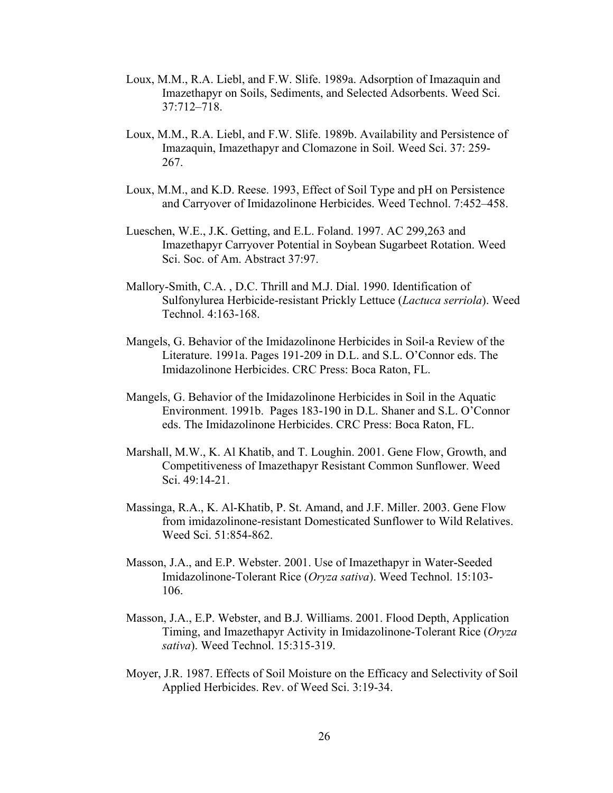- Loux, M.M., R.A. Liebl, and F.W. Slife. 1989a. Adsorption of Imazaquin and Imazethapyr on Soils, Sediments, and Selected Adsorbents. Weed Sci. 37:712–718.
- Loux, M.M., R.A. Liebl, and F.W. Slife. 1989b. Availability and Persistence of Imazaquin, Imazethapyr and Clomazone in Soil. Weed Sci. 37: 259- 267.
- Loux, M.M., and K.D. Reese. 1993, Effect of Soil Type and pH on Persistence and Carryover of Imidazolinone Herbicides. Weed Technol. 7:452–458.
- Lueschen, W.E., J.K. Getting, and E.L. Foland. 1997. AC 299,263 and Imazethapyr Carryover Potential in Soybean Sugarbeet Rotation. Weed Sci. Soc. of Am. Abstract 37:97.
- Mallory-Smith, C.A. , D.C. Thrill and M.J. Dial. 1990. Identification of Sulfonylurea Herbicide-resistant Prickly Lettuce (*Lactuca serriola*). Weed Technol. 4:163-168.
- Mangels, G. Behavior of the Imidazolinone Herbicides in Soil-a Review of the Literature. 1991a. Pages 191-209 in D.L. and S.L. O'Connor eds. The Imidazolinone Herbicides. CRC Press: Boca Raton, FL.
- Mangels, G. Behavior of the Imidazolinone Herbicides in Soil in the Aquatic Environment. 1991b. Pages 183-190 in D.L. Shaner and S.L. O'Connor eds. The Imidazolinone Herbicides. CRC Press: Boca Raton, FL.
- Marshall, M.W., K. Al Khatib, and T. Loughin. 2001. Gene Flow, Growth, and Competitiveness of Imazethapyr Resistant Common Sunflower. Weed Sci. 49:14-21.
- Massinga, R.A., K. Al-Khatib, P. St. Amand, and J.F. Miller. 2003. Gene Flow from imidazolinone-resistant Domesticated Sunflower to Wild Relatives. Weed Sci. 51:854-862.
- Masson, J.A., and E.P. Webster. 2001. Use of Imazethapyr in Water-Seeded Imidazolinone-Tolerant Rice (*Oryza sativa*). Weed Technol. 15:103- 106.
- Masson, J.A., E.P. Webster, and B.J. Williams. 2001. Flood Depth, Application Timing, and Imazethapyr Activity in Imidazolinone-Tolerant Rice (*Oryza sativa*). Weed Technol. 15:315-319.
- Moyer, J.R. 1987. Effects of Soil Moisture on the Efficacy and Selectivity of Soil Applied Herbicides. Rev. of Weed Sci. 3:19-34.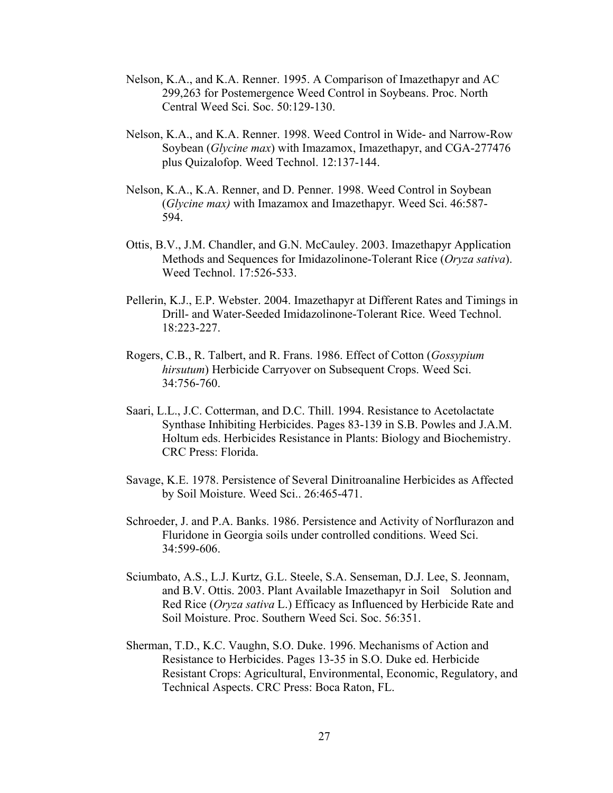- Nelson, K.A., and K.A. Renner. 1995. A Comparison of Imazethapyr and AC 299,263 for Postemergence Weed Control in Soybeans. Proc. North Central Weed Sci. Soc. 50:129-130.
- Nelson, K.A., and K.A. Renner. 1998. Weed Control in Wide- and Narrow-Row Soybean (*Glycine max*) with Imazamox, Imazethapyr, and CGA-277476 plus Quizalofop. Weed Technol. 12:137-144.
- Nelson, K.A., K.A. Renner, and D. Penner. 1998. Weed Control in Soybean (*Glycine max)* with Imazamox and Imazethapyr. Weed Sci. 46:587- 594.
- Ottis, B.V., J.M. Chandler, and G.N. McCauley. 2003. Imazethapyr Application Methods and Sequences for Imidazolinone-Tolerant Rice (*Oryza sativa*). Weed Technol. 17:526-533.
- Pellerin, K.J., E.P. Webster. 2004. Imazethapyr at Different Rates and Timings in Drill- and Water-Seeded Imidazolinone-Tolerant Rice. Weed Technol. 18:223-227.
- Rogers, C.B., R. Talbert, and R. Frans. 1986. Effect of Cotton (*Gossypium hirsutum*) Herbicide Carryover on Subsequent Crops. Weed Sci. 34:756-760.
- Saari, L.L., J.C. Cotterman, and D.C. Thill. 1994. Resistance to Acetolactate Synthase Inhibiting Herbicides. Pages 83-139 in S.B. Powles and J.A.M. Holtum eds. Herbicides Resistance in Plants: Biology and Biochemistry. CRC Press: Florida.
- Savage, K.E. 1978. Persistence of Several Dinitroanaline Herbicides as Affected by Soil Moisture. Weed Sci.. 26:465-471.
- Schroeder, J. and P.A. Banks. 1986. Persistence and Activity of Norflurazon and Fluridone in Georgia soils under controlled conditions. Weed Sci. 34:599-606.
- Sciumbato, A.S., L.J. Kurtz, G.L. Steele, S.A. Senseman, D.J. Lee, S. Jeonnam, and B.V. Ottis. 2003. Plant Available Imazethapyr in Soil Solution and Red Rice (*Oryza sativa* L.) Efficacy as Influenced by Herbicide Rate and Soil Moisture. Proc. Southern Weed Sci. Soc. 56:351.
- Sherman, T.D., K.C. Vaughn, S.O. Duke. 1996. Mechanisms of Action and Resistance to Herbicides. Pages 13-35 in S.O. Duke ed. Herbicide Resistant Crops: Agricultural, Environmental, Economic, Regulatory, and Technical Aspects. CRC Press: Boca Raton, FL.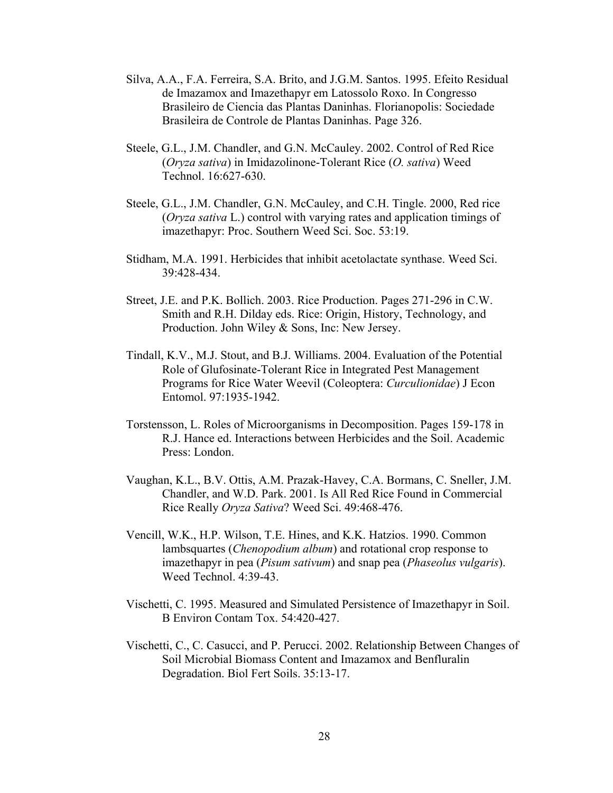- Silva, A.A., F.A. Ferreira, S.A. Brito, and J.G.M. Santos. 1995. Efeito Residual de Imazamox and Imazethapyr em Latossolo Roxo. In Congresso Brasileiro de Ciencia das Plantas Daninhas. Florianopolis: Sociedade Brasileira de Controle de Plantas Daninhas. Page 326.
- Steele, G.L., J.M. Chandler, and G.N. McCauley. 2002. Control of Red Rice (*Oryza sativa*) in Imidazolinone-Tolerant Rice (*O. sativa*) Weed Technol. 16:627-630.
- Steele, G.L., J.M. Chandler, G.N. McCauley, and C.H. Tingle. 2000, Red rice (*Oryza sativa* L.) control with varying rates and application timings of imazethapyr: Proc. Southern Weed Sci. Soc. 53:19.
- Stidham, M.A. 1991. Herbicides that inhibit acetolactate synthase. Weed Sci. 39:428-434.
- Street, J.E. and P.K. Bollich. 2003. Rice Production. Pages 271-296 in C.W. Smith and R.H. Dilday eds. Rice: Origin, History, Technology, and Production. John Wiley & Sons, Inc: New Jersey.
- Tindall, K.V., M.J. Stout, and B.J. Williams. 2004. Evaluation of the Potential Role of Glufosinate-Tolerant Rice in Integrated Pest Management Programs for Rice Water Weevil (Coleoptera: *Curculionidae*) J Econ Entomol. 97:1935-1942.
- Torstensson, L. Roles of Microorganisms in Decomposition. Pages 159-178 in R.J. Hance ed. Interactions between Herbicides and the Soil. Academic Press: London.
- Vaughan, K.L., B.V. Ottis, A.M. Prazak-Havey, C.A. Bormans, C. Sneller, J.M. Chandler, and W.D. Park. 2001. Is All Red Rice Found in Commercial Rice Really *Oryza Sativa*? Weed Sci. 49:468-476.
- Vencill, W.K., H.P. Wilson, T.E. Hines, and K.K. Hatzios. 1990. Common lambsquartes (*Chenopodium album*) and rotational crop response to imazethapyr in pea (*Pisum sativum*) and snap pea (*Phaseolus vulgaris*). Weed Technol. 4:39-43.
- Vischetti, C. 1995. Measured and Simulated Persistence of Imazethapyr in Soil. B Environ Contam Tox. 54:420-427.
- Vischetti, C., C. Casucci, and P. Perucci. 2002. Relationship Between Changes of Soil Microbial Biomass Content and Imazamox and Benfluralin Degradation. Biol Fert Soils. 35:13-17.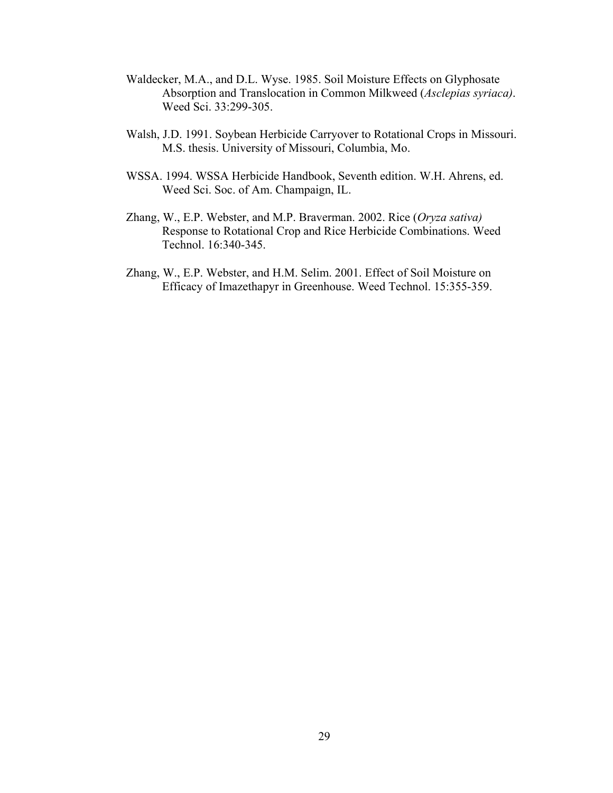- Waldecker, M.A., and D.L. Wyse. 1985. Soil Moisture Effects on Glyphosate Absorption and Translocation in Common Milkweed (*Asclepias syriaca)*. Weed Sci. 33:299-305.
- Walsh, J.D. 1991. Soybean Herbicide Carryover to Rotational Crops in Missouri. M.S. thesis. University of Missouri, Columbia, Mo.
- WSSA. 1994. WSSA Herbicide Handbook, Seventh edition. W.H. Ahrens, ed. Weed Sci. Soc. of Am. Champaign, IL.
- Zhang, W., E.P. Webster, and M.P. Braverman. 2002. Rice (*Oryza sativa)* Response to Rotational Crop and Rice Herbicide Combinations. Weed Technol. 16:340-345.
- Zhang, W., E.P. Webster, and H.M. Selim. 2001. Effect of Soil Moisture on Efficacy of Imazethapyr in Greenhouse. Weed Technol. 15:355-359.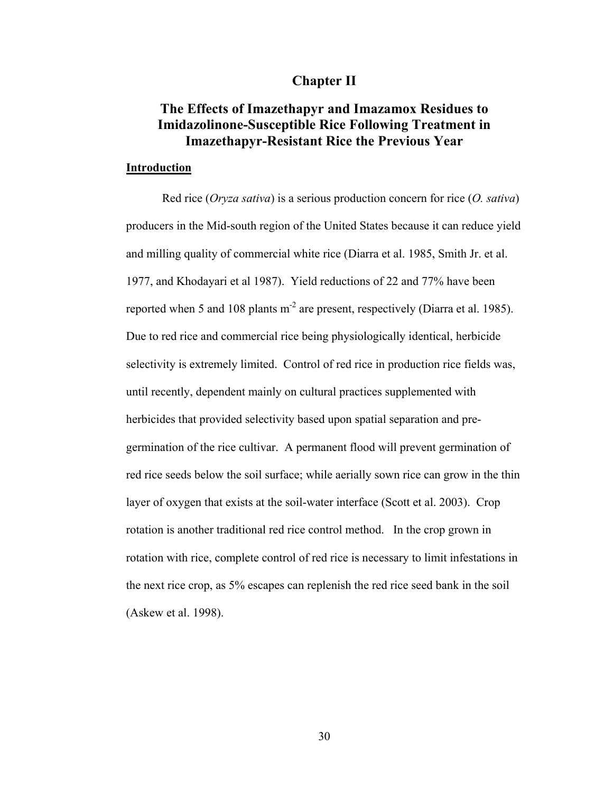# **Chapter II**

# **The Effects of Imazethapyr and Imazamox Residues to Imidazolinone-Susceptible Rice Following Treatment in Imazethapyr-Resistant Rice the Previous Year**

## **Introduction**

 Red rice (*Oryza sativa*) is a serious production concern for rice (*O. sativa*) producers in the Mid-south region of the United States because it can reduce yield and milling quality of commercial white rice (Diarra et al. 1985, Smith Jr. et al. 1977, and Khodayari et al 1987). Yield reductions of 22 and 77% have been reported when 5 and 108 plants m<sup>-2</sup> are present, respectively (Diarra et al. 1985). Due to red rice and commercial rice being physiologically identical, herbicide selectivity is extremely limited. Control of red rice in production rice fields was, until recently, dependent mainly on cultural practices supplemented with herbicides that provided selectivity based upon spatial separation and pregermination of the rice cultivar. A permanent flood will prevent germination of red rice seeds below the soil surface; while aerially sown rice can grow in the thin layer of oxygen that exists at the soil-water interface (Scott et al. 2003). Crop rotation is another traditional red rice control method. In the crop grown in rotation with rice, complete control of red rice is necessary to limit infestations in the next rice crop, as 5% escapes can replenish the red rice seed bank in the soil (Askew et al. 1998).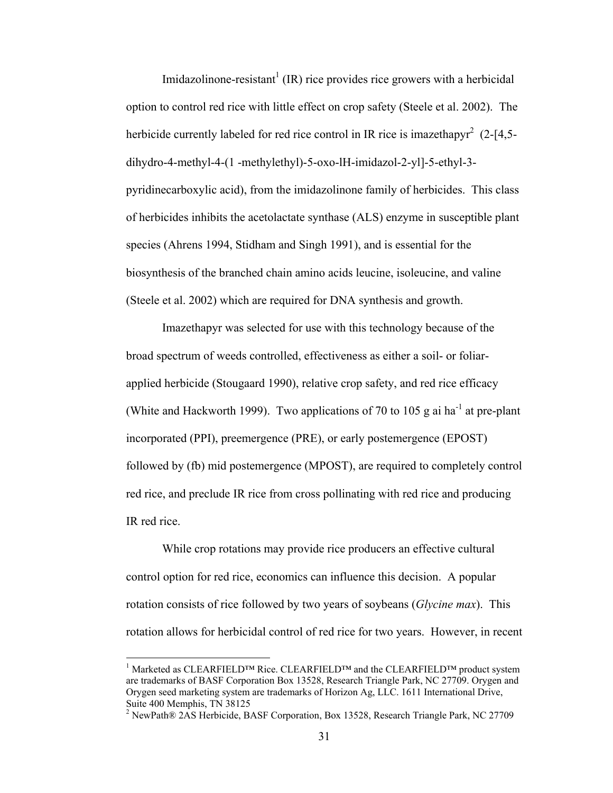Imidazolinone-resistant<sup>1</sup> (IR) rice provides rice growers with a herbicidal option to control red rice with little effect on crop safety (Steele et al. 2002). The herbicide currently labeled for red rice control in IR rice is imazethapyr<sup>2</sup> (2-[4,5dihydro-4-methyl-4-(1 -methylethyl)-5-oxo-lH-imidazol-2-yl]-5-ethyl-3 pyridinecarboxylic acid), from the imidazolinone family of herbicides. This class of herbicides inhibits the acetolactate synthase (ALS) enzyme in susceptible plant species (Ahrens 1994, Stidham and Singh 1991), and is essential for the biosynthesis of the branched chain amino acids leucine, isoleucine, and valine (Steele et al. 2002) which are required for DNA synthesis and growth.

 Imazethapyr was selected for use with this technology because of the broad spectrum of weeds controlled, effectiveness as either a soil- or foliarapplied herbicide (Stougaard 1990), relative crop safety, and red rice efficacy (White and Hackworth 1999). Two applications of 70 to 105 g ai ha<sup>-1</sup> at pre-plant incorporated (PPI), preemergence (PRE), or early postemergence (EPOST) followed by (fb) mid postemergence (MPOST), are required to completely control red rice, and preclude IR rice from cross pollinating with red rice and producing IR red rice.

 While crop rotations may provide rice producers an effective cultural control option for red rice, economics can influence this decision. A popular rotation consists of rice followed by two years of soybeans (*Glycine max*). This rotation allows for herbicidal control of red rice for two years. However, in recent

 $\overline{a}$ 

<sup>&</sup>lt;sup>1</sup> Marketed as CLEARFIELD™ Rice. CLEARFIELD™ and the CLEARFIELD™ product system are trademarks of BASF Corporation Box 13528, Research Triangle Park, NC 27709. Orygen and Orygen seed marketing system are trademarks of Horizon Ag, LLC. 1611 International Drive, Suite 400 Memphis, TN 38125

<sup>&</sup>lt;sup>2</sup> NewPath® 2AS Herbicide, BASF Corporation, Box 13528, Research Triangle Park, NC 27709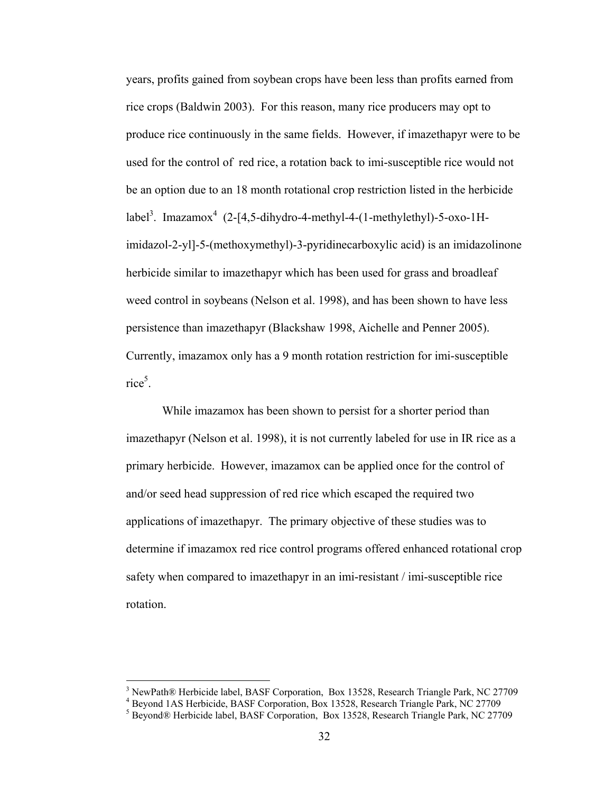years, profits gained from soybean crops have been less than profits earned from rice crops (Baldwin 2003). For this reason, many rice producers may opt to produce rice continuously in the same fields. However, if imazethapyr were to be used for the control of red rice, a rotation back to imi-susceptible rice would not be an option due to an 18 month rotational crop restriction listed in the herbicide label<sup>3</sup>. Imazamox<sup>4</sup> (2-[4,5-dihydro-4-methyl-4-(1-methylethyl)-5-oxo-1Himidazol-2-yl]-5-(methoxymethyl)-3-pyridinecarboxylic acid) is an imidazolinone herbicide similar to imazethapyr which has been used for grass and broadleaf weed control in soybeans (Nelson et al. 1998), and has been shown to have less persistence than imazethapyr (Blackshaw 1998, Aichelle and Penner 2005). Currently, imazamox only has a 9 month rotation restriction for imi-susceptible rice<sup>5</sup>.

 While imazamox has been shown to persist for a shorter period than imazethapyr (Nelson et al. 1998), it is not currently labeled for use in IR rice as a primary herbicide. However, imazamox can be applied once for the control of and/or seed head suppression of red rice which escaped the required two applications of imazethapyr. The primary objective of these studies was to determine if imazamox red rice control programs offered enhanced rotational crop safety when compared to imazethapyr in an imi-resistant / imi-susceptible rice rotation.

 $\overline{a}$ 

<sup>&</sup>lt;sup>3</sup> NewPath® Herbicide label, BASF Corporation, Box 13528, Research Triangle Park, NC 27709

<sup>4</sup> Beyond 1AS Herbicide, BASF Corporation, Box 13528, Research Triangle Park, NC 27709

<sup>&</sup>lt;sup>5</sup> Beyond® Herbicide label, BASF Corporation, Box 13528, Research Triangle Park, NC 27709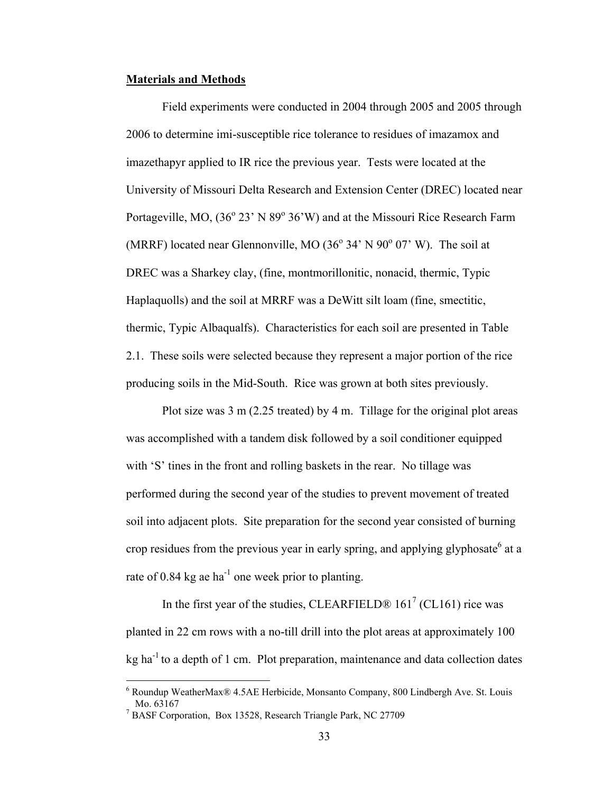#### **Materials and Methods**

Field experiments were conducted in 2004 through 2005 and 2005 through 2006 to determine imi-susceptible rice tolerance to residues of imazamox and imazethapyr applied to IR rice the previous year. Tests were located at the University of Missouri Delta Research and Extension Center (DREC) located near Portageville, MO, (36° 23' N 89° 36'W) and at the Missouri Rice Research Farm (MRRF) located near Glennonville, MO  $(36^{\circ} 34' N 90^{\circ} 07' W)$ . The soil at DREC was a Sharkey clay, (fine, montmorillonitic, nonacid, thermic, Typic Haplaquolls) and the soil at MRRF was a DeWitt silt loam (fine, smectitic, thermic, Typic Albaqualfs). Characteristics for each soil are presented in Table 2.1. These soils were selected because they represent a major portion of the rice producing soils in the Mid-South. Rice was grown at both sites previously.

 Plot size was 3 m (2.25 treated) by 4 m. Tillage for the original plot areas was accomplished with a tandem disk followed by a soil conditioner equipped with 'S' tines in the front and rolling baskets in the rear. No tillage was performed during the second year of the studies to prevent movement of treated soil into adjacent plots. Site preparation for the second year consisted of burning crop residues from the previous year in early spring, and applying glyphosate<sup>6</sup> at a rate of 0.84 kg ae ha<sup>-1</sup> one week prior to planting.

In the first year of the studies, CLEARFIELD®  $161^7$  (CL161) rice was planted in 22 cm rows with a no-till drill into the plot areas at approximately 100  $kg$  ha<sup>-1</sup> to a depth of 1 cm. Plot preparation, maintenance and data collection dates

<sup>6</sup> Roundup WeatherMax® 4.5AE Herbicide, Monsanto Company, 800 Lindbergh Ave. St. Louis Mo. 63167

<sup>&</sup>lt;sup>7</sup> BASF Corporation, Box 13528, Research Triangle Park, NC 27709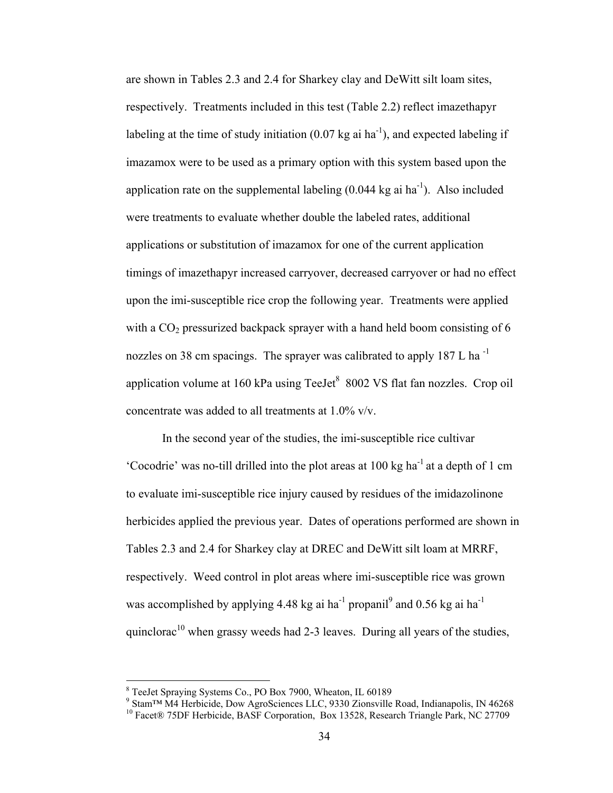are shown in Tables 2.3 and 2.4 for Sharkey clay and DeWitt silt loam sites, respectively. Treatments included in this test (Table 2.2) reflect imazethapyr labeling at the time of study initiation  $(0.07 \text{ kg} \text{ ai} \text{ ha}^{-1})$ , and expected labeling if imazamox were to be used as a primary option with this system based upon the application rate on the supplemental labeling  $(0.044 \text{ kg} \text{ ai} \text{ ha}^{-1})$ . Also included were treatments to evaluate whether double the labeled rates, additional applications or substitution of imazamox for one of the current application timings of imazethapyr increased carryover, decreased carryover or had no effect upon the imi-susceptible rice crop the following year. Treatments were applied with a  $CO<sub>2</sub>$  pressurized backpack sprayer with a hand held boom consisting of 6 nozzles on 38 cm spacings. The sprayer was calibrated to apply  $187$  L ha<sup>-1</sup> application volume at 160 kPa using  $TeeJet^8$  8002 VS flat fan nozzles. Crop oil concentrate was added to all treatments at 1.0% v/v.

 In the second year of the studies, the imi-susceptible rice cultivar 'Cocodrie' was no-till drilled into the plot areas at 100 kg ha-1 at a depth of 1 cm to evaluate imi-susceptible rice injury caused by residues of the imidazolinone herbicides applied the previous year. Dates of operations performed are shown in Tables 2.3 and 2.4 for Sharkey clay at DREC and DeWitt silt loam at MRRF, respectively. Weed control in plot areas where imi-susceptible rice was grown was accomplished by applying 4.48 kg ai ha<sup>-1</sup> propanil<sup>9</sup> and 0.56 kg ai ha<sup>-1</sup> quinclorac<sup>10</sup> when grassy weeds had 2-3 leaves. During all years of the studies,

 $\overline{a}$ 

<sup>&</sup>lt;sup>8</sup> TeeJet Spraying Systems Co., PO Box 7900, Wheaton, IL 60189

<sup>&</sup>lt;sup>9</sup> Stam™ M4 Herbicide, Dow AgroSciences LLC, 9330 Zionsville Road, Indianapolis, IN 46268

<sup>&</sup>lt;sup>10</sup> Facet® 75DF Herbicide, BASF Corporation, Box 13528, Research Triangle Park, NC 27709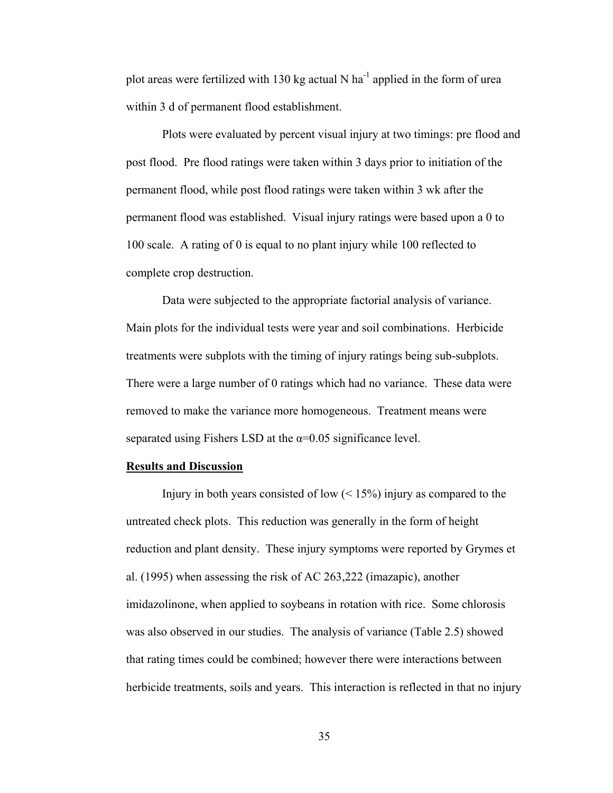plot areas were fertilized with 130 kg actual N ha<sup>-1</sup> applied in the form of urea within 3 d of permanent flood establishment.

 Plots were evaluated by percent visual injury at two timings: pre flood and post flood. Pre flood ratings were taken within 3 days prior to initiation of the permanent flood, while post flood ratings were taken within 3 wk after the permanent flood was established. Visual injury ratings were based upon a 0 to 100 scale. A rating of 0 is equal to no plant injury while 100 reflected to complete crop destruction.

 Data were subjected to the appropriate factorial analysis of variance. Main plots for the individual tests were year and soil combinations. Herbicide treatments were subplots with the timing of injury ratings being sub-subplots. There were a large number of 0 ratings which had no variance. These data were removed to make the variance more homogeneous. Treatment means were separated using Fishers LSD at the  $\alpha$ =0.05 significance level.

## **Results and Discussion**

Injury in both years consisted of low  $($  < 15%) injury as compared to the untreated check plots. This reduction was generally in the form of height reduction and plant density. These injury symptoms were reported by Grymes et al. (1995) when assessing the risk of AC 263,222 (imazapic), another imidazolinone, when applied to soybeans in rotation with rice. Some chlorosis was also observed in our studies. The analysis of variance (Table 2.5) showed that rating times could be combined; however there were interactions between herbicide treatments, soils and years. This interaction is reflected in that no injury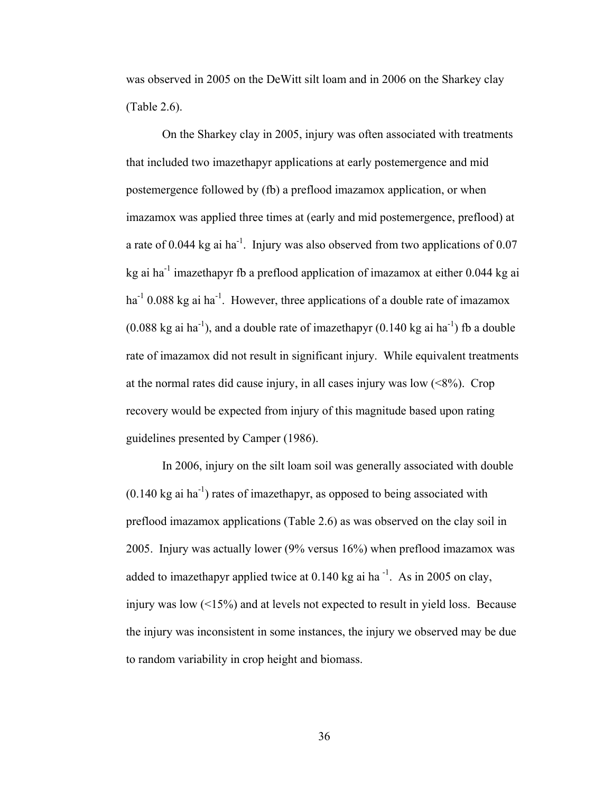was observed in 2005 on the DeWitt silt loam and in 2006 on the Sharkey clay (Table 2.6).

 On the Sharkey clay in 2005, injury was often associated with treatments that included two imazethapyr applications at early postemergence and mid postemergence followed by (fb) a preflood imazamox application, or when imazamox was applied three times at (early and mid postemergence, preflood) at a rate of 0.044 kg ai ha<sup>-1</sup>. Injury was also observed from two applications of 0.07 kg ai ha<sup>-1</sup> imazethapyr fb a preflood application of imazamox at either  $0.044$  kg ai  $ha^{-1}$  0.088 kg ai ha<sup>-1</sup>. However, three applications of a double rate of imazamox  $(0.088 \text{ kg} \text{ ai} \text{ ha}^{-1})$ , and a double rate of imazethapyr  $(0.140 \text{ kg} \text{ ai} \text{ ha}^{-1})$  fb a double rate of imazamox did not result in significant injury. While equivalent treatments at the normal rates did cause injury, in all cases injury was low  $(\leq 8\%)$ . Crop recovery would be expected from injury of this magnitude based upon rating guidelines presented by Camper (1986).

 In 2006, injury on the silt loam soil was generally associated with double  $(0.140 \text{ kg} \text{ ai} \text{ ha}^{-1})$  rates of imazethapyr, as opposed to being associated with preflood imazamox applications (Table 2.6) as was observed on the clay soil in 2005. Injury was actually lower (9% versus 16%) when preflood imazamox was added to imazethapyr applied twice at  $0.140$  kg ai ha<sup>-1</sup>. As in 2005 on clay, injury was low  $\left( \langle 15\% \rangle \right)$  and at levels not expected to result in yield loss. Because the injury was inconsistent in some instances, the injury we observed may be due to random variability in crop height and biomass.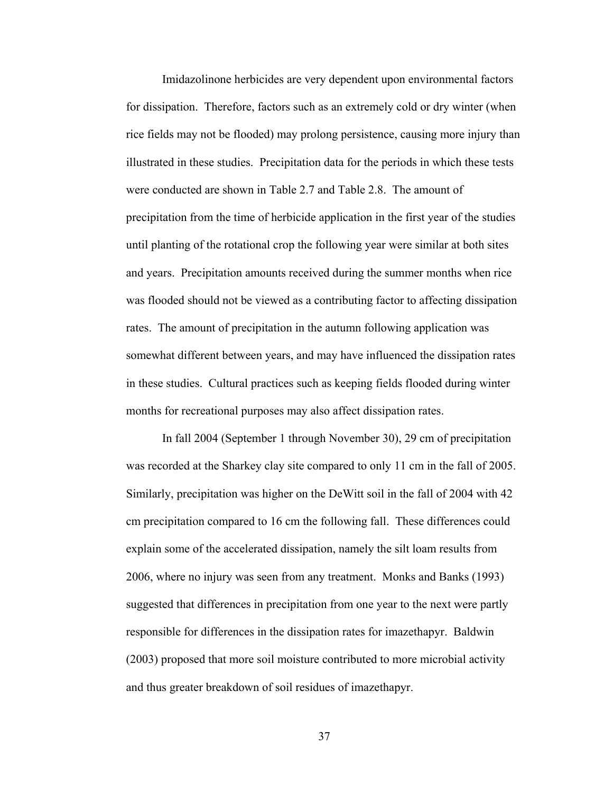Imidazolinone herbicides are very dependent upon environmental factors for dissipation. Therefore, factors such as an extremely cold or dry winter (when rice fields may not be flooded) may prolong persistence, causing more injury than illustrated in these studies. Precipitation data for the periods in which these tests were conducted are shown in Table 2.7 and Table 2.8. The amount of precipitation from the time of herbicide application in the first year of the studies until planting of the rotational crop the following year were similar at both sites and years. Precipitation amounts received during the summer months when rice was flooded should not be viewed as a contributing factor to affecting dissipation rates. The amount of precipitation in the autumn following application was somewhat different between years, and may have influenced the dissipation rates in these studies. Cultural practices such as keeping fields flooded during winter months for recreational purposes may also affect dissipation rates.

 In fall 2004 (September 1 through November 30), 29 cm of precipitation was recorded at the Sharkey clay site compared to only 11 cm in the fall of 2005. Similarly, precipitation was higher on the DeWitt soil in the fall of 2004 with 42 cm precipitation compared to 16 cm the following fall. These differences could explain some of the accelerated dissipation, namely the silt loam results from 2006, where no injury was seen from any treatment. Monks and Banks (1993) suggested that differences in precipitation from one year to the next were partly responsible for differences in the dissipation rates for imazethapyr. Baldwin (2003) proposed that more soil moisture contributed to more microbial activity and thus greater breakdown of soil residues of imazethapyr.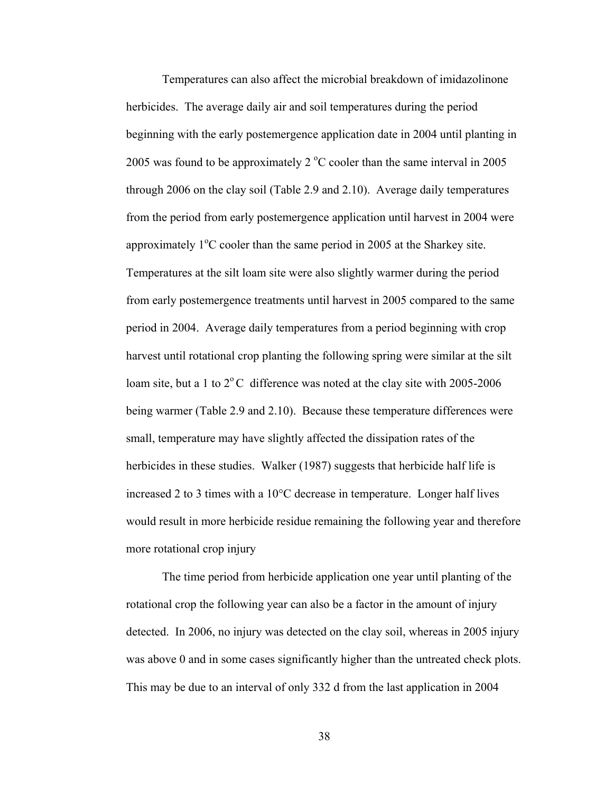Temperatures can also affect the microbial breakdown of imidazolinone herbicides. The average daily air and soil temperatures during the period beginning with the early postemergence application date in 2004 until planting in 2005 was found to be approximately  $2^{\circ}$ C cooler than the same interval in 2005 through 2006 on the clay soil (Table 2.9 and 2.10). Average daily temperatures from the period from early postemergence application until harvest in 2004 were approximately  $1^{\circ}$ C cooler than the same period in 2005 at the Sharkey site. Temperatures at the silt loam site were also slightly warmer during the period from early postemergence treatments until harvest in 2005 compared to the same period in 2004. Average daily temperatures from a period beginning with crop harvest until rotational crop planting the following spring were similar at the silt loam site, but a 1 to  $2^{\circ}$ C difference was noted at the clay site with 2005-2006 being warmer (Table 2.9 and 2.10). Because these temperature differences were small, temperature may have slightly affected the dissipation rates of the herbicides in these studies. Walker (1987) suggests that herbicide half life is increased 2 to 3 times with a 10°C decrease in temperature. Longer half lives would result in more herbicide residue remaining the following year and therefore more rotational crop injury

 The time period from herbicide application one year until planting of the rotational crop the following year can also be a factor in the amount of injury detected. In 2006, no injury was detected on the clay soil, whereas in 2005 injury was above 0 and in some cases significantly higher than the untreated check plots. This may be due to an interval of only 332 d from the last application in 2004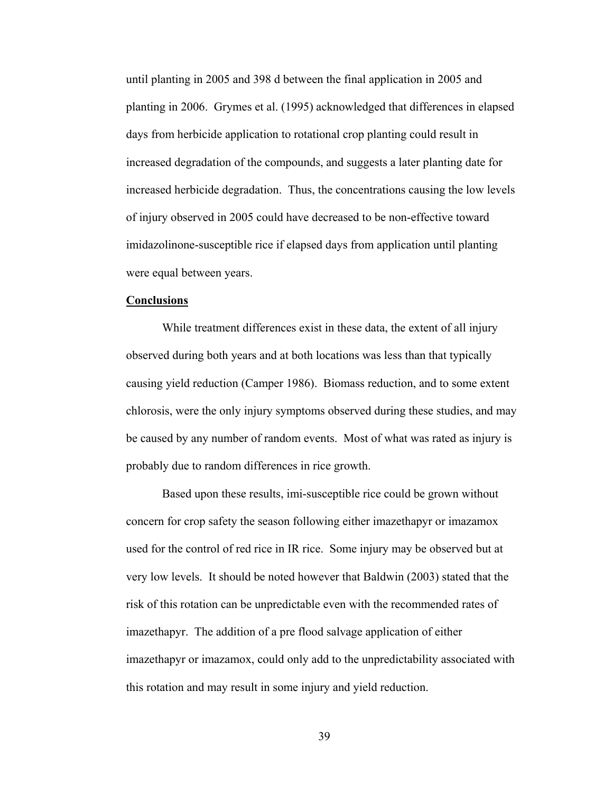until planting in 2005 and 398 d between the final application in 2005 and planting in 2006. Grymes et al. (1995) acknowledged that differences in elapsed days from herbicide application to rotational crop planting could result in increased degradation of the compounds, and suggests a later planting date for increased herbicide degradation. Thus, the concentrations causing the low levels of injury observed in 2005 could have decreased to be non-effective toward imidazolinone-susceptible rice if elapsed days from application until planting were equal between years.

#### **Conclusions**

 While treatment differences exist in these data, the extent of all injury observed during both years and at both locations was less than that typically causing yield reduction (Camper 1986). Biomass reduction, and to some extent chlorosis, were the only injury symptoms observed during these studies, and may be caused by any number of random events. Most of what was rated as injury is probably due to random differences in rice growth.

 Based upon these results, imi-susceptible rice could be grown without concern for crop safety the season following either imazethapyr or imazamox used for the control of red rice in IR rice. Some injury may be observed but at very low levels. It should be noted however that Baldwin (2003) stated that the risk of this rotation can be unpredictable even with the recommended rates of imazethapyr. The addition of a pre flood salvage application of either imazethapyr or imazamox, could only add to the unpredictability associated with this rotation and may result in some injury and yield reduction.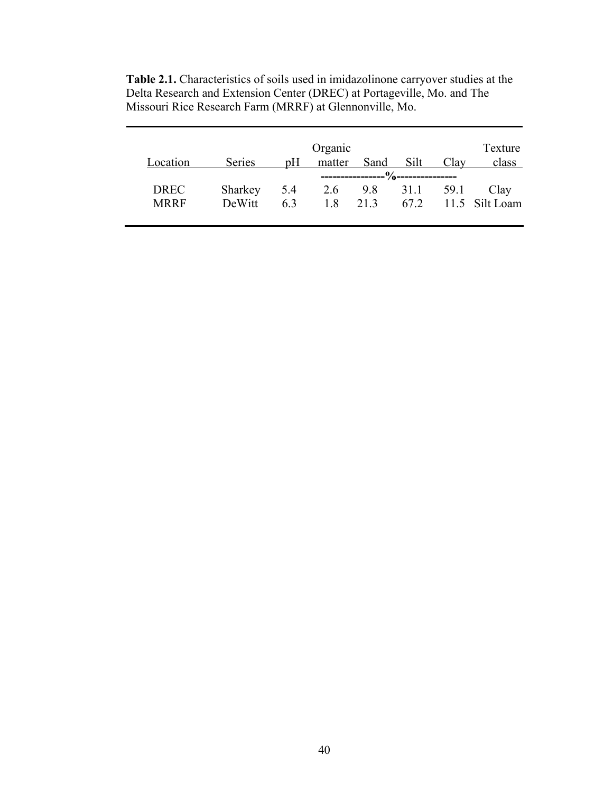|             |               |     | Organic |      |          |      | Texture        |
|-------------|---------------|-----|---------|------|----------|------|----------------|
| Location    | <b>Series</b> | pH  | matter  | Sand | Silt     | Clay | class          |
|             |               |     |         |      |          |      |                |
| <b>DREC</b> | Sharkey       | 5.4 | 2.6     |      | 9.8 31.1 | 59.1 | Clay           |
| <b>MRRF</b> | DeWitt        | 63  | 18      | 213  | 67.2     |      | 11.5 Silt Loam |
|             |               |     |         |      |          |      |                |

**Table 2.1.** Characteristics of soils used in imidazolinone carryover studies at the Delta Research and Extension Center (DREC) at Portageville, Mo. and The Missouri Rice Research Farm (MRRF) at Glennonville, Mo.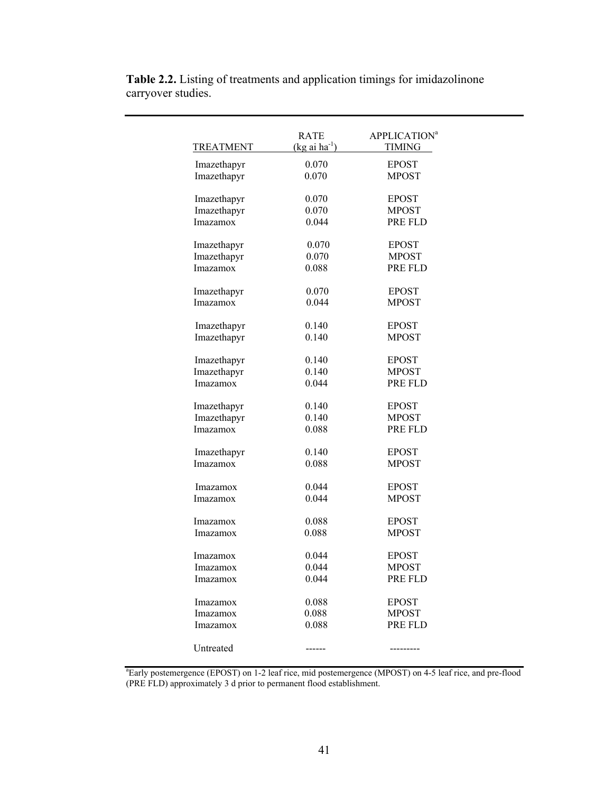| TREATMENT       | RATE<br>$(kg \text{ ai ha}^{-1})$ | <b>APPLICATION</b> <sup>a</sup><br>TIMING |
|-----------------|-----------------------------------|-------------------------------------------|
| Imazethapyr     | 0.070                             | <b>EPOST</b>                              |
| Imazethapyr     | 0.070                             | <b>MPOST</b>                              |
| Imazethapyr     | 0.070                             | <b>EPOST</b>                              |
| Imazethapyr     | 0.070                             | <b>MPOST</b>                              |
| Imazamox        | 0.044                             | PRE FLD                                   |
| Imazethapyr     | 0.070                             | <b>EPOST</b>                              |
| Imazethapyr     | 0.070                             | <b>MPOST</b>                              |
| Imazamox        | 0.088                             | PRE FLD                                   |
| Imazethapyr     | 0.070                             | <b>EPOST</b>                              |
| Imazamox        | 0.044                             | <b>MPOST</b>                              |
| Imazethapyr     | 0.140                             | <b>EPOST</b>                              |
| Imazethapyr     | 0.140                             | <b>MPOST</b>                              |
| Imazethapyr     | 0.140                             | <b>EPOST</b>                              |
| Imazethapyr     | 0.140                             | <b>MPOST</b>                              |
| Imazamox        | 0.044                             | PRE FLD                                   |
| Imazethapyr     | 0.140                             | <b>EPOST</b>                              |
| Imazethapyr     | 0.140                             | <b>MPOST</b>                              |
| Imazamox        | 0.088                             | PRE FLD                                   |
| Imazethapyr     | 0.140                             | <b>EPOST</b>                              |
| Imazamox        | 0.088                             | <b>MPOST</b>                              |
| <i>Imazamox</i> | 0.044                             | <b>EPOST</b>                              |
| Imazamox        | 0.044                             | <b>MPOST</b>                              |
| <i>Imazamox</i> | 0.088                             | <b>EPOST</b>                              |
| <i>Imazamox</i> | 0.088                             | <b>MPOST</b>                              |
| Imazamox        | 0.044                             | <b>EPOST</b>                              |
| Imazamox        | 0.044                             | <b>MPOST</b>                              |
| Imazamox        | 0.044                             | PRE FLD                                   |
| Imazamox        | 0.088                             | <b>EPOST</b>                              |
| Imazamox        | 0.088                             | <b>MPOST</b>                              |
| <i>Imazamox</i> | 0.088                             | PRE FLD                                   |
| Untreated       |                                   |                                           |

**Table 2.2.** Listing of treatments and application timings for imidazolinone carryover studies.

a Early postemergence (EPOST) on 1-2 leaf rice, mid postemergence (MPOST) on 4-5 leaf rice, and pre-flood (PRE FLD) approximately 3 d prior to permanent flood establishment.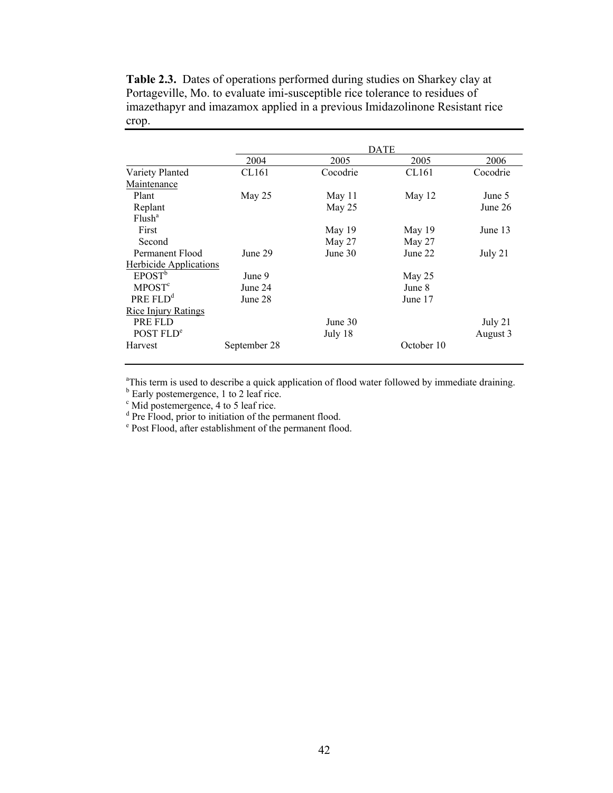|                               |              |          | <b>DATE</b> |          |
|-------------------------------|--------------|----------|-------------|----------|
|                               | 2004         | 2005     | 2005        | 2006     |
| Variety Planted               | CL161        | Cocodrie | CL161       | Cocodrie |
| Maintenance                   |              |          |             |          |
| Plant                         | May $25$     | May 11   | May 12      | June 5   |
| Replant                       |              | May 25   |             | June 26  |
| Flush <sup>a</sup>            |              |          |             |          |
| First                         |              | May 19   | May 19      | June 13  |
| Second                        |              | May 27   | May $27$    |          |
| Permanent Flood               | June 29      | June 30  | June 22     | July 21  |
| <b>Herbicide Applications</b> |              |          |             |          |
| EPOST <sup>b</sup>            | June 9       |          | May 25      |          |
| <b>MPOST<sup>c</sup></b>      | June 24      |          | June 8      |          |
| PRE FLD <sup>d</sup>          | June 28      |          | June 17     |          |
| Rice Injury Ratings           |              |          |             |          |
| PRE FLD                       |              | June 30  |             | July 21  |
| POST FLD <sup>e</sup>         |              | July 18  |             | August 3 |
| Harvest                       | September 28 |          | October 10  |          |

**Table 2.3.** Dates of operations performed during studies on Sharkey clay at Portageville, Mo. to evaluate imi-susceptible rice tolerance to residues of imazethapyr and imazamox applied in a previous Imidazolinone Resistant rice crop.

<sup>a</sup>This term is used to describe a quick application of flood water followed by immediate draining.

 $\sigma^b$  Early postemergence, 1 to 2 leaf rice.<br>  $\sigma^c$  Mid postemergence, 4 to 5 leaf rice.

<sup>d</sup> Pre Flood, prior to initiation of the permanent flood.<br><sup>e</sup> Post Flood, after establishment of the permanent flood.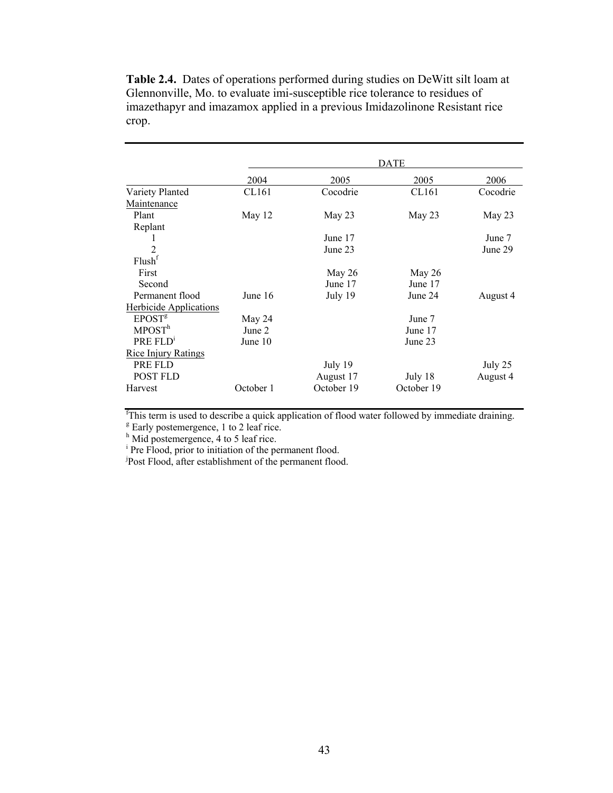|                               | <b>DATE</b> |            |            |          |  |  |
|-------------------------------|-------------|------------|------------|----------|--|--|
|                               | 2004        | 2005       | 2005       | 2006     |  |  |
| Variety Planted               | CL161       | Cocodrie   | CL161      | Cocodrie |  |  |
| Maintenance                   |             |            |            |          |  |  |
| Plant                         | May 12      | May 23     | May 23     | May 23   |  |  |
| Replant                       |             |            |            |          |  |  |
|                               |             | June 17    |            | June 7   |  |  |
| $\overline{2}$                |             | June 23    |            | June 29  |  |  |
| Flush <sup>f</sup>            |             |            |            |          |  |  |
| First                         |             | May $26$   | May 26     |          |  |  |
| Second                        |             | June 17    | June 17    |          |  |  |
| Permanent flood               | June 16     | July 19    | June 24    | August 4 |  |  |
| <b>Herbicide Applications</b> |             |            |            |          |  |  |
| EPOST <sup>g</sup>            | May 24      |            | June 7     |          |  |  |
| MPOST <sup>h</sup>            | June 2      |            | June 17    |          |  |  |
| PRE FLD <sup>1</sup>          | June 10     |            | June 23    |          |  |  |
| <b>Rice Injury Ratings</b>    |             |            |            |          |  |  |
| PRE FLD                       |             | July 19    |            | July 25  |  |  |
| <b>POST FLD</b>               |             | August 17  | July 18    | August 4 |  |  |
| Harvest                       | October 1   | October 19 | October 19 |          |  |  |

**Table 2.4.** Dates of operations performed during studies on DeWitt silt loam at Glennonville, Mo. to evaluate imi-susceptible rice tolerance to residues of imazethapyr and imazamox applied in a previous Imidazolinone Resistant rice crop.

<sup>f</sup>This term is used to describe a quick application of flood water followed by immediate draining.

<sup>g</sup> Early postemergence, 1 to 2 leaf rice.<br>
<sup>h</sup> Mid postemergence, 4 to 5 leaf rice.<br>
<sup>i</sup> Pre Flood, prior to initiation of the permanent flood.<br>
<sup>j</sup>Post Flood, after establishment of the permanent flood.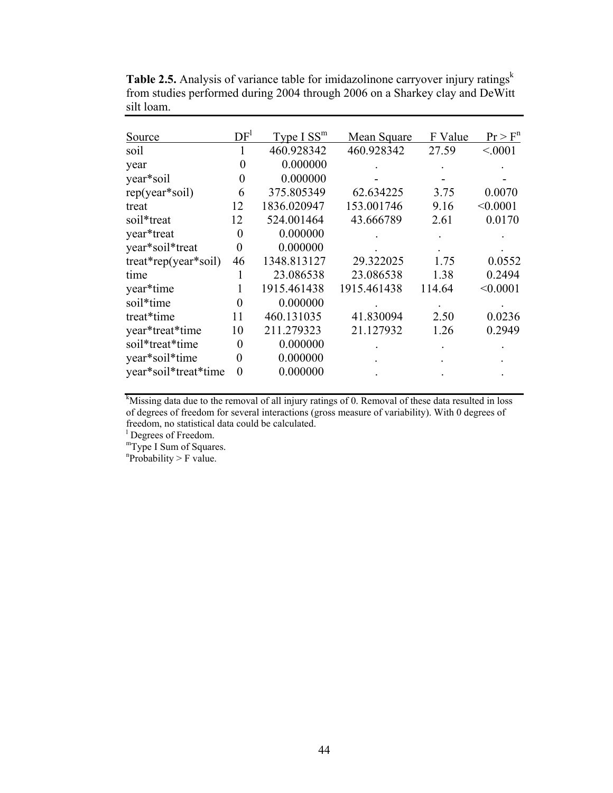| Source                 | DF <sup>1</sup> | Type I SS <sup>m</sup> | Mean Square | F Value | Pr > F <sup>n</sup> |
|------------------------|-----------------|------------------------|-------------|---------|---------------------|
| soil                   |                 | 460.928342             | 460.928342  | 27.59   | < 0001              |
| year                   | 0               | 0.000000               |             |         |                     |
| year*soil              | 0               | 0.000000               |             |         |                     |
| rep(year*soil)         | 6               | 375.805349             | 62.634225   | 3.75    | 0.0070              |
| treat                  | 12              | 1836.020947            | 153.001746  | 9.16    | < 0.0001            |
| soil*treat             | 12              | 524.001464             | 43.666789   | 2.61    | 0.0170              |
| year*treat             | 0               | 0.000000               |             |         |                     |
| year*soil*treat        | $\theta$        | 0.000000               |             |         |                     |
| $treat*rep(year*soil)$ | 46              | 1348.813127            | 29.322025   | 1.75    | 0.0552              |
| time                   | 1               | 23.086538              | 23.086538   | 1.38    | 0.2494              |
| year*time              |                 | 1915.461438            | 1915.461438 | 114.64  | < 0.0001            |
| soil*time              | 0               | 0.000000               |             |         |                     |
| treat*time             | 11              | 460.131035             | 41.830094   | 2.50    | 0.0236              |
| year*treat*time        | 10              | 211.279323             | 21.127932   | 1.26    | 0.2949              |
| soil*treat*time        | 0               | 0.000000               |             |         |                     |
| year*soil*time         | 0               | 0.000000               |             |         |                     |
| year*soil*treat*time   | 0               | 0.000000               |             |         |                     |

Table 2.5. Analysis of variance table for imidazolinone carryover injury ratings<sup>k</sup> from studies performed during 2004 through 2006 on a Sharkey clay and DeWitt silt loam.

<sup>k</sup>Missing data due to the removal of all injury ratings of 0. Removal of these data resulted in loss of degrees of freedom for several interactions (gross measure of variability). With 0 degrees of freedom, no statistical data could be calculated.

<sup>1</sup> Degrees of Freedom.

mType I Sum of Squares.

"Probability > F value.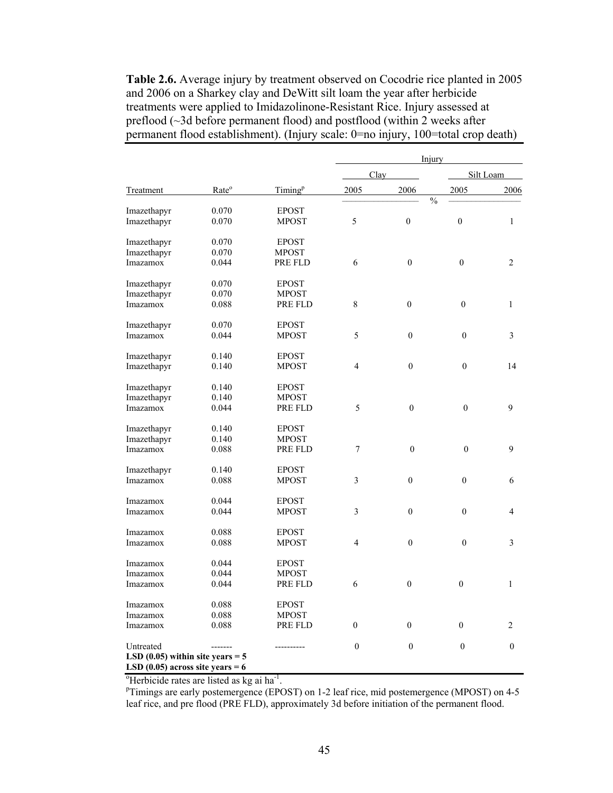**Table 2.6.** Average injury by treatment observed on Cocodrie rice planted in 2005 and 2006 on a Sharkey clay and DeWitt silt loam the year after herbicide treatments were applied to Imidazolinone-Resistant Rice. Injury assessed at preflood (~3d before permanent flood) and postflood (within 2 weeks after permanent flood establishment). (Injury scale: 0=no injury, 100=total crop death)

|                                    |                   |                     | Injury         |                  |                                  |                |
|------------------------------------|-------------------|---------------------|----------------|------------------|----------------------------------|----------------|
|                                    |                   |                     | Clay           |                  |                                  | Silt Loam      |
| <b>Treatment</b>                   | Rate <sup>o</sup> | Timing <sup>p</sup> | 2005           | 2006             | 2005<br>$\overline{\frac{0}{0}}$ | 2006           |
| Imazethapyr                        | 0.070             | <b>EPOST</b>        |                |                  |                                  |                |
| Imazethapyr                        | 0.070             | <b>MPOST</b>        | 5              | $\mathbf{0}$     | $\mathbf{0}$                     | $\mathbf{1}$   |
| Imazethapyr                        | 0.070             | <b>EPOST</b>        |                |                  |                                  |                |
| Imazethapyr                        | 0.070             | <b>MPOST</b>        |                |                  |                                  |                |
| Imazamox                           | 0.044             | PRE FLD             | 6              | $\boldsymbol{0}$ | $\boldsymbol{0}$                 | $\overline{c}$ |
|                                    |                   |                     |                |                  |                                  |                |
| Imazethapyr                        | 0.070             | <b>EPOST</b>        |                |                  |                                  |                |
| Imazethapyr                        | 0.070             | <b>MPOST</b>        |                |                  |                                  |                |
| Imazamox                           | 0.088             | PRE FLD             | $8\,$          | $\overline{0}$   | $\mathbf{0}$                     | $\mathbf{1}$   |
| Imazethapyr                        | 0.070             | <b>EPOST</b>        |                |                  |                                  |                |
| Imazamox                           | 0.044             | MPOST               | 5              | $\boldsymbol{0}$ | $\mathbf{0}$                     | $\overline{3}$ |
|                                    |                   |                     |                |                  |                                  |                |
| Imazethapyr                        | 0.140             | <b>EPOST</b>        |                |                  |                                  |                |
| Imazethapyr                        | 0.140             | <b>MPOST</b>        | 4              | $\boldsymbol{0}$ | $\overline{0}$                   | 14             |
| Imazethapyr                        | 0.140             | <b>EPOST</b>        |                |                  |                                  |                |
| Imazethapyr                        | 0.140             | <b>MPOST</b>        |                |                  |                                  |                |
| Imazamox                           | 0.044             | PRE FLD             | 5              | $\theta$         | $\mathbf{0}$                     | 9              |
|                                    |                   |                     |                |                  |                                  |                |
| Imazethapyr                        | 0.140             | <b>EPOST</b>        |                |                  |                                  |                |
| Imazethapyr                        | 0.140             | <b>MPOST</b>        |                |                  |                                  |                |
| Imazamox                           | 0.088             | PRE FLD             | $\overline{7}$ | $\mathbf{0}$     | $\mathbf{0}$                     | 9              |
| Imazethapyr                        | 0.140             | <b>EPOST</b>        |                |                  |                                  |                |
| Imazamox                           | 0.088             | <b>MPOST</b>        | 3              | $\mathbf{0}$     | $\mathbf{0}$                     | 6              |
|                                    |                   |                     |                |                  |                                  |                |
| Imazamox                           | 0.044             | EPOST               |                |                  |                                  |                |
| Imazamox                           | 0.044             | MPOST               | 3              | $\theta$         | $\theta$                         | $\overline{4}$ |
| Imazamox                           | 0.088             | <b>EPOST</b>        |                |                  |                                  |                |
| Imazamox                           | 0.088             | <b>MPOST</b>        | $\overline{4}$ | $\theta$         | $\theta$                         | 3              |
|                                    |                   |                     |                |                  |                                  |                |
| Imazamox                           | 0.044             | <b>EPOST</b>        |                |                  |                                  |                |
| Imazamox                           | 0.044             | <b>MPOST</b>        |                |                  |                                  |                |
| Imazamox                           | 0.044             | PRE FLD             | 6              | $\boldsymbol{0}$ | $\overline{0}$                   | $\mathbf{1}$   |
| Imazamox                           | 0.088             | EPOST               |                |                  |                                  |                |
| Imazamox                           | 0.088             | <b>MPOST</b>        |                |                  |                                  |                |
| Imazamox                           | 0.088             | PRE FLD             | $\mathbf{0}$   | $\overline{0}$   | $\overline{0}$                   | 2              |
|                                    |                   |                     |                |                  |                                  |                |
| Untreated                          |                   |                     | $\mathbf{0}$   | $\overline{0}$   | $\boldsymbol{0}$                 | $\mathbf{0}$   |
| LSD $(0.05)$ within site years = 5 |                   |                     |                |                  |                                  |                |
| LSD $(0.05)$ across site years = 6 |                   |                     |                |                  |                                  |                |

<sup>o</sup>Herbicide rates are listed as kg ai ha<sup>-1</sup>.<br>PTimings are early nestameranes (EDC)

<sup>P</sup>Timings are early postemergence (EPOST) on 1-2 leaf rice, mid postemergence (MPOST) on 4-5 leaf rice, and pre flood (PRE FLD), approximately 3d before initiation of the permanent flood.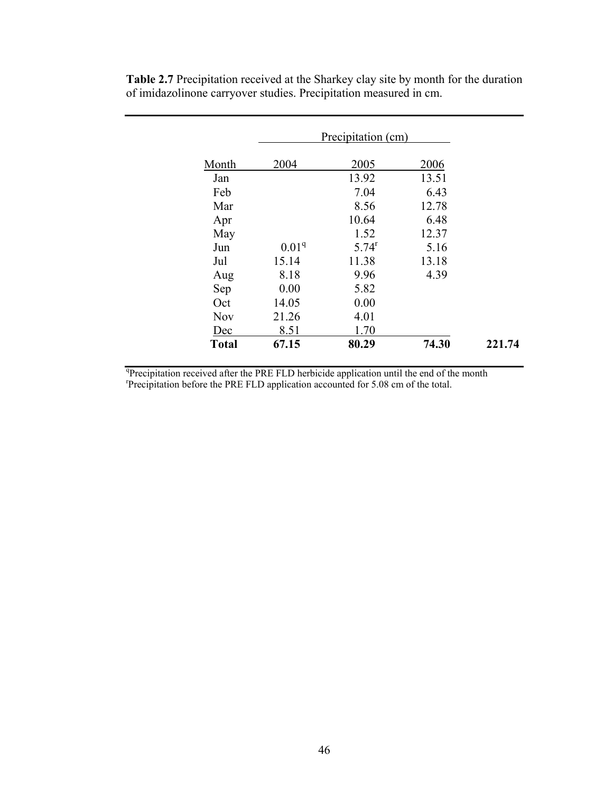|              | Precipitation (cm) |          |       |        |  |  |
|--------------|--------------------|----------|-------|--------|--|--|
|              |                    |          |       |        |  |  |
| Month        | 2004               | 2005     | 2006  |        |  |  |
| Jan          |                    | 13.92    | 13.51 |        |  |  |
| Feb          |                    | 7.04     | 6.43  |        |  |  |
| Mar          |                    | 8.56     | 12.78 |        |  |  |
| Apr          |                    | 10.64    | 6.48  |        |  |  |
| May          |                    | 1.52     | 12.37 |        |  |  |
| Jun          | 0.01 <sup>q</sup>  | $5.74^r$ | 5.16  |        |  |  |
| Jul          | 15.14              | 11.38    | 13.18 |        |  |  |
| Aug          | 8.18               | 9.96     | 4.39  |        |  |  |
| Sep          | 0.00               | 5.82     |       |        |  |  |
| Oct          | 14.05              | 0.00     |       |        |  |  |
| <b>Nov</b>   | 21.26              | 4.01     |       |        |  |  |
| Dec          | 8.51               | 1.70     |       |        |  |  |
| <b>Total</b> | 67.15              | 80.29    | 74.30 | 221.74 |  |  |

**Table 2.7** Precipitation received at the Sharkey clay site by month for the duration of imidazolinone carryover studies. Precipitation measured in cm.

<sup>q</sup>Precipitation received after the PRE FLD herbicide application until the end of the month representation before the BRE FLD application assessmented for 5.08 cm of the total Precipitation before the PRE FLD application accounted for 5.08 cm of the total.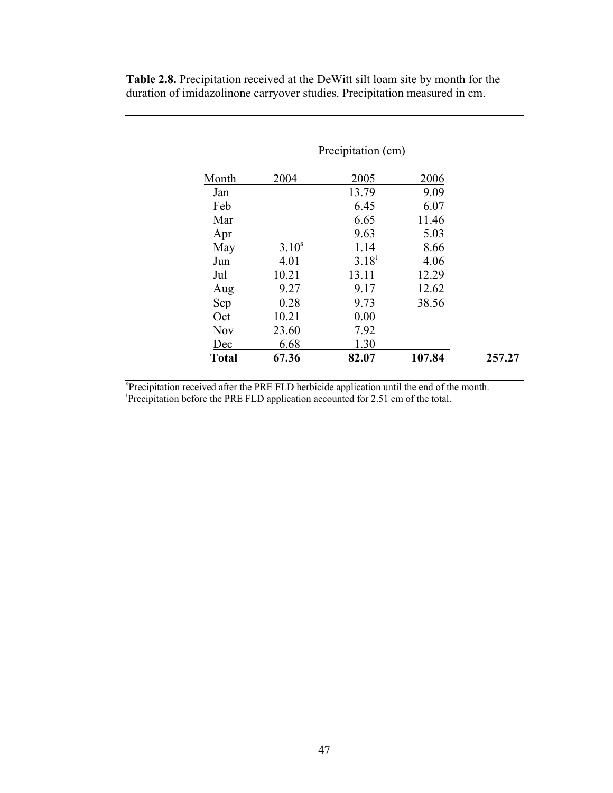|              |            | Precipitation (cm) |        |
|--------------|------------|--------------------|--------|
| Month        | 2004       | 2005               | 2006   |
| Jan          |            | 13.79              | 9.09   |
| Feb          |            | 6.45               | 6.07   |
| Mar          |            | 6.65               | 11.46  |
| Apr          |            | 9.63               | 5.03   |
| May          | $3.10^{s}$ | 1.14               | 8.66   |
| Jun          | 4.01       | $3.18^{t}$         | 4.06   |
| Jul          | 10.21      | 13.11              | 12.29  |
| Aug          | 9.27       | 9.17               | 12.62  |
| Sep          | 0.28       | 9.73               | 38.56  |
| Oct          | 10.21      | 0.00               |        |
| <b>Nov</b>   | 23.60      | 7.92               |        |
| Dec          | 6.68       | 1.30               |        |
| <b>Total</b> | 67.36      | 82.07              | 107.84 |

**Table 2.8.** Precipitation received at the DeWitt silt loam site by month for the duration of imidazolinone carryover studies. Precipitation measured in cm.

<sup>s</sup>Precipitation received after the PRE FLD herbicide application until the end of the month.<br><sup>t</sup>Precipitation before the PRE FLD emplication accounted for 2.5.1 cm of the total Precipitation before the PRE FLD application accounted for 2.51 cm of the total.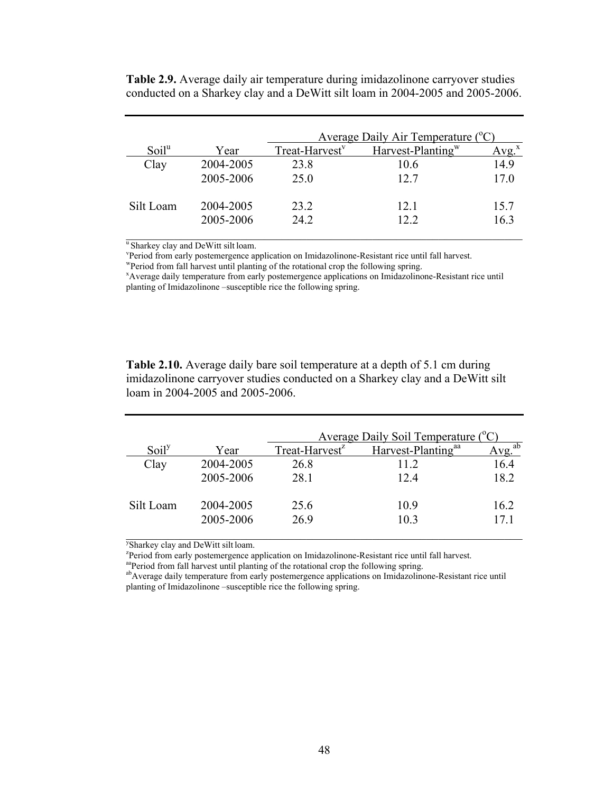|                   |           |                            | Average Daily Air Temperature $(^{\circ}C)$ |      |
|-------------------|-----------|----------------------------|---------------------------------------------|------|
| Soil <sup>u</sup> | Year      | Treat-Harvest <sup>v</sup> | Harvest-Planting <sup>w</sup>               |      |
| Clay              | 2004-2005 | 23.8                       | 10.6                                        | 14.9 |
|                   | 2005-2006 | 25.0                       | 12.7                                        | 17.0 |
| Silt Loam         | 2004-2005 | 23.2                       | 12.1                                        | 15.7 |
|                   | 2005-2006 | 24.2                       | 12.2                                        | 16.3 |

**Table 2.9.** Average daily air temperature during imidazolinone carryover studies conducted on a Sharkey clay and a DeWitt silt loam in 2004-2005 and 2005-2006.

<sup>u</sup> Sharkey clay and DeWitt silt loam.

v Period from early postemergence application on Imidazolinone-Resistant rice until fall harvest.

wPeriod from fall harvest until planting of the rotational crop the following spring.

x Average daily temperature from early postemergence applications on Imidazolinone-Resistant rice until planting of Imidazolinone –susceptible rice the following spring.

**Table 2.10.** Average daily bare soil temperature at a depth of 5.1 cm during imidazolinone carryover studies conducted on a Sharkey clay and a DeWitt silt loam in 2004-2005 and 2005-2006.

|                   |           | <u>Average Daily Soil Temperature (°C)</u> |                                |                       |  |  |
|-------------------|-----------|--------------------------------------------|--------------------------------|-----------------------|--|--|
| Soil <sup>y</sup> | Year      | Treat-Harvest <sup>z</sup>                 | Harvest-Planting <sup>aa</sup> | $\overline{Avg}^{ab}$ |  |  |
| Clay              | 2004-2005 | 26.8                                       | 11 2                           | 16.4                  |  |  |
|                   | 2005-2006 | 28.1                                       | 124                            | 18.2                  |  |  |
| Silt Loam         | 2004-2005 | 25.6                                       | 109                            | 162                   |  |  |
|                   | 2005-2006 | 26.9                                       | 10.3                           | 17.1                  |  |  |

y Sharkey clay and DeWitt silt loam.

<sup>2</sup>Period from early postemergence application on Imidazolinone-Resistant rice until fall harvest.

aaPeriod from fall harvest until planting of the rotational crop the following spring.

abAverage daily temperature from early postemergence applications on Imidazolinone-Resistant rice until planting of Imidazolinone –susceptible rice the following spring.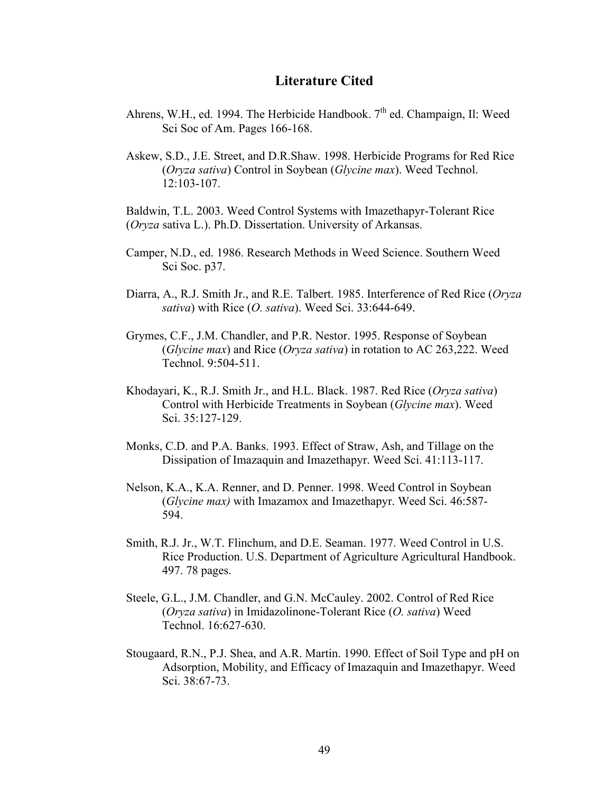# **Literature Cited**

- Ahrens, W.H., ed. 1994. The Herbicide Handbook.  $7<sup>th</sup>$  ed. Champaign, Il: Weed Sci Soc of Am. Pages 166-168.
- Askew, S.D., J.E. Street, and D.R.Shaw. 1998. Herbicide Programs for Red Rice (*Oryza sativa*) Control in Soybean (*Glycine max*). Weed Technol. 12:103-107.

Baldwin, T.L. 2003. Weed Control Systems with Imazethapyr-Tolerant Rice (*Oryza* sativa L.). Ph.D. Dissertation. University of Arkansas.

- Camper, N.D., ed. 1986. Research Methods in Weed Science. Southern Weed Sci Soc. p37.
- Diarra, A., R.J. Smith Jr., and R.E. Talbert. 1985. Interference of Red Rice (*Oryza sativa*) with Rice (*O. sativa*). Weed Sci. 33:644-649.
- Grymes, C.F., J.M. Chandler, and P.R. Nestor. 1995. Response of Soybean (*Glycine max*) and Rice (*Oryza sativa*) in rotation to AC 263,222. Weed Technol. 9:504-511.
- Khodayari, K., R.J. Smith Jr., and H.L. Black. 1987. Red Rice (*Oryza sativa*) Control with Herbicide Treatments in Soybean (*Glycine max*). Weed Sci. 35:127-129.
- Monks, C.D. and P.A. Banks. 1993. Effect of Straw, Ash, and Tillage on the Dissipation of Imazaquin and Imazethapyr. Weed Sci. 41:113-117.
- Nelson, K.A., K.A. Renner, and D. Penner. 1998. Weed Control in Soybean (*Glycine max)* with Imazamox and Imazethapyr. Weed Sci. 46:587- 594.
- Smith, R.J. Jr., W.T. Flinchum, and D.E. Seaman. 1977. Weed Control in U.S. Rice Production. U.S. Department of Agriculture Agricultural Handbook. 497. 78 pages.
- Steele, G.L., J.M. Chandler, and G.N. McCauley. 2002. Control of Red Rice (*Oryza sativa*) in Imidazolinone-Tolerant Rice (*O. sativa*) Weed Technol. 16:627-630.
- Stougaard, R.N., P.J. Shea, and A.R. Martin. 1990. Effect of Soil Type and pH on Adsorption, Mobility, and Efficacy of Imazaquin and Imazethapyr. Weed Sci. 38:67-73.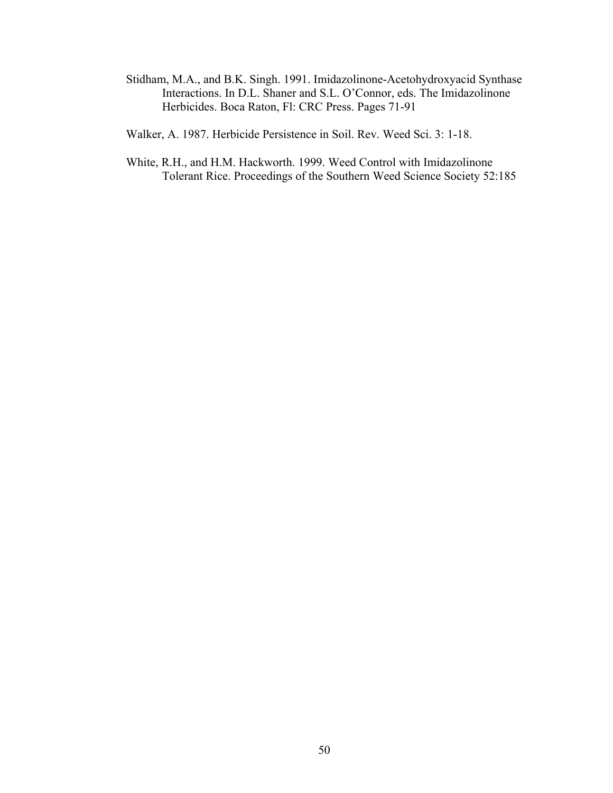Stidham, M.A., and B.K. Singh. 1991. Imidazolinone-Acetohydroxyacid Synthase Interactions. In D.L. Shaner and S.L. O'Connor, eds. The Imidazolinone Herbicides. Boca Raton, Fl: CRC Press. Pages 71-91

Walker, A. 1987. Herbicide Persistence in Soil. Rev. Weed Sci. 3: 1-18.

White, R.H., and H.M. Hackworth. 1999. Weed Control with Imidazolinone Tolerant Rice. Proceedings of the Southern Weed Science Society 52:185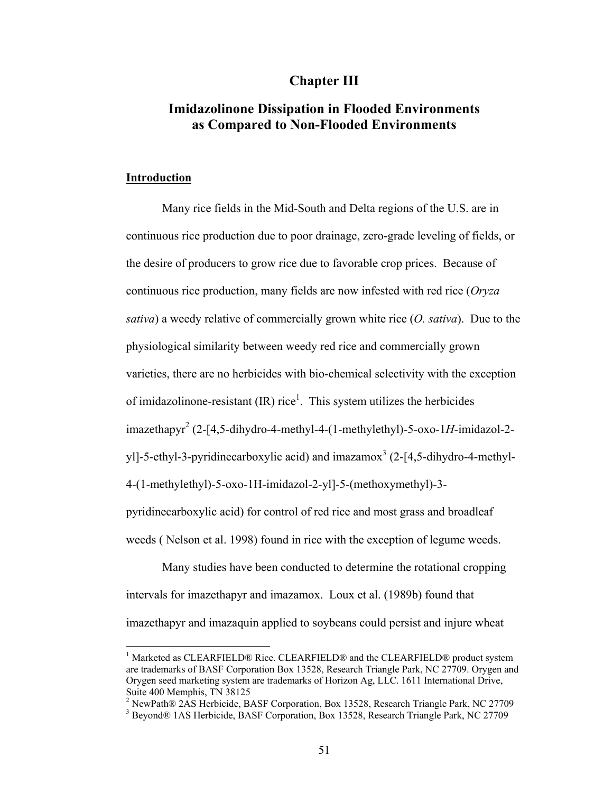# **Chapter III**

# **Imidazolinone Dissipation in Flooded Environments as Compared to Non-Flooded Environments**

## **Introduction**

 $\overline{a}$ 

 Many rice fields in the Mid-South and Delta regions of the U.S. are in continuous rice production due to poor drainage, zero-grade leveling of fields, or the desire of producers to grow rice due to favorable crop prices. Because of continuous rice production, many fields are now infested with red rice (*Oryza sativa*) a weedy relative of commercially grown white rice (*O. sativa*). Due to the physiological similarity between weedy red rice and commercially grown varieties, there are no herbicides with bio-chemical selectivity with the exception of imidazolinone-resistant  $(IR)$  rice<sup>1</sup>. This system utilizes the herbicides imazethapyr2 (2-[4,5-dihydro-4-methyl-4-(1-methylethyl)-5-oxo-1*H*-imidazol-2 yl]-5-ethyl-3-pyridinecarboxylic acid) and imazamox<sup>3</sup> (2-[4,5-dihydro-4-methyl-4-(1-methylethyl)-5-oxo-1H-imidazol-2-yl]-5-(methoxymethyl)-3 pyridinecarboxylic acid) for control of red rice and most grass and broadleaf weeds ( Nelson et al. 1998) found in rice with the exception of legume weeds.

 Many studies have been conducted to determine the rotational cropping intervals for imazethapyr and imazamox. Loux et al. (1989b) found that imazethapyr and imazaquin applied to soybeans could persist and injure wheat

<sup>&</sup>lt;sup>1</sup> Marketed as CLEARFIELD® Rice. CLEARFIELD® and the CLEARFIELD® product system are trademarks of BASF Corporation Box 13528, Research Triangle Park, NC 27709. Orygen and Orygen seed marketing system are trademarks of Horizon Ag, LLC. 1611 International Drive, Suite 400 Memphis, TN 38125

<sup>&</sup>lt;sup>2</sup> NewPath® 2AS Herbicide, BASF Corporation, Box 13528, Research Triangle Park, NC 27709

<sup>&</sup>lt;sup>3</sup> Beyond® 1AS Herbicide, BASF Corporation, Box 13528, Research Triangle Park, NC 27709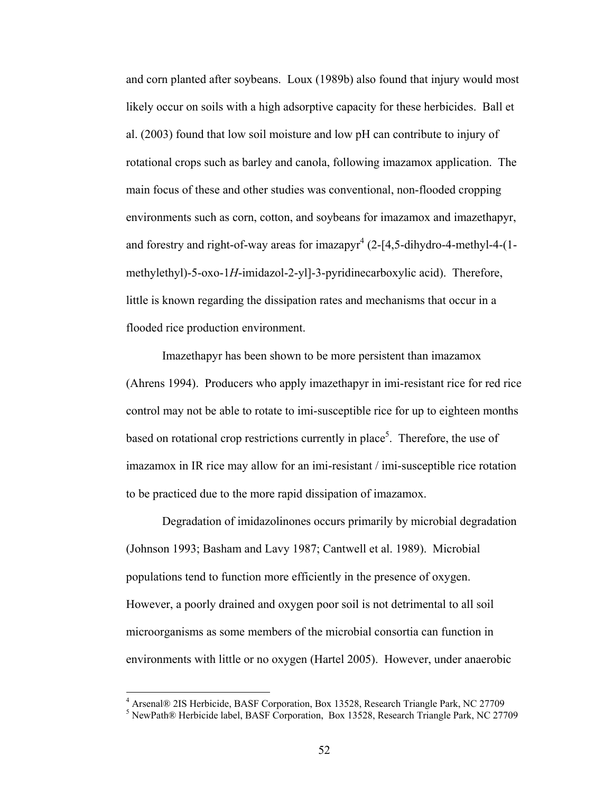and corn planted after soybeans. Loux (1989b) also found that injury would most likely occur on soils with a high adsorptive capacity for these herbicides. Ball et al. (2003) found that low soil moisture and low pH can contribute to injury of rotational crops such as barley and canola, following imazamox application. The main focus of these and other studies was conventional, non-flooded cropping environments such as corn, cotton, and soybeans for imazamox and imazethapyr, and forestry and right-of-way areas for imazapyr<sup>4</sup> (2-[4,5-dihydro-4-methyl-4-(1- $\frac{1}{2}$ methylethyl)-5-oxo-1*H*-imidazol-2-yl]-3-pyridinecarboxylic acid). Therefore, little is known regarding the dissipation rates and mechanisms that occur in a flooded rice production environment.

 Imazethapyr has been shown to be more persistent than imazamox (Ahrens 1994). Producers who apply imazethapyr in imi-resistant rice for red rice control may not be able to rotate to imi-susceptible rice for up to eighteen months based on rotational crop restrictions currently in place<sup>5</sup>. Therefore, the use of imazamox in IR rice may allow for an imi-resistant / imi-susceptible rice rotation to be practiced due to the more rapid dissipation of imazamox.

 Degradation of imidazolinones occurs primarily by microbial degradation (Johnson 1993; Basham and Lavy 1987; Cantwell et al. 1989). Microbial populations tend to function more efficiently in the presence of oxygen. However, a poorly drained and oxygen poor soil is not detrimental to all soil microorganisms as some members of the microbial consortia can function in environments with little or no oxygen (Hartel 2005). However, under anaerobic

 $\overline{a}$ 

<sup>&</sup>lt;sup>4</sup> Arsenal® 2IS Herbicide, BASF Corporation, Box 13528, Research Triangle Park, NC 27709

 $<sup>5</sup>$  NewPath® Herbicide label, BASF Corporation, Box 13528, Research Triangle Park, NC 27709</sup>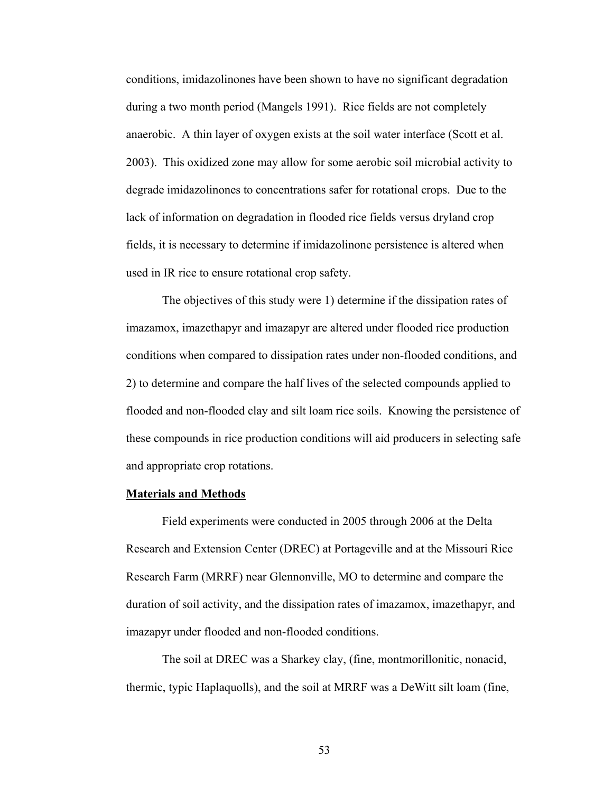conditions, imidazolinones have been shown to have no significant degradation during a two month period (Mangels 1991). Rice fields are not completely anaerobic. A thin layer of oxygen exists at the soil water interface (Scott et al. 2003). This oxidized zone may allow for some aerobic soil microbial activity to degrade imidazolinones to concentrations safer for rotational crops. Due to the lack of information on degradation in flooded rice fields versus dryland crop fields, it is necessary to determine if imidazolinone persistence is altered when used in IR rice to ensure rotational crop safety.

 The objectives of this study were 1) determine if the dissipation rates of imazamox, imazethapyr and imazapyr are altered under flooded rice production conditions when compared to dissipation rates under non-flooded conditions, and 2) to determine and compare the half lives of the selected compounds applied to flooded and non-flooded clay and silt loam rice soils. Knowing the persistence of these compounds in rice production conditions will aid producers in selecting safe and appropriate crop rotations.

## **Materials and Methods**

 Field experiments were conducted in 2005 through 2006 at the Delta Research and Extension Center (DREC) at Portageville and at the Missouri Rice Research Farm (MRRF) near Glennonville, MO to determine and compare the duration of soil activity, and the dissipation rates of imazamox, imazethapyr, and imazapyr under flooded and non-flooded conditions.

 The soil at DREC was a Sharkey clay, (fine, montmorillonitic, nonacid, thermic, typic Haplaquolls), and the soil at MRRF was a DeWitt silt loam (fine,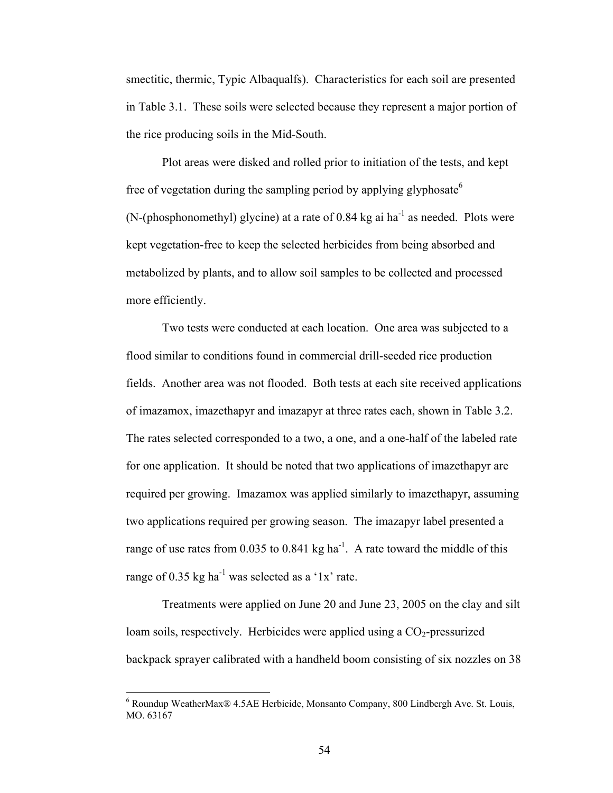smectitic, thermic, Typic Albaqualfs). Characteristics for each soil are presented in Table 3.1. These soils were selected because they represent a major portion of the rice producing soils in the Mid-South.

 Plot areas were disked and rolled prior to initiation of the tests, and kept free of vegetation during the sampling period by applying glyphosate<sup>6</sup>  $(N-(phosphonometry)$  glycine) at a rate of 0.84 kg ai ha<sup>-1</sup> as needed. Plots were kept vegetation-free to keep the selected herbicides from being absorbed and metabolized by plants, and to allow soil samples to be collected and processed more efficiently.

 Two tests were conducted at each location. One area was subjected to a flood similar to conditions found in commercial drill-seeded rice production fields. Another area was not flooded. Both tests at each site received applications of imazamox, imazethapyr and imazapyr at three rates each, shown in Table 3.2. The rates selected corresponded to a two, a one, and a one-half of the labeled rate for one application. It should be noted that two applications of imazethapyr are required per growing. Imazamox was applied similarly to imazethapyr, assuming two applications required per growing season. The imazapyr label presented a range of use rates from 0.035 to 0.841 kg ha<sup>-1</sup>. A rate toward the middle of this range of  $0.35$  kg ha<sup>-1</sup> was selected as a '1x' rate.

 Treatments were applied on June 20 and June 23, 2005 on the clay and silt loam soils, respectively. Herbicides were applied using a  $CO<sub>2</sub>$ -pressurized backpack sprayer calibrated with a handheld boom consisting of six nozzles on 38

 $\overline{a}$ 

<sup>&</sup>lt;sup>6</sup> Roundup WeatherMax® 4.5AE Herbicide, Monsanto Company, 800 Lindbergh Ave. St. Louis, MO. 63167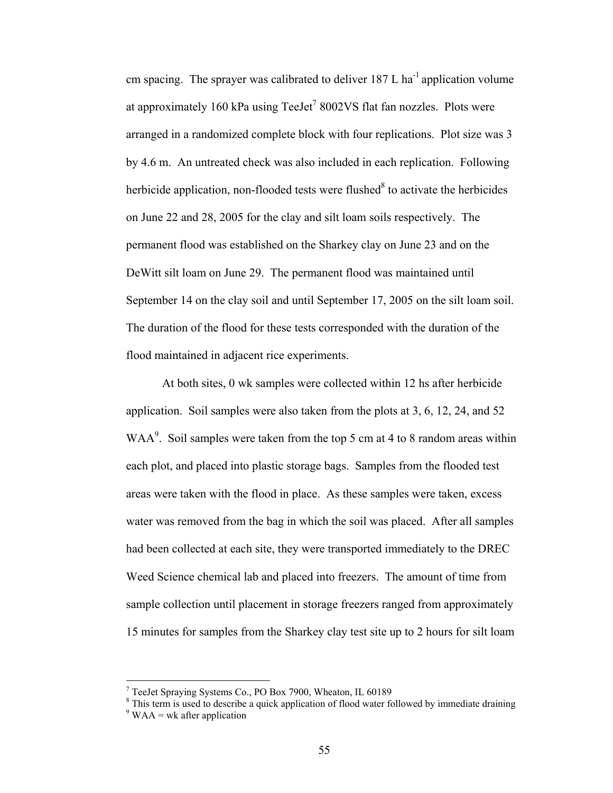cm spacing. The sprayer was calibrated to deliver  $187 \text{ L}$  ha<sup>-1</sup> application volume at approximately 160 kPa using TeeJet<sup>7</sup> 8002VS flat fan nozzles. Plots were arranged in a randomized complete block with four replications. Plot size was 3 by 4.6 m. An untreated check was also included in each replication. Following herbicide application, non-flooded tests were flushed $8$  to activate the herbicides on June 22 and 28, 2005 for the clay and silt loam soils respectively. The permanent flood was established on the Sharkey clay on June 23 and on the DeWitt silt loam on June 29. The permanent flood was maintained until September 14 on the clay soil and until September 17, 2005 on the silt loam soil. The duration of the flood for these tests corresponded with the duration of the flood maintained in adjacent rice experiments.

 At both sites, 0 wk samples were collected within 12 hs after herbicide application. Soil samples were also taken from the plots at 3, 6, 12, 24, and 52 WAA<sup>9</sup>. Soil samples were taken from the top 5 cm at 4 to 8 random areas within each plot, and placed into plastic storage bags. Samples from the flooded test areas were taken with the flood in place. As these samples were taken, excess water was removed from the bag in which the soil was placed. After all samples had been collected at each site, they were transported immediately to the DREC Weed Science chemical lab and placed into freezers. The amount of time from sample collection until placement in storage freezers ranged from approximately 15 minutes for samples from the Sharkey clay test site up to 2 hours for silt loam

<sup>7</sup> TeeJet Spraying Systems Co., PO Box 7900, Wheaton, IL 60189

<sup>&</sup>lt;sup>8</sup> This term is used to describe a quick application of flood water followed by immediate draining  $9$  WAA = wk after application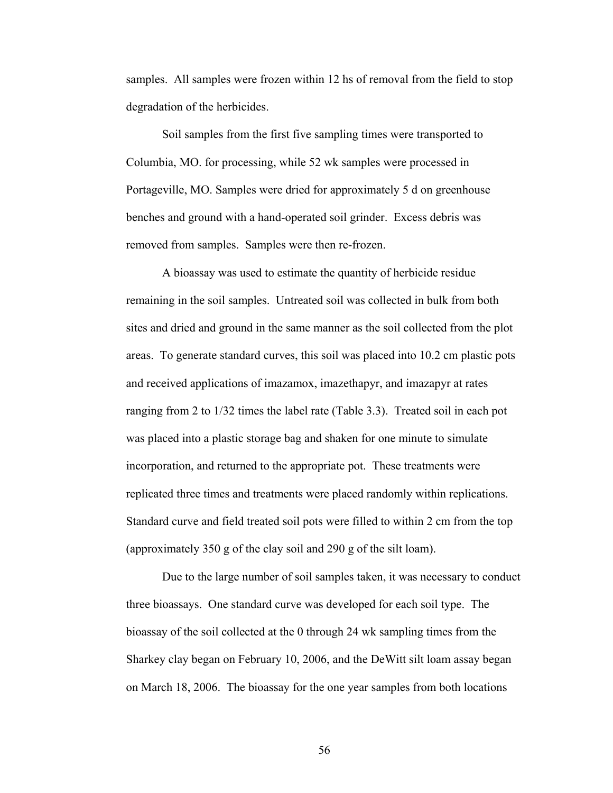samples. All samples were frozen within 12 hs of removal from the field to stop degradation of the herbicides.

 Soil samples from the first five sampling times were transported to Columbia, MO. for processing, while 52 wk samples were processed in Portageville, MO. Samples were dried for approximately 5 d on greenhouse benches and ground with a hand-operated soil grinder. Excess debris was removed from samples. Samples were then re-frozen.

 A bioassay was used to estimate the quantity of herbicide residue remaining in the soil samples. Untreated soil was collected in bulk from both sites and dried and ground in the same manner as the soil collected from the plot areas. To generate standard curves, this soil was placed into 10.2 cm plastic pots and received applications of imazamox, imazethapyr, and imazapyr at rates ranging from 2 to 1/32 times the label rate (Table 3.3). Treated soil in each pot was placed into a plastic storage bag and shaken for one minute to simulate incorporation, and returned to the appropriate pot. These treatments were replicated three times and treatments were placed randomly within replications. Standard curve and field treated soil pots were filled to within 2 cm from the top (approximately 350 g of the clay soil and 290 g of the silt loam).

 Due to the large number of soil samples taken, it was necessary to conduct three bioassays. One standard curve was developed for each soil type. The bioassay of the soil collected at the 0 through 24 wk sampling times from the Sharkey clay began on February 10, 2006, and the DeWitt silt loam assay began on March 18, 2006. The bioassay for the one year samples from both locations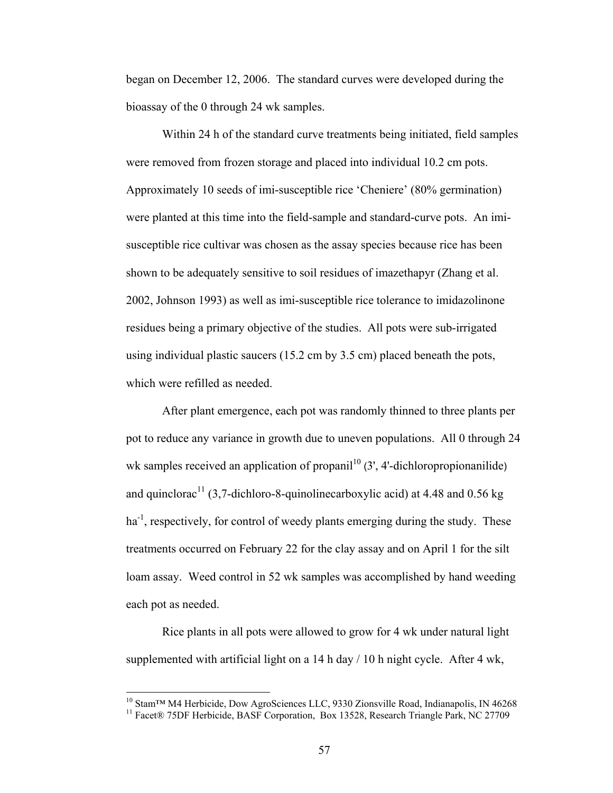began on December 12, 2006. The standard curves were developed during the bioassay of the 0 through 24 wk samples.

 Within 24 h of the standard curve treatments being initiated, field samples were removed from frozen storage and placed into individual 10.2 cm pots. Approximately 10 seeds of imi-susceptible rice 'Cheniere' (80% germination) were planted at this time into the field-sample and standard-curve pots. An imisusceptible rice cultivar was chosen as the assay species because rice has been shown to be adequately sensitive to soil residues of imazethapyr (Zhang et al. 2002, Johnson 1993) as well as imi-susceptible rice tolerance to imidazolinone residues being a primary objective of the studies. All pots were sub-irrigated using individual plastic saucers (15.2 cm by 3.5 cm) placed beneath the pots, which were refilled as needed.

 After plant emergence, each pot was randomly thinned to three plants per pot to reduce any variance in growth due to uneven populations. All 0 through 24 wk samples received an application of propanil<sup>10</sup> (3', 4'-dichloropropionanilide) and quinclorac<sup>11</sup> (3,7-dichloro-8-quinolinecarboxylic acid) at 4.48 and 0.56 kg ha<sup>-1</sup>, respectively, for control of weedy plants emerging during the study. These treatments occurred on February 22 for the clay assay and on April 1 for the silt loam assay. Weed control in 52 wk samples was accomplished by hand weeding each pot as needed.

 Rice plants in all pots were allowed to grow for 4 wk under natural light supplemented with artificial light on a 14 h day  $/ 10$  h night cycle. After 4 wk,

 $\overline{a}$ 

<sup>&</sup>lt;sup>10</sup> Stam™ M4 Herbicide, Dow AgroSciences LLC, 9330 Zionsville Road, Indianapolis, IN 46268

<sup>&</sup>lt;sup>11</sup> Facet® 75DF Herbicide, BASF Corporation, Box 13528, Research Triangle Park, NC 27709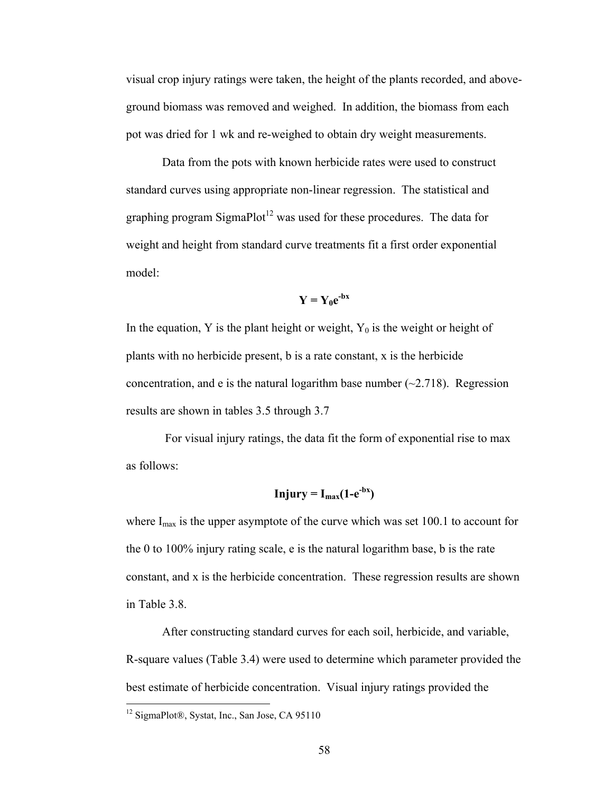visual crop injury ratings were taken, the height of the plants recorded, and aboveground biomass was removed and weighed. In addition, the biomass from each pot was dried for 1 wk and re-weighed to obtain dry weight measurements.

 Data from the pots with known herbicide rates were used to construct standard curves using appropriate non-linear regression. The statistical and graphing program SigmaPlot<sup>12</sup> was used for these procedures. The data for weight and height from standard curve treatments fit a first order exponential model:

$$
Y = Y_0 e^{-bx}
$$

In the equation, Y is the plant height or weight,  $Y_0$  is the weight or height of plants with no herbicide present, b is a rate constant, x is the herbicide concentration, and e is the natural logarithm base number  $(\sim 2.718)$ . Regression results are shown in tables 3.5 through 3.7

 For visual injury ratings, the data fit the form of exponential rise to max as follows:

$$
Injury = I_{max}(1-e^{-bx})
$$

where  $I_{\text{max}}$  is the upper asymptote of the curve which was set 100.1 to account for the 0 to 100% injury rating scale, e is the natural logarithm base, b is the rate constant, and x is the herbicide concentration. These regression results are shown in Table 3.8.

 After constructing standard curves for each soil, herbicide, and variable, R-square values (Table 3.4) were used to determine which parameter provided the best estimate of herbicide concentration. Visual injury ratings provided the

<u>.</u>

<sup>12</sup> SigmaPlot®, Systat, Inc., San Jose, CA 95110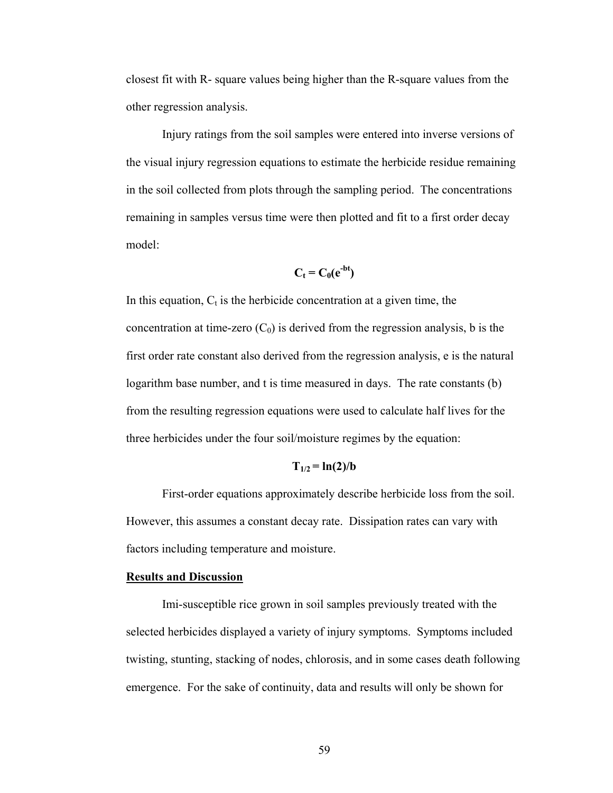closest fit with R- square values being higher than the R-square values from the other regression analysis.

Injury ratings from the soil samples were entered into inverse versions of the visual injury regression equations to estimate the herbicide residue remaining in the soil collected from plots through the sampling period. The concentrations remaining in samples versus time were then plotted and fit to a first order decay model:

$$
C_t = C_0(e^{-bt})
$$

In this equation,  $C_t$  is the herbicide concentration at a given time, the concentration at time-zero  $(C_0)$  is derived from the regression analysis, b is the first order rate constant also derived from the regression analysis, e is the natural logarithm base number, and t is time measured in days. The rate constants (b) from the resulting regression equations were used to calculate half lives for the three herbicides under the four soil/moisture regimes by the equation:

## $T_{1/2} = \ln(2)/b$

 First-order equations approximately describe herbicide loss from the soil. However, this assumes a constant decay rate. Dissipation rates can vary with factors including temperature and moisture.

#### **Results and Discussion**

 Imi-susceptible rice grown in soil samples previously treated with the selected herbicides displayed a variety of injury symptoms. Symptoms included twisting, stunting, stacking of nodes, chlorosis, and in some cases death following emergence. For the sake of continuity, data and results will only be shown for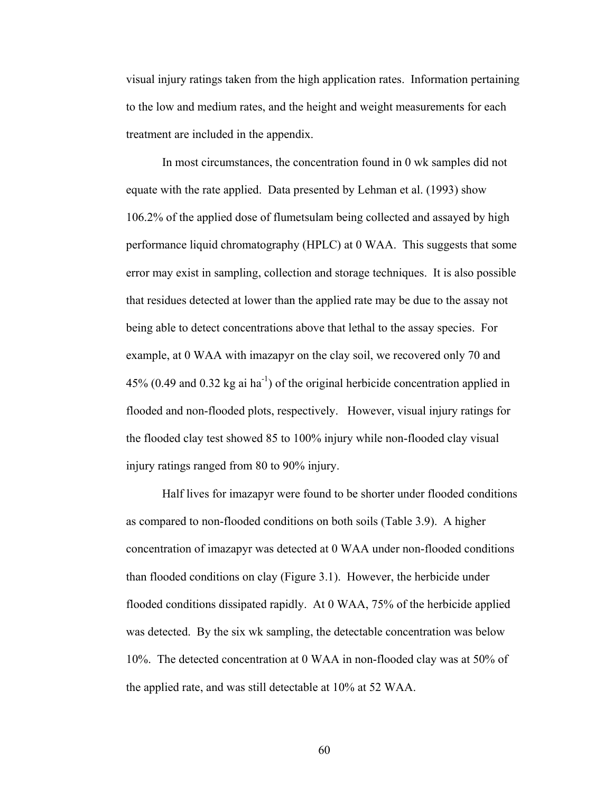visual injury ratings taken from the high application rates. Information pertaining to the low and medium rates, and the height and weight measurements for each treatment are included in the appendix.

 In most circumstances, the concentration found in 0 wk samples did not equate with the rate applied. Data presented by Lehman et al. (1993) show 106.2% of the applied dose of flumetsulam being collected and assayed by high performance liquid chromatography (HPLC) at 0 WAA. This suggests that some error may exist in sampling, collection and storage techniques. It is also possible that residues detected at lower than the applied rate may be due to the assay not being able to detect concentrations above that lethal to the assay species. For example, at 0 WAA with imazapyr on the clay soil, we recovered only 70 and 45% (0.49 and 0.32 kg ai  $ha^{-1}$ ) of the original herbicide concentration applied in flooded and non-flooded plots, respectively. However, visual injury ratings for the flooded clay test showed 85 to 100% injury while non-flooded clay visual injury ratings ranged from 80 to 90% injury.

 Half lives for imazapyr were found to be shorter under flooded conditions as compared to non-flooded conditions on both soils (Table 3.9). A higher concentration of imazapyr was detected at 0 WAA under non-flooded conditions than flooded conditions on clay (Figure 3.1). However, the herbicide under flooded conditions dissipated rapidly. At 0 WAA, 75% of the herbicide applied was detected. By the six wk sampling, the detectable concentration was below 10%. The detected concentration at 0 WAA in non-flooded clay was at 50% of the applied rate, and was still detectable at 10% at 52 WAA.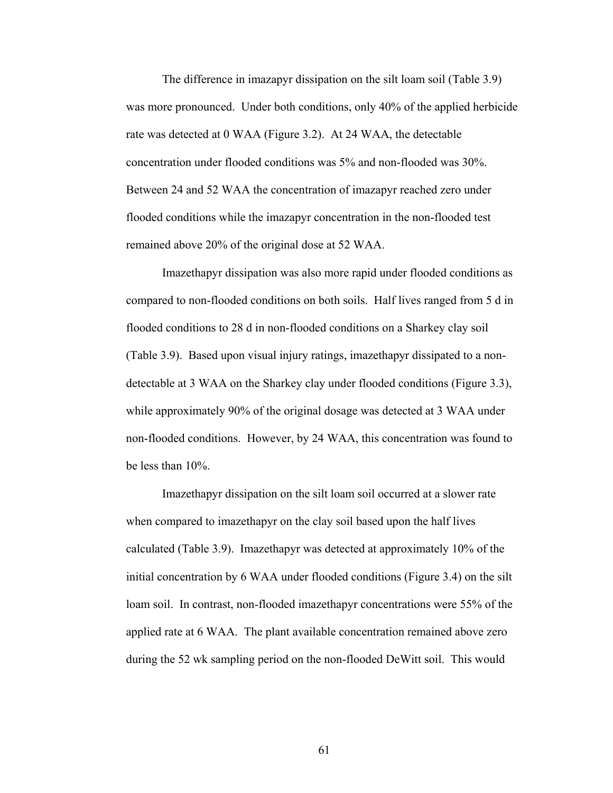The difference in imazapyr dissipation on the silt loam soil (Table 3.9) was more pronounced. Under both conditions, only 40% of the applied herbicide rate was detected at 0 WAA (Figure 3.2). At 24 WAA, the detectable concentration under flooded conditions was 5% and non-flooded was 30%. Between 24 and 52 WAA the concentration of imazapyr reached zero under flooded conditions while the imazapyr concentration in the non-flooded test remained above 20% of the original dose at 52 WAA.

 Imazethapyr dissipation was also more rapid under flooded conditions as compared to non-flooded conditions on both soils. Half lives ranged from 5 d in flooded conditions to 28 d in non-flooded conditions on a Sharkey clay soil (Table 3.9). Based upon visual injury ratings, imazethapyr dissipated to a nondetectable at 3 WAA on the Sharkey clay under flooded conditions (Figure 3.3), while approximately 90% of the original dosage was detected at 3 WAA under non-flooded conditions. However, by 24 WAA, this concentration was found to be less than 10%.

 Imazethapyr dissipation on the silt loam soil occurred at a slower rate when compared to imazethapyr on the clay soil based upon the half lives calculated (Table 3.9). Imazethapyr was detected at approximately 10% of the initial concentration by 6 WAA under flooded conditions (Figure 3.4) on the silt loam soil. In contrast, non-flooded imazethapyr concentrations were 55% of the applied rate at 6 WAA. The plant available concentration remained above zero during the 52 wk sampling period on the non-flooded DeWitt soil. This would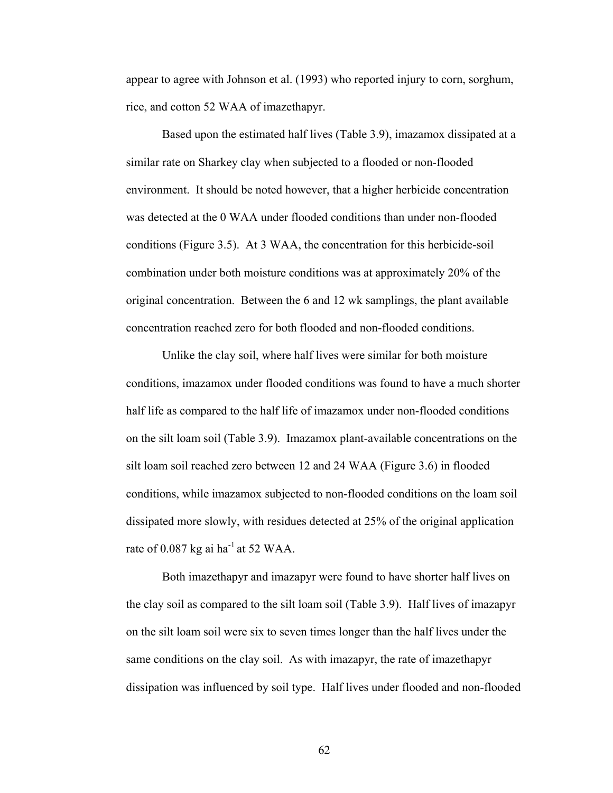appear to agree with Johnson et al. (1993) who reported injury to corn, sorghum, rice, and cotton 52 WAA of imazethapyr.

 Based upon the estimated half lives (Table 3.9), imazamox dissipated at a similar rate on Sharkey clay when subjected to a flooded or non-flooded environment. It should be noted however, that a higher herbicide concentration was detected at the 0 WAA under flooded conditions than under non-flooded conditions (Figure 3.5). At 3 WAA, the concentration for this herbicide-soil combination under both moisture conditions was at approximately 20% of the original concentration. Between the 6 and 12 wk samplings, the plant available concentration reached zero for both flooded and non-flooded conditions.

 Unlike the clay soil, where half lives were similar for both moisture conditions, imazamox under flooded conditions was found to have a much shorter half life as compared to the half life of imazamox under non-flooded conditions on the silt loam soil (Table 3.9). Imazamox plant-available concentrations on the silt loam soil reached zero between 12 and 24 WAA (Figure 3.6) in flooded conditions, while imazamox subjected to non-flooded conditions on the loam soil dissipated more slowly, with residues detected at 25% of the original application rate of 0.087 kg ai ha<sup>-1</sup> at 52 WAA.

 Both imazethapyr and imazapyr were found to have shorter half lives on the clay soil as compared to the silt loam soil (Table 3.9). Half lives of imazapyr on the silt loam soil were six to seven times longer than the half lives under the same conditions on the clay soil. As with imazapyr, the rate of imazethapyr dissipation was influenced by soil type. Half lives under flooded and non-flooded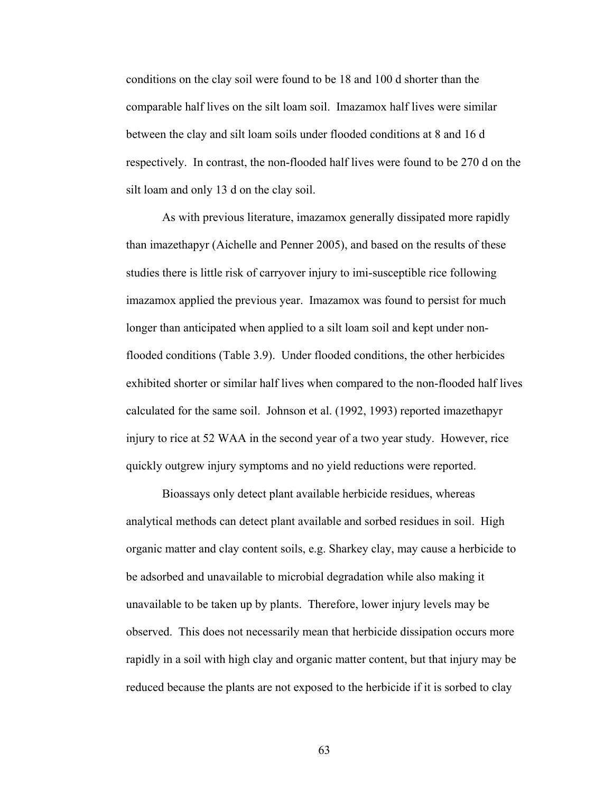conditions on the clay soil were found to be 18 and 100 d shorter than the comparable half lives on the silt loam soil. Imazamox half lives were similar between the clay and silt loam soils under flooded conditions at 8 and 16 d respectively. In contrast, the non-flooded half lives were found to be 270 d on the silt loam and only 13 d on the clay soil.

 As with previous literature, imazamox generally dissipated more rapidly than imazethapyr (Aichelle and Penner 2005), and based on the results of these studies there is little risk of carryover injury to imi-susceptible rice following imazamox applied the previous year. Imazamox was found to persist for much longer than anticipated when applied to a silt loam soil and kept under nonflooded conditions (Table 3.9). Under flooded conditions, the other herbicides exhibited shorter or similar half lives when compared to the non-flooded half lives calculated for the same soil. Johnson et al. (1992, 1993) reported imazethapyr injury to rice at 52 WAA in the second year of a two year study. However, rice quickly outgrew injury symptoms and no yield reductions were reported.

 Bioassays only detect plant available herbicide residues, whereas analytical methods can detect plant available and sorbed residues in soil. High organic matter and clay content soils, e.g. Sharkey clay, may cause a herbicide to be adsorbed and unavailable to microbial degradation while also making it unavailable to be taken up by plants. Therefore, lower injury levels may be observed. This does not necessarily mean that herbicide dissipation occurs more rapidly in a soil with high clay and organic matter content, but that injury may be reduced because the plants are not exposed to the herbicide if it is sorbed to clay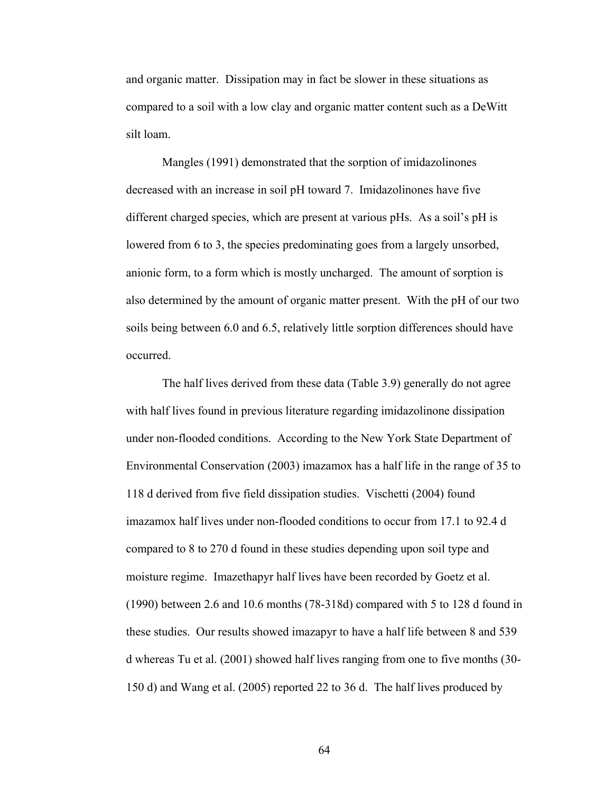and organic matter. Dissipation may in fact be slower in these situations as compared to a soil with a low clay and organic matter content such as a DeWitt silt loam.

 Mangles (1991) demonstrated that the sorption of imidazolinones decreased with an increase in soil pH toward 7. Imidazolinones have five different charged species, which are present at various pHs. As a soil's pH is lowered from 6 to 3, the species predominating goes from a largely unsorbed, anionic form, to a form which is mostly uncharged. The amount of sorption is also determined by the amount of organic matter present. With the pH of our two soils being between 6.0 and 6.5, relatively little sorption differences should have occurred.

 The half lives derived from these data (Table 3.9) generally do not agree with half lives found in previous literature regarding imidazolinone dissipation under non-flooded conditions. According to the New York State Department of Environmental Conservation (2003) imazamox has a half life in the range of 35 to 118 d derived from five field dissipation studies. Vischetti (2004) found imazamox half lives under non-flooded conditions to occur from 17.1 to 92.4 d compared to 8 to 270 d found in these studies depending upon soil type and moisture regime. Imazethapyr half lives have been recorded by Goetz et al. (1990) between 2.6 and 10.6 months (78-318d) compared with 5 to 128 d found in these studies. Our results showed imazapyr to have a half life between 8 and 539 d whereas Tu et al. (2001) showed half lives ranging from one to five months (30- 150 d) and Wang et al. (2005) reported 22 to 36 d. The half lives produced by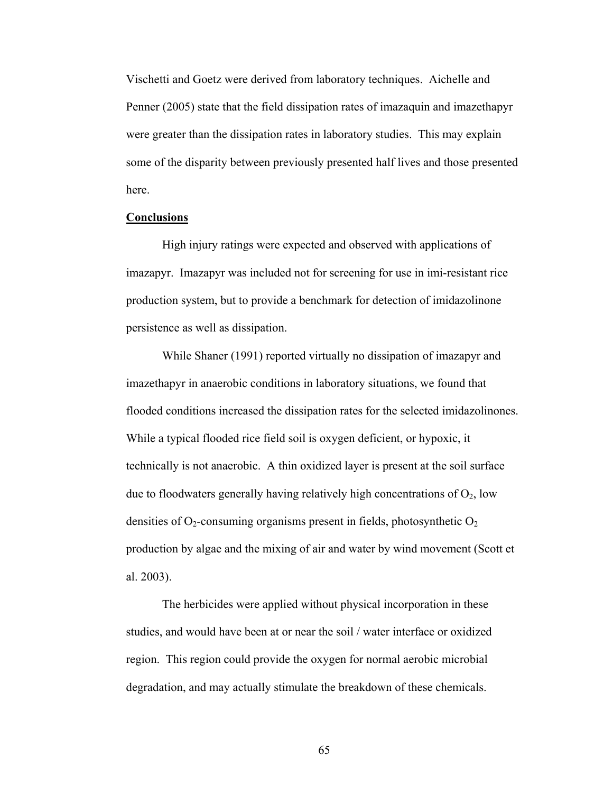Vischetti and Goetz were derived from laboratory techniques. Aichelle and Penner (2005) state that the field dissipation rates of imazaquin and imazethapyr were greater than the dissipation rates in laboratory studies. This may explain some of the disparity between previously presented half lives and those presented here.

## **Conclusions**

 High injury ratings were expected and observed with applications of imazapyr. Imazapyr was included not for screening for use in imi-resistant rice production system, but to provide a benchmark for detection of imidazolinone persistence as well as dissipation.

 While Shaner (1991) reported virtually no dissipation of imazapyr and imazethapyr in anaerobic conditions in laboratory situations, we found that flooded conditions increased the dissipation rates for the selected imidazolinones. While a typical flooded rice field soil is oxygen deficient, or hypoxic, it technically is not anaerobic. A thin oxidized layer is present at the soil surface due to floodwaters generally having relatively high concentrations of  $O_2$ , low densities of  $O_2$ -consuming organisms present in fields, photosynthetic  $O_2$ production by algae and the mixing of air and water by wind movement (Scott et al. 2003).

 The herbicides were applied without physical incorporation in these studies, and would have been at or near the soil / water interface or oxidized region. This region could provide the oxygen for normal aerobic microbial degradation, and may actually stimulate the breakdown of these chemicals.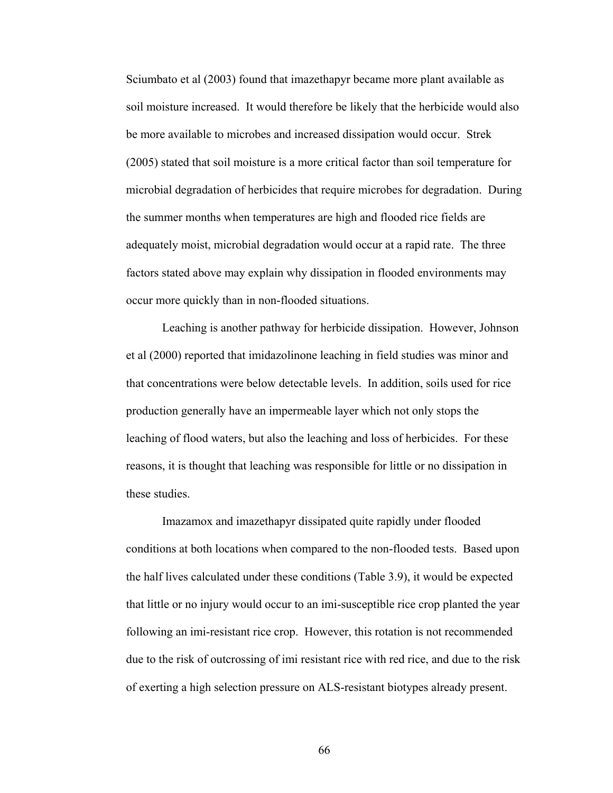Sciumbato et al (2003) found that imazethapyr became more plant available as soil moisture increased. It would therefore be likely that the herbicide would also be more available to microbes and increased dissipation would occur. Strek (2005) stated that soil moisture is a more critical factor than soil temperature for microbial degradation of herbicides that require microbes for degradation. During the summer months when temperatures are high and flooded rice fields are adequately moist, microbial degradation would occur at a rapid rate. The three factors stated above may explain why dissipation in flooded environments may occur more quickly than in non-flooded situations.

 Leaching is another pathway for herbicide dissipation. However, Johnson et al (2000) reported that imidazolinone leaching in field studies was minor and that concentrations were below detectable levels. In addition, soils used for rice production generally have an impermeable layer which not only stops the leaching of flood waters, but also the leaching and loss of herbicides. For these reasons, it is thought that leaching was responsible for little or no dissipation in these studies.

 Imazamox and imazethapyr dissipated quite rapidly under flooded conditions at both locations when compared to the non-flooded tests. Based upon the half lives calculated under these conditions (Table 3.9), it would be expected that little or no injury would occur to an imi-susceptible rice crop planted the year following an imi-resistant rice crop. However, this rotation is not recommended due to the risk of outcrossing of imi resistant rice with red rice, and due to the risk of exerting a high selection pressure on ALS-resistant biotypes already present.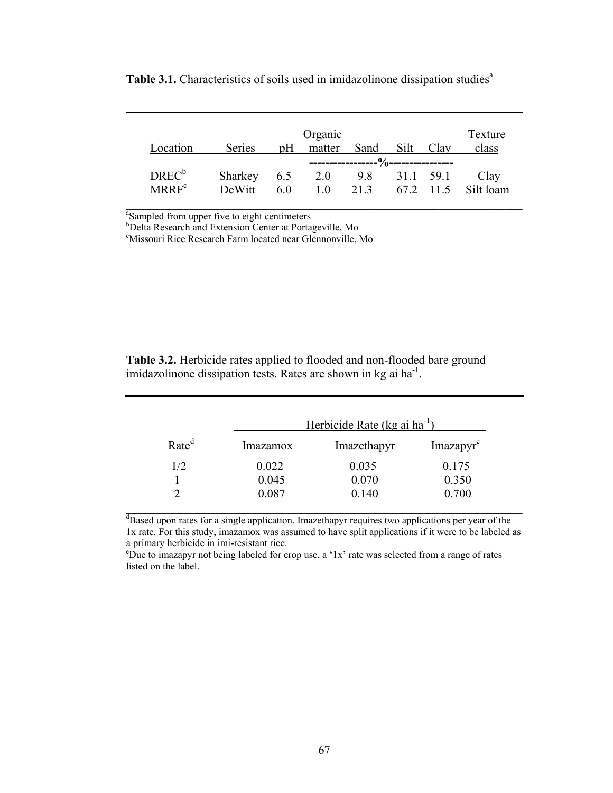|          |         |     | Organic        |      |               |           | Texture   |
|----------|---------|-----|----------------|------|---------------|-----------|-----------|
| Location | Series  | pH  | matter         | Sand | Silt          | Clay      | class     |
|          |         |     |                |      |               |           |           |
| $DREC^b$ | Sharkey | 6.5 | 2.0            |      | 9.8 31.1 59.1 |           | Clay      |
| $MRRF^c$ | DeWitt  | 6.0 | 1 <sub>0</sub> | 213  |               | 67.2 11.5 | Silt loam |
|          |         |     |                |      |               |           |           |

Table 3.1. Characteristics of soils used in imidazolinone dissipation studies<sup>a</sup>

<sup>a</sup>Sampled from upper five to eight centimeters

b Delta Research and Extension Center at Portageville, Mo

c Missouri Rice Research Farm located near Glennonville, Mo

**Table 3.2.** Herbicide rates applied to flooded and non-flooded bare ground imidazolinone dissipation tests. Rates are shown in kg ai ha<sup>-1</sup>.

|                   |                 | Herbicide Rate (kg ai ha <sup>-1</sup> ) |                       |  |  |  |  |  |
|-------------------|-----------------|------------------------------------------|-----------------------|--|--|--|--|--|
| Rate <sup>d</sup> | <i>Imazamox</i> | Imazethapyr                              | Imazapyr <sup>e</sup> |  |  |  |  |  |
| 1/2               | 0.022           | 0.035                                    | 0.175                 |  |  |  |  |  |
|                   | 0.045           | 0.070                                    | 0.350                 |  |  |  |  |  |
|                   | 0.087           | 0.140                                    | 0.700                 |  |  |  |  |  |

<sup>d</sup>Based upon rates for a single application. Imazethapyr requires two applications per year of the 1x rate. For this study, imazamox was assumed to have split applications if it were to be labeled as a primary herbicide in imi-resistant rice.

e Due to imazapyr not being labeled for crop use, a '1x' rate was selected from a range of rates listed on the label.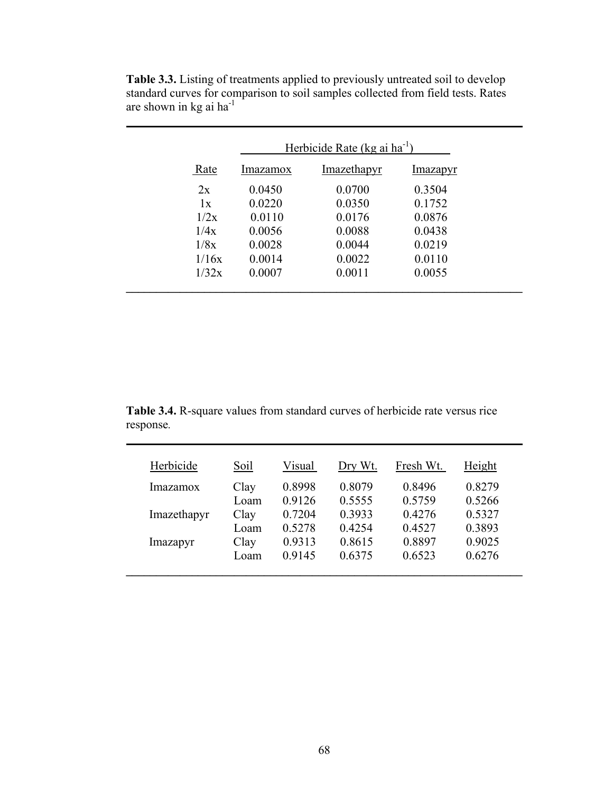|       | Herbicide Rate (kg ai $ha^{-1}$ ) |             |          |  |  |  |
|-------|-----------------------------------|-------------|----------|--|--|--|
| Rate  | <i>Imazamox</i>                   | Imazethapyr | Imazapyr |  |  |  |
| 2x    | 0.0450                            | 0.0700      | 0.3504   |  |  |  |
| 1x    | 0.0220                            | 0.0350      | 0.1752   |  |  |  |
| 1/2x  | 0.0110                            | 0.0176      | 0.0876   |  |  |  |
| 1/4x  | 0.0056                            | 0.0088      | 0.0438   |  |  |  |
| 1/8x  | 0.0028                            | 0.0044      | 0.0219   |  |  |  |
| 1/16x | 0.0014                            | 0.0022      | 0.0110   |  |  |  |
| 1/32x | 0.0007                            | 0.0011      | 0.0055   |  |  |  |

**Table 3.3.** Listing of treatments applied to previously untreated soil to develop standard curves for comparison to soil samples collected from field tests. Rates are shown in kg ai ha<sup>-1</sup>

**Table 3.4.** R-square values from standard curves of herbicide rate versus rice response*.*

| Herbicide   | Soil | Visual | Dry Wt. | Fresh Wt. | Height |
|-------------|------|--------|---------|-----------|--------|
| Imazamox    | Clay | 0.8998 | 0.8079  | 0.8496    | 0.8279 |
|             | Loam | 0.9126 | 0.5555  | 0.5759    | 0.5266 |
| Imazethapyr | Clay | 0.7204 | 0.3933  | 0.4276    | 0.5327 |
|             | Loam | 0.5278 | 0.4254  | 0.4527    | 0.3893 |
| Imazapyr    | Clay | 0.9313 | 0.8615  | 0.8897    | 0.9025 |
|             | Loam | 0.9145 | 0.6375  | 0.6523    | 0.6276 |
|             |      |        |         |           |        |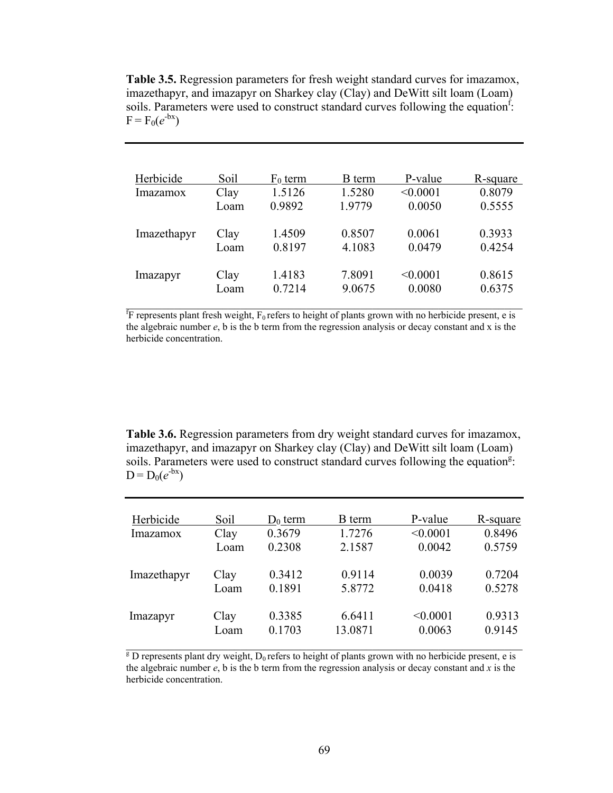**Table 3.5.** Regression parameters for fresh weight standard curves for imazamox, imazethapyr, and imazapyr on Sharkey clay (Clay) and DeWitt silt loam (Loam) soils. Parameters were used to construct standard curves following the equation<sup>f</sup>:  $F = F_0(e^{-bx})$ 

| Herbicide   | Soil         | $F_0$ term       | <b>B</b> term    | P-value            | R-square         |
|-------------|--------------|------------------|------------------|--------------------|------------------|
| Imazamox    | Clay         | 1.5126           | 1.5280           | < 0.0001           | 0.8079           |
|             | Loam         | 0.9892           | 1.9779           | 0.0050             | 0.5555           |
| Imazethapyr | Clay<br>Loam | 1.4509<br>0.8197 | 0.8507<br>4.1083 | 0.0061<br>0.0479   | 0.3933<br>0.4254 |
| Imazapyr    | Clay<br>Loam | 1.4183<br>0.7214 | 7.8091<br>9.0675 | < 0.0001<br>0.0080 | 0.8615<br>0.6375 |

 $f_F$  represents plant fresh weight,  $F_0$  refers to height of plants grown with no herbicide present, e is the algebraic number *e*, b is the b term from the regression analysis or decay constant and x is the herbicide concentration.

**Table 3.6.** Regression parameters from dry weight standard curves for imazamox, imazethapyr, and imazapyr on Sharkey clay (Clay) and DeWitt silt loam (Loam) soils. Parameters were used to construct standard curves following the equation<sup>g</sup>:  $D = D_0(e^{-bx})$ 

| Herbicide   | Soil | $D_0$ term | B term  | P-value  | R-square |
|-------------|------|------------|---------|----------|----------|
| Imazamox    | Clay | 0.3679     | 1.7276  | < 0.0001 | 0.8496   |
|             | Loam | 0.2308     | 2.1587  | 0.0042   | 0.5759   |
| Imazethapyr | Clay | 0.3412     | 0.9114  | 0.0039   | 0.7204   |
|             | Loam | 0.1891     | 5.8772  | 0.0418   | 0.5278   |
| Imazapyr    | Clay | 0.3385     | 6.6411  | < 0.0001 | 0.9313   |
|             | Loam | 0.1703     | 13.0871 | 0.0063   | 0.9145   |

 $\overline{g}$  D represents plant dry weight, D<sub>0</sub> refers to height of plants grown with no herbicide present, e is the algebraic number *e*, b is the b term from the regression analysis or decay constant and *x* is the herbicide concentration.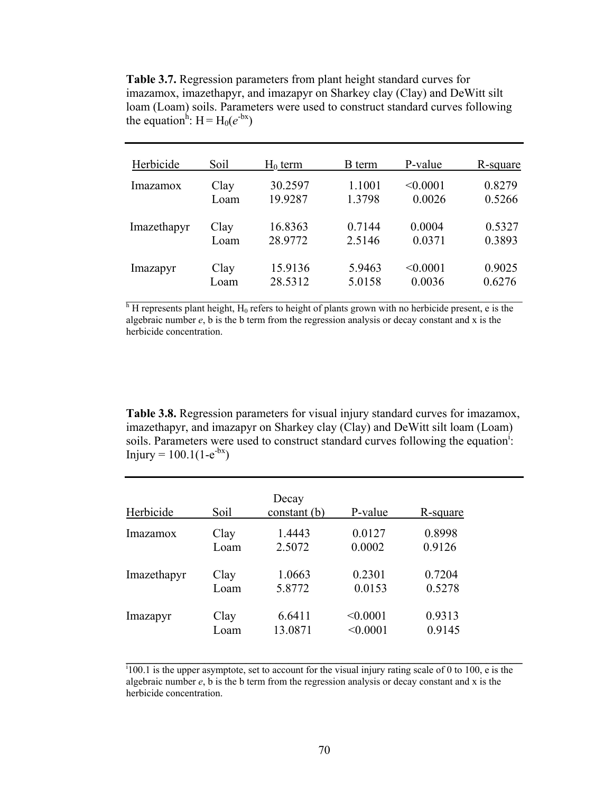**Table 3.7.** Regression parameters from plant height standard curves for imazamox, imazethapyr, and imazapyr on Sharkey clay (Clay) and DeWitt silt loam (Loam) soils. Parameters were used to construct standard curves following the equation<sup>h</sup>: H = H<sub>0</sub>( $e^{-bx}$ )

| Herbicide   | Soil | $H_0$ term | B term | P-value  | R-square |
|-------------|------|------------|--------|----------|----------|
| Imazamox    | Clay | 30.2597    | 1.1001 | < 0.0001 | 0.8279   |
|             | Loam | 19.9287    | 1.3798 | 0.0026   | 0.5266   |
| Imazethapyr | Clay | 16.8363    | 0.7144 | 0.0004   | 0.5327   |
|             | Loam | 28.9772    | 2.5146 | 0.0371   | 0.3893   |
| Imazapyr    | Clay | 15.9136    | 5.9463 | < 0.0001 | 0.9025   |
|             | Loam | 28.5312    | 5.0158 | 0.0036   | 0.6276   |

 $h$ <sup>h</sup> H represents plant height, H<sub>0</sub> refers to height of plants grown with no herbicide present, e is the algebraic number *e*, b is the b term from the regression analysis or decay constant and x is the herbicide concentration.

**Table 3.8.** Regression parameters for visual injury standard curves for imazamox, imazethapyr, and imazapyr on Sharkey clay (Clay) and DeWitt silt loam (Loam) soils. Parameters were used to construct standard curves following the equation<sup>1</sup>: Injury =  $100.1(1-e^{-bx})$ 

| Herbicide   | Soil | Decay<br>constant (b) | P-value  | R-square |
|-------------|------|-----------------------|----------|----------|
| Imazamox    | Clay | 1.4443                | 0.0127   | 0.8998   |
|             | Loam | 2.5072                | 0.0002   | 0.9126   |
| Imazethapyr | Clay | 1.0663                | 0.2301   | 0.7204   |
|             | Loam | 5.8772                | 0.0153   | 0.5278   |
| Imazapyr    | Clay | 6.6411                | < 0.0001 | 0.9313   |
|             | Loam | 13.0871               | < 0.0001 | 0.9145   |

 $i100.1$  is the upper asymptote, set to account for the visual injury rating scale of 0 to 100, e is the algebraic number  $e$ , b is the b term from the regression analysis or decay constant and x is the herbicide concentration.

**\_\_\_\_\_\_\_\_\_\_\_\_\_\_\_\_\_\_\_\_\_\_\_\_\_\_\_\_\_\_\_\_\_\_\_\_\_\_\_\_\_\_\_\_\_\_\_\_\_\_\_\_\_\_\_\_\_\_\_\_\_\_\_\_\_\_**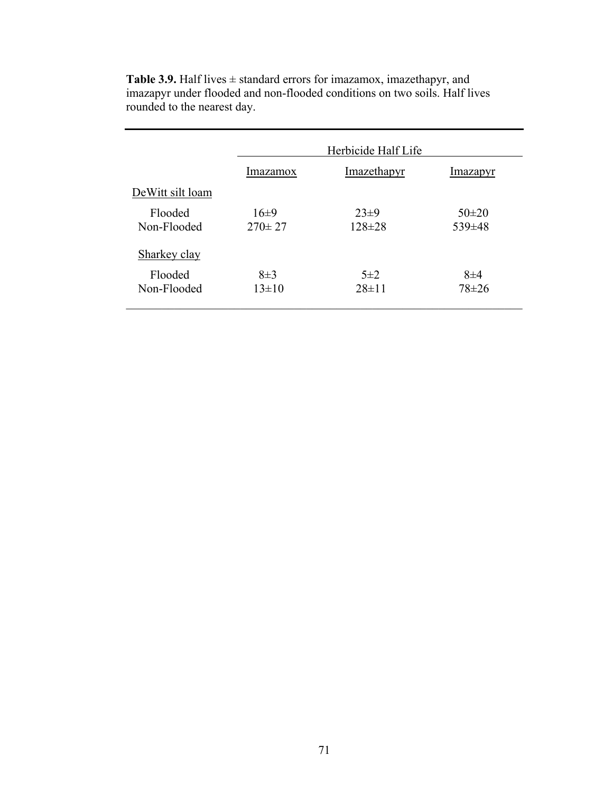|                        | Herbicide Half Life    |                          |                         |  |  |  |
|------------------------|------------------------|--------------------------|-------------------------|--|--|--|
|                        | <i>Imazamox</i>        | Imazethapyr              | Imazapyr                |  |  |  |
| DeWitt silt loam       |                        |                          |                         |  |  |  |
| Flooded<br>Non-Flooded | $16+9$<br>$270 \pm 27$ | $23\pm9$<br>$128 \pm 28$ | $50\pm20$<br>$539\pm48$ |  |  |  |
| <b>Sharkey clay</b>    |                        |                          |                         |  |  |  |
| Flooded<br>Non-Flooded | $8\pm3$<br>$13\pm10$   | $5\pm2$<br>$28 \pm 11$   | $8\pm4$<br>$78 \pm 26$  |  |  |  |

**Table 3.9.** Half lives  $\pm$  standard errors for imazamox, imazethapyr, and imazapyr under flooded and non-flooded conditions on two soils. Half lives rounded to the nearest day.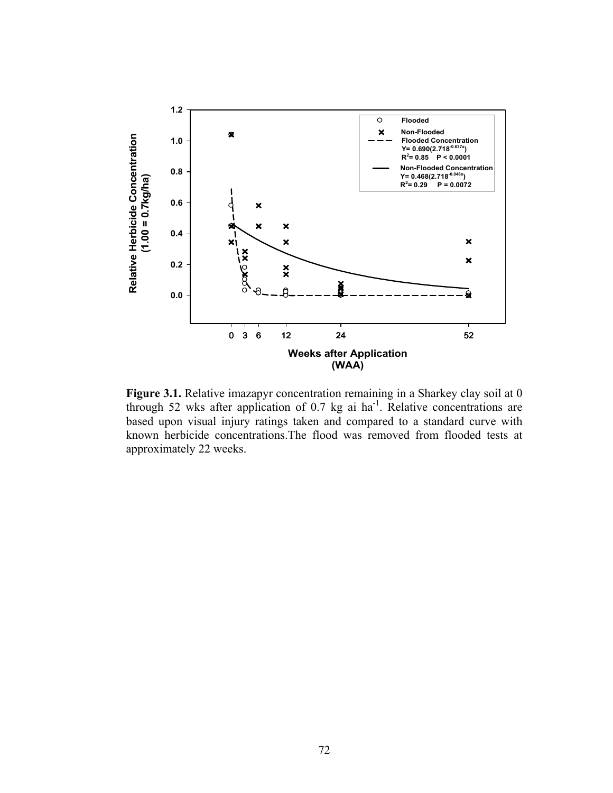

**Figure 3.1.** Relative imazapyr concentration remaining in a Sharkey clay soil at 0 through 52 wks after application of 0.7 kg ai  $ha^{-1}$ . Relative concentrations are based upon visual injury ratings taken and compared to a standard curve with known herbicide concentrations.The flood was removed from flooded tests at approximately 22 weeks.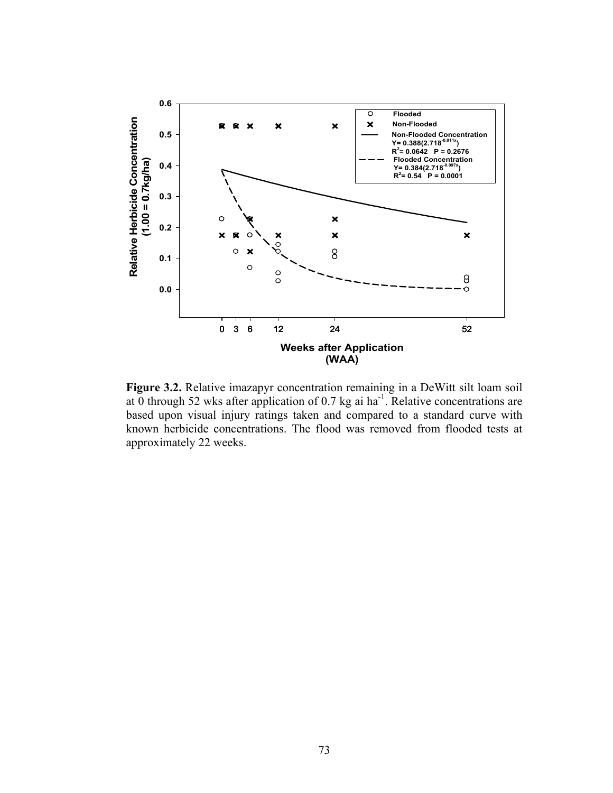

**Figure 3.2.** Relative imazapyr concentration remaining in a DeWitt silt loam soil at 0 through 52 wks after application of 0.7 kg ai ha<sup>-1</sup>. Relative concentrations are based upon visual injury ratings taken and compared to a standard curve with known herbicide concentrations. The flood was removed from flooded tests at approximately 22 weeks.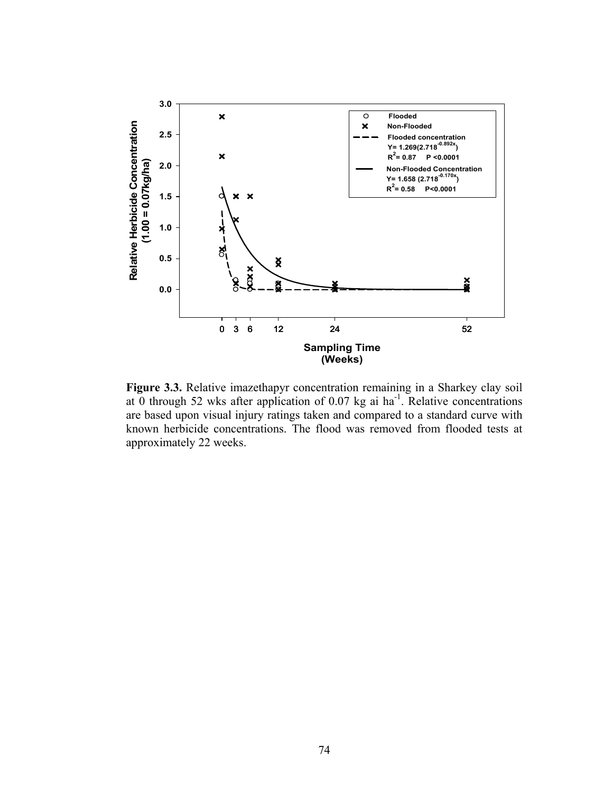

**Figure 3.3.** Relative imazethapyr concentration remaining in a Sharkey clay soil at 0 through 52 wks after application of  $0.07$  kg ai ha<sup>-1</sup>. Relative concentrations are based upon visual injury ratings taken and compared to a standard curve with known herbicide concentrations. The flood was removed from flooded tests at approximately 22 weeks.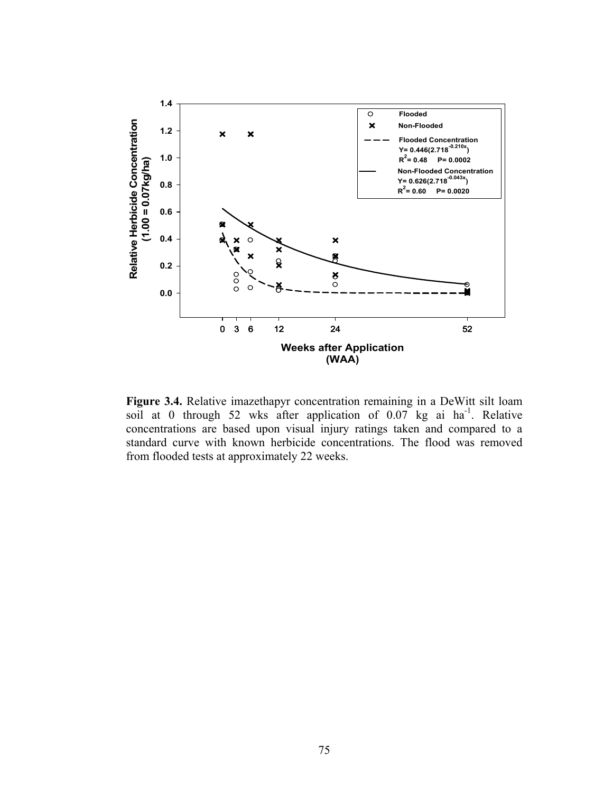

**Figure 3.4.** Relative imazethapyr concentration remaining in a DeWitt silt loam soil at 0 through 52 wks after application of  $0.07$  kg ai ha<sup>-1</sup>. Relative concentrations are based upon visual injury ratings taken and compared to a standard curve with known herbicide concentrations. The flood was removed from flooded tests at approximately 22 weeks.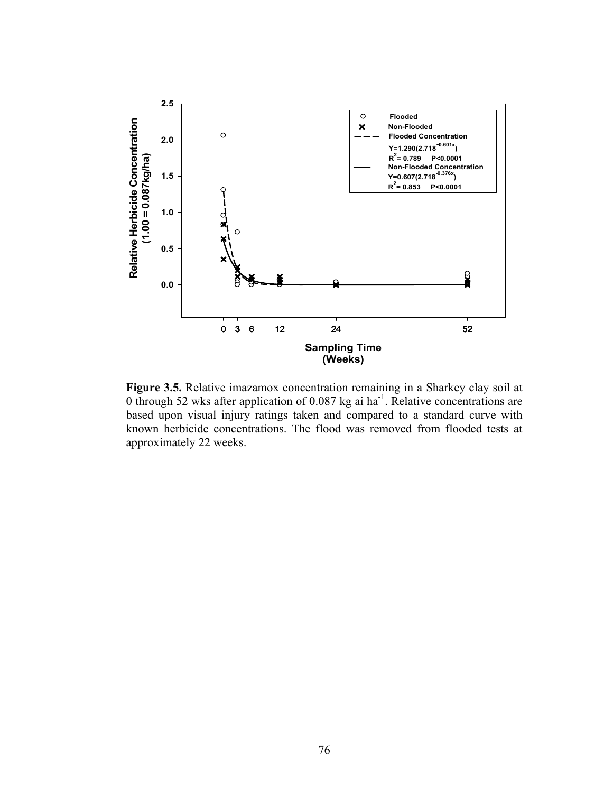

**Figure 3.5.** Relative imazamox concentration remaining in a Sharkey clay soil at 0 through 52 wks after application of 0.087 kg ai ha<sup>-1</sup>. Relative concentrations are based upon visual injury ratings taken and compared to a standard curve with known herbicide concentrations. The flood was removed from flooded tests at approximately 22 weeks.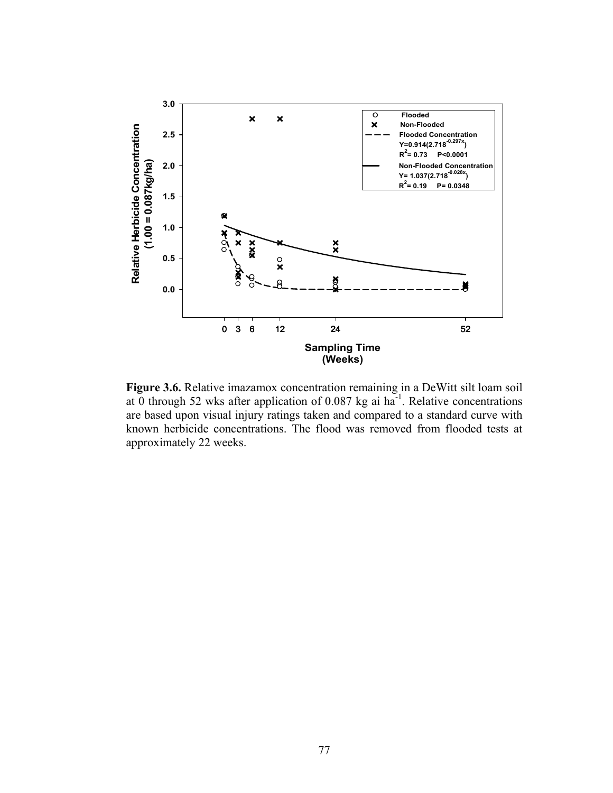

**Figure 3.6.** Relative imazamox concentration remaining in a DeWitt silt loam soil at 0 through 52 wks after application of 0.087 kg ai ha<sup>-1</sup>. Relative concentrations are based upon visual injury ratings taken and compared to a standard curve with known herbicide concentrations. The flood was removed from flooded tests at approximately 22 weeks.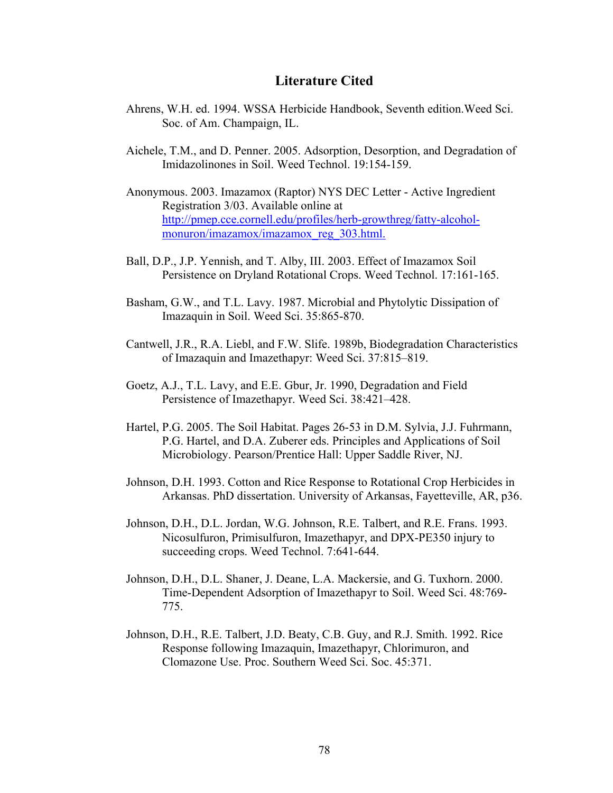## **Literature Cited**

- Ahrens, W.H. ed. 1994. WSSA Herbicide Handbook, Seventh edition.Weed Sci. Soc. of Am. Champaign, IL.
- Aichele, T.M., and D. Penner. 2005. Adsorption, Desorption, and Degradation of Imidazolinones in Soil. Weed Technol. 19:154-159.
- Anonymous. 2003. Imazamox (Raptor) NYS DEC Letter Active Ingredient Registration 3/03. Available online at http://pmep.cce.cornell.edu/profiles/herb-growthreg/fatty-alcohol monuron/imazamox/imazamox\_reg\_303.html.
- Ball, D.P., J.P. Yennish, and T. Alby, III. 2003. Effect of Imazamox Soil Persistence on Dryland Rotational Crops. Weed Technol. 17:161-165.
- Basham, G.W., and T.L. Lavy. 1987. Microbial and Phytolytic Dissipation of Imazaquin in Soil. Weed Sci. 35:865-870.
- Cantwell, J.R., R.A. Liebl, and F.W. Slife. 1989b, Biodegradation Characteristics of Imazaquin and Imazethapyr: Weed Sci. 37:815–819.
- Goetz, A.J., T.L. Lavy, and E.E. Gbur, Jr. 1990, Degradation and Field Persistence of Imazethapyr. Weed Sci. 38:421–428.
- Hartel, P.G. 2005. The Soil Habitat. Pages 26-53 in D.M. Sylvia, J.J. Fuhrmann, P.G. Hartel, and D.A. Zuberer eds. Principles and Applications of Soil Microbiology. Pearson/Prentice Hall: Upper Saddle River, NJ.
- Johnson, D.H. 1993. Cotton and Rice Response to Rotational Crop Herbicides in Arkansas. PhD dissertation. University of Arkansas, Fayetteville, AR, p36.
- Johnson, D.H., D.L. Jordan, W.G. Johnson, R.E. Talbert, and R.E. Frans. 1993. Nicosulfuron, Primisulfuron, Imazethapyr, and DPX-PE350 injury to succeeding crops. Weed Technol. 7:641-644.
- Johnson, D.H., D.L. Shaner, J. Deane, L.A. Mackersie, and G. Tuxhorn. 2000. Time-Dependent Adsorption of Imazethapyr to Soil. Weed Sci. 48:769- 775.
- Johnson, D.H., R.E. Talbert, J.D. Beaty, C.B. Guy, and R.J. Smith. 1992. Rice Response following Imazaquin, Imazethapyr, Chlorimuron, and Clomazone Use. Proc. Southern Weed Sci. Soc. 45:371.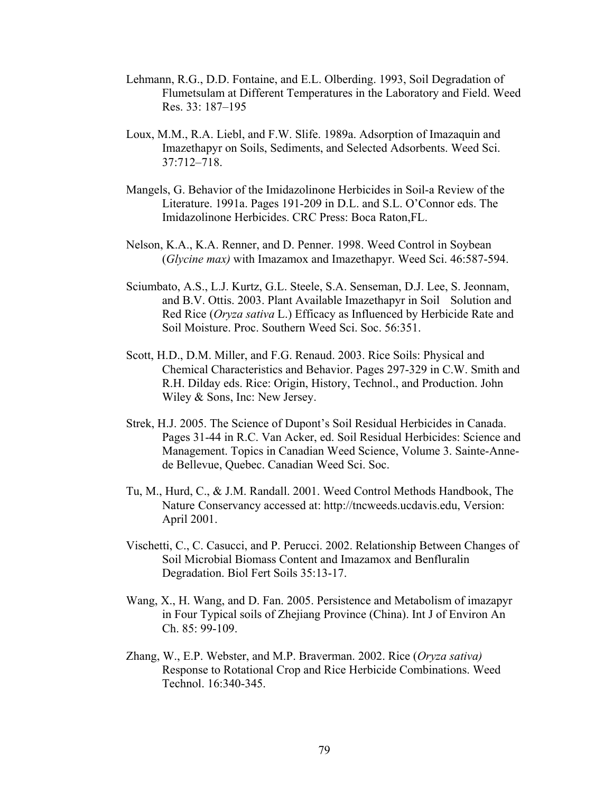- Lehmann, R.G., D.D. Fontaine, and E.L. Olberding. 1993, Soil Degradation of Flumetsulam at Different Temperatures in the Laboratory and Field. Weed Res. 33: 187–195
- Loux, M.M., R.A. Liebl, and F.W. Slife. 1989a. Adsorption of Imazaquin and Imazethapyr on Soils, Sediments, and Selected Adsorbents. Weed Sci. 37:712–718.
- Mangels, G. Behavior of the Imidazolinone Herbicides in Soil-a Review of the Literature. 1991a. Pages 191-209 in D.L. and S.L. O'Connor eds. The Imidazolinone Herbicides. CRC Press: Boca Raton,FL.
- Nelson, K.A., K.A. Renner, and D. Penner. 1998. Weed Control in Soybean (*Glycine max)* with Imazamox and Imazethapyr. Weed Sci. 46:587-594.
- Sciumbato, A.S., L.J. Kurtz, G.L. Steele, S.A. Senseman, D.J. Lee, S. Jeonnam, and B.V. Ottis. 2003. Plant Available Imazethapyr in Soil Solution and Red Rice (*Oryza sativa* L.) Efficacy as Influenced by Herbicide Rate and Soil Moisture. Proc. Southern Weed Sci. Soc. 56:351.
- Scott, H.D., D.M. Miller, and F.G. Renaud. 2003. Rice Soils: Physical and Chemical Characteristics and Behavior. Pages 297-329 in C.W. Smith and R.H. Dilday eds. Rice: Origin, History, Technol., and Production. John Wiley & Sons, Inc: New Jersey.
- Strek, H.J. 2005. The Science of Dupont's Soil Residual Herbicides in Canada. Pages 31-44 in R.C. Van Acker, ed. Soil Residual Herbicides: Science and Management. Topics in Canadian Weed Science, Volume 3. Sainte-Anne de Bellevue, Quebec. Canadian Weed Sci. Soc.
- Tu, M., Hurd, C., & J.M. Randall. 2001. Weed Control Methods Handbook, The Nature Conservancy accessed at: http://tncweeds.ucdavis.edu, Version: April 2001.
- Vischetti, C., C. Casucci, and P. Perucci. 2002. Relationship Between Changes of Soil Microbial Biomass Content and Imazamox and Benfluralin Degradation. Biol Fert Soils 35:13-17.
- Wang, X., H. Wang, and D. Fan. 2005. Persistence and Metabolism of imazapyr in Four Typical soils of Zhejiang Province (China). Int J of Environ An Ch. 85: 99-109.
- Zhang, W., E.P. Webster, and M.P. Braverman. 2002. Rice (*Oryza sativa)* Response to Rotational Crop and Rice Herbicide Combinations. Weed Technol. 16:340-345.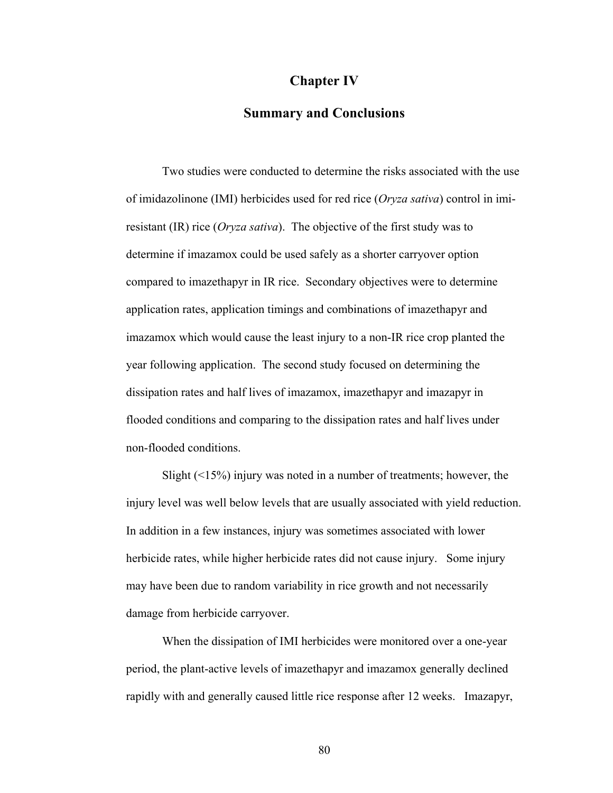## **Chapter IV**

## **Summary and Conclusions**

 Two studies were conducted to determine the risks associated with the use of imidazolinone (IMI) herbicides used for red rice (*Oryza sativa*) control in imiresistant (IR) rice (*Oryza sativa*). The objective of the first study was to determine if imazamox could be used safely as a shorter carryover option compared to imazethapyr in IR rice. Secondary objectives were to determine application rates, application timings and combinations of imazethapyr and imazamox which would cause the least injury to a non-IR rice crop planted the year following application. The second study focused on determining the dissipation rates and half lives of imazamox, imazethapyr and imazapyr in flooded conditions and comparing to the dissipation rates and half lives under non-flooded conditions.

Slight  $(\leq 15\%)$  injury was noted in a number of treatments; however, the injury level was well below levels that are usually associated with yield reduction. In addition in a few instances, injury was sometimes associated with lower herbicide rates, while higher herbicide rates did not cause injury. Some injury may have been due to random variability in rice growth and not necessarily damage from herbicide carryover.

 When the dissipation of IMI herbicides were monitored over a one-year period, the plant-active levels of imazethapyr and imazamox generally declined rapidly with and generally caused little rice response after 12 weeks. Imazapyr,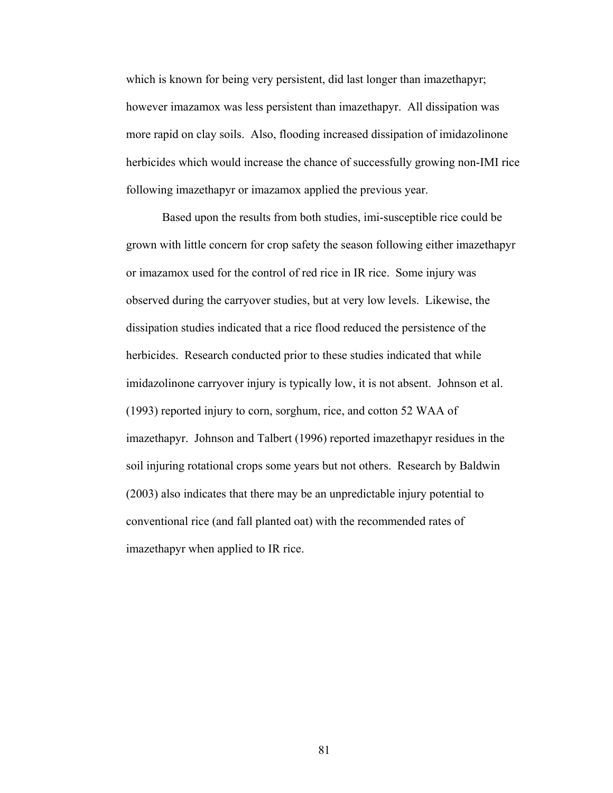which is known for being very persistent, did last longer than imazethapyr; however imazamox was less persistent than imazethapyr. All dissipation was more rapid on clay soils. Also, flooding increased dissipation of imidazolinone herbicides which would increase the chance of successfully growing non-IMI rice following imazethapyr or imazamox applied the previous year.

 Based upon the results from both studies, imi-susceptible rice could be grown with little concern for crop safety the season following either imazethapyr or imazamox used for the control of red rice in IR rice. Some injury was observed during the carryover studies, but at very low levels. Likewise, the dissipation studies indicated that a rice flood reduced the persistence of the herbicides. Research conducted prior to these studies indicated that while imidazolinone carryover injury is typically low, it is not absent. Johnson et al. (1993) reported injury to corn, sorghum, rice, and cotton 52 WAA of imazethapyr. Johnson and Talbert (1996) reported imazethapyr residues in the soil injuring rotational crops some years but not others. Research by Baldwin (2003) also indicates that there may be an unpredictable injury potential to conventional rice (and fall planted oat) with the recommended rates of imazethapyr when applied to IR rice.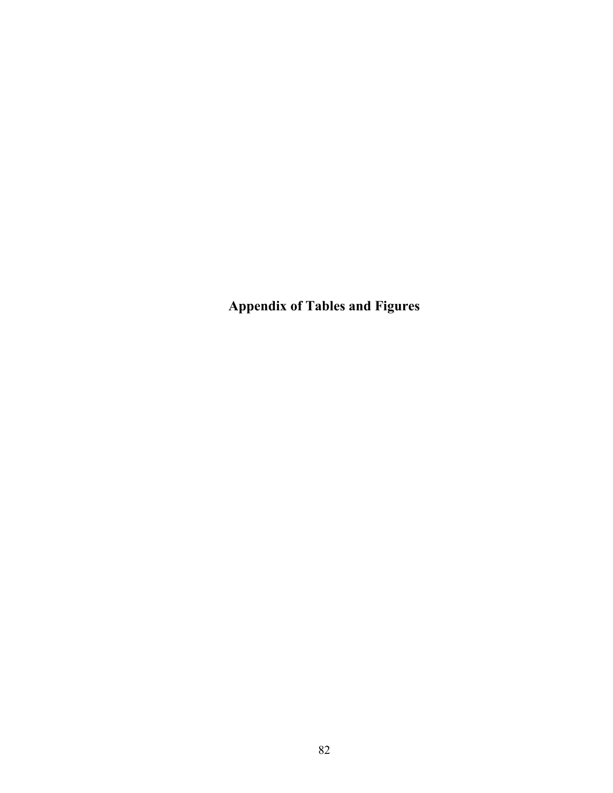**Appendix of Tables and Figures**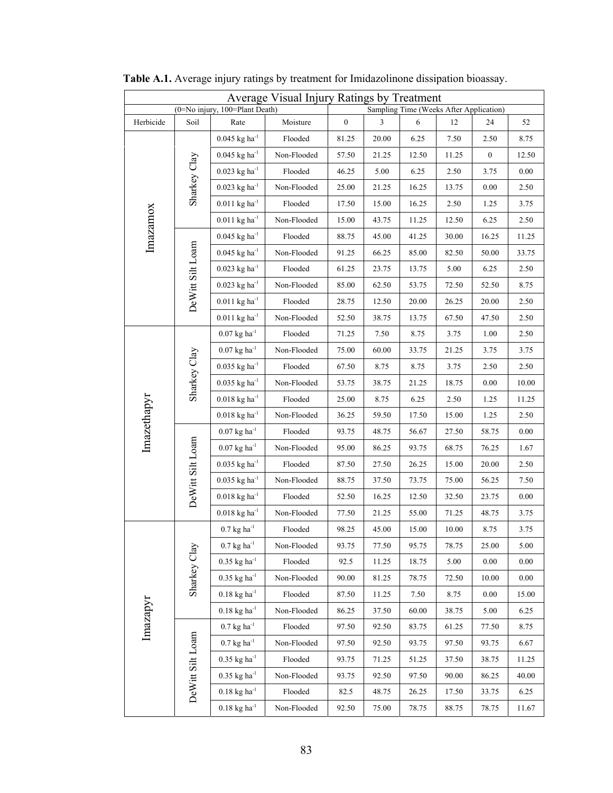|             |                  | (0=No injury, 100=Plant Death)              | Average Visual Injury Ratings by Treatment |                  |       |       | Sampling Time (Weeks After Application) |                  |       |
|-------------|------------------|---------------------------------------------|--------------------------------------------|------------------|-------|-------|-----------------------------------------|------------------|-------|
| Herbicide   | Soil             | Rate                                        | Moisture                                   | $\boldsymbol{0}$ | 3     | 6     | 12                                      | 24               | 52    |
|             |                  | $0.045~\mathrm{kg}~\mathrm{ha}^{1}$         | Flooded                                    | 81.25            | 20.00 | 6.25  | 7.50                                    | 2.50             | 8.75  |
|             |                  | $0.045$ kg ha <sup>-1</sup>                 | Non-Flooded                                | 57.50            | 21.25 | 12.50 | 11.25                                   | $\boldsymbol{0}$ | 12.50 |
|             | Sharkey Clay     | $0.023$ kg ha <sup>-1</sup>                 | Flooded                                    | 46.25            | 5.00  | 6.25  | 2.50                                    | 3.75             | 0.00  |
|             |                  | $0.023$ kg ha <sup>-1</sup>                 | Non-Flooded                                | 25.00            | 21.25 | 16.25 | 13.75                                   | 0.00             | 2.50  |
|             |                  | $0.011$ kg ha <sup>-1</sup>                 | Flooded                                    | 17.50            | 15.00 | 16.25 | 2.50                                    | 1.25             | 3.75  |
|             |                  | $0.011$ kg ha $1$                           | Non-Flooded                                | 15.00            | 43.75 | 11.25 | 12.50                                   | 6.25             | 2.50  |
| Imazamox    |                  | $0.045$ kg ha <sup>-1</sup>                 | Flooded                                    | 88.75            | 45.00 | 41.25 | 30.00                                   | 16.25            | 11.25 |
|             | DeWitt Silt Loam | $0.045$ kg ha <sup>-1</sup>                 | Non-Flooded                                | 91.25            | 66.25 | 85.00 | 82.50                                   | 50.00            | 33.75 |
|             |                  | $0.023$ kg ha <sup>-1</sup>                 | Flooded                                    | 61.25            | 23.75 | 13.75 | 5.00                                    | 6.25             | 2.50  |
|             |                  | $0.023~{\rm kg~ha}^{-1}$                    | Non-Flooded                                | 85.00            | 62.50 | 53.75 | 72.50                                   | 52.50            | 8.75  |
|             |                  | $0.011$ kg ha <sup>-1</sup>                 | Flooded                                    | 28.75            | 12.50 | 20.00 | 26.25                                   | 20.00            | 2.50  |
|             |                  | $0.011$ kg ha <sup>-1</sup>                 | Non-Flooded                                | 52.50            | 38.75 | 13.75 | 67.50                                   | 47.50            | 2.50  |
|             |                  | $0.07~\mathrm{kg}~\mathrm{ha}^{1}$          | Flooded                                    | 71.25            | 7.50  | 8.75  | 3.75                                    | 1.00             | 2.50  |
|             |                  | $0.07$ kg ha <sup>-1</sup>                  | Non-Flooded                                | 75.00            | 60.00 | 33.75 | 21.25                                   | 3.75             | 3.75  |
|             | Sharkey Clay     | $0.035$ kg ha <sup>-1</sup>                 | Flooded                                    | 67.50            | 8.75  | 8.75  | 3.75                                    | 2.50             | 2.50  |
|             |                  | $0.035$ kg ha <sup>-1</sup>                 | Non-Flooded                                | 53.75            | 38.75 | 21.25 | 18.75                                   | 0.00             | 10.00 |
|             |                  | $0.018~\mathrm{kg}~\mathrm{ha}^{1}$         | Flooded                                    | 25.00            | 8.75  | 6.25  | 2.50                                    | 1.25             | 11.25 |
| Imazethapyr |                  | $0.018$ kg ha <sup>-1</sup>                 | Non-Flooded                                | 36.25            | 59.50 | 17.50 | 15.00                                   | 1.25             | 2.50  |
|             |                  | $0.07~\mathrm{kg}~\mathrm{ha}^{1}$          | Flooded                                    | 93.75            | 48.75 | 56.67 | 27.50                                   | 58.75            | 0.00  |
|             |                  | $0.07$ kg ha <sup>-1</sup>                  | Non-Flooded                                | 95.00            | 86.25 | 93.75 | 68.75                                   | 76.25            | 1.67  |
|             | DeWitt Silt Loam | $0.035~{\rm kg}~{\rm ha}^{1}$               | Flooded                                    | 87.50            | 27.50 | 26.25 | 15.00                                   | 20.00            | 2.50  |
|             |                  | $0.035~\mathrm{kg}~\mathrm{ha}^{\text{-1}}$ | Non-Flooded                                | 88.75            | 37.50 | 73.75 | 75.00                                   | 56.25            | 7.50  |
|             |                  | $0.018$ kg ha <sup>-1</sup>                 | Flooded                                    | 52.50            | 16.25 | 12.50 | 32.50                                   | 23.75            | 0.00  |
|             |                  | $0.018$ kg ha <sup>-1</sup>                 | Non-Flooded                                | 77.50            | 21.25 | 55.00 | 71.25                                   | 48.75            | 3.75  |
|             |                  | $0.7$ kg ha <sup>-1</sup>                   | Flooded                                    | 98.25            | 45.00 | 15.00 | 10.00                                   | 8.75             | 3.75  |
|             |                  | $0.7$ kg ha <sup>-1</sup>                   | Non-Flooded                                | 93.75            | 77.50 | 95.75 | 78.75                                   | 25.00            | 5.00  |
|             | Sharkey Clay     | $0.35$ kg ha <sup>-1</sup>                  | Flooded                                    | 92.5             | 11.25 | 18.75 | 5.00                                    | 0.00             | 0.00  |
|             |                  | $0.35$ kg ha <sup>-1</sup>                  | Non-Flooded                                | 90.00            | 81.25 | 78.75 | 72.50                                   | 10.00            | 0.00  |
|             |                  | $0.18$ kg ha <sup>-1</sup>                  | Flooded                                    | 87.50            | 11.25 | 7.50  | 8.75                                    | $0.00\,$         | 15.00 |
|             |                  | $0.18$ kg ha <sup>-1</sup>                  | Non-Flooded                                | 86.25            | 37.50 | 60.00 | 38.75                                   | 5.00             | 6.25  |
| Imazapyr    |                  | $0.7~\mathrm{kg}~\mathrm{ha}^{\text{-1}}$   | Flooded                                    | 97.50            | 92.50 | 83.75 | 61.25                                   | 77.50            | 8.75  |
|             |                  | $0.7$ kg ha <sup>-1</sup>                   | Non-Flooded                                | 97.50            | 92.50 | 93.75 | 97.50                                   | 93.75            | 6.67  |
|             |                  | $0.35$ kg ha <sup>-1</sup>                  | Flooded                                    | 93.75            | 71.25 | 51.25 | 37.50                                   | 38.75            | 11.25 |
|             | DeWitt Silt Loam | $0.35$ kg ha <sup>-1</sup>                  | Non-Flooded                                | 93.75            | 92.50 | 97.50 | 90.00                                   | 86.25            | 40.00 |
|             |                  | $0.18$ kg ha <sup>-1</sup>                  | Flooded                                    | 82.5             | 48.75 | 26.25 | 17.50                                   | 33.75            | 6.25  |
|             |                  | $0.18$ kg ha <sup>-1</sup>                  | Non-Flooded                                | 92.50            | 75.00 | 78.75 | 88.75                                   | 78.75            | 11.67 |

**Table A.1.** Average injury ratings by treatment for Imidazolinone dissipation bioassay.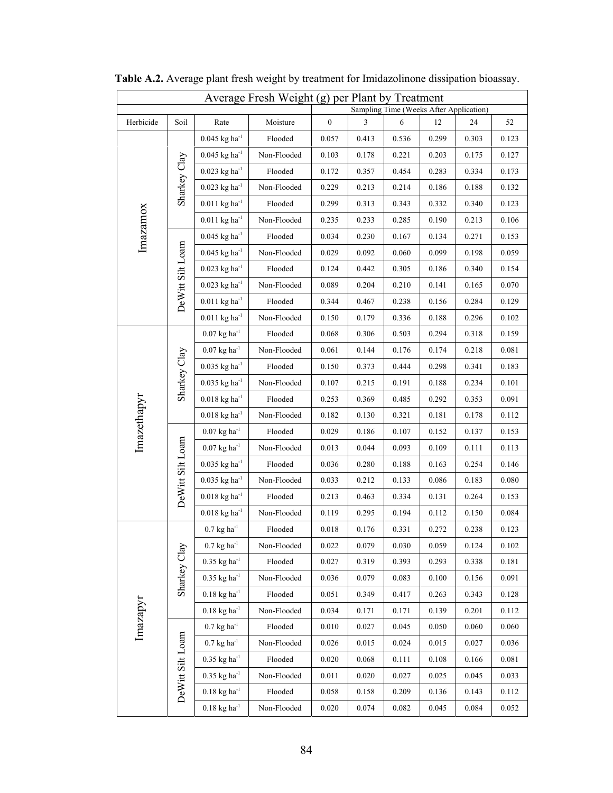|             |                  |                                             | Average Fresh Weight (g) per Plant by Treatment |                  |               | Sampling Time (Weeks After Application) |       |       |       |
|-------------|------------------|---------------------------------------------|-------------------------------------------------|------------------|---------------|-----------------------------------------|-------|-------|-------|
| Herbicide   | Soil             | Rate                                        | Moisture                                        | $\boldsymbol{0}$ | $\mathfrak z$ | 6                                       | 12    | 24    | 52    |
|             |                  | $0.045$ kg ha <sup>-1</sup>                 | Flooded                                         | 0.057            | 0.413         | 0.536                                   | 0.299 | 0.303 | 0.123 |
|             |                  | $0.045$ kg ha <sup>-1</sup>                 | Non-Flooded                                     | 0.103            | 0.178         | 0.221                                   | 0.203 | 0.175 | 0.127 |
|             | Sharkey Clay     | $0.023~{\rm kg~ha^{\text{-}1}}$             | Flooded                                         | 0.172            | 0.357         | 0.454                                   | 0.283 | 0.334 | 0.173 |
|             |                  | $0.023$ kg ha <sup>-1</sup>                 | Non-Flooded                                     | 0.229            | 0.213         | 0.214                                   | 0.186 | 0.188 | 0.132 |
|             |                  | $0.011$ kg ha <sup>-1</sup>                 | Flooded                                         | 0.299            | 0.313         | 0.343                                   | 0.332 | 0.340 | 0.123 |
| Imazamox    |                  | $0.011$ kg ha <sup>-1</sup>                 | Non-Flooded                                     | 0.235            | 0.233         | 0.285                                   | 0.190 | 0.213 | 0.106 |
|             |                  | $0.045~{\rm kg}~{\rm ha}^{-1}$              | Flooded                                         | 0.034            | 0.230         | 0.167                                   | 0.134 | 0.271 | 0.153 |
|             | DeWitt Silt Loam | $0.045$ kg ha <sup>-1</sup>                 | Non-Flooded                                     | 0.029            | 0.092         | 0.060                                   | 0.099 | 0.198 | 0.059 |
|             |                  | $0.023$ kg ha <sup>-1</sup>                 | Flooded                                         | 0.124            | 0.442         | 0.305                                   | 0.186 | 0.340 | 0.154 |
|             |                  | $0.023$ kg ha <sup>-1</sup>                 | Non-Flooded                                     | 0.089            | 0.204         | 0.210                                   | 0.141 | 0.165 | 0.070 |
|             |                  | $0.011$ kg ha <sup>-1</sup>                 | Flooded                                         | 0.344            | 0.467         | 0.238                                   | 0.156 | 0.284 | 0.129 |
|             |                  | $0.011$ kg ha $1$                           | Non-Flooded                                     | 0.150            | 0.179         | 0.336                                   | 0.188 | 0.296 | 0.102 |
|             |                  | $0.07$ kg ha <sup>-1</sup>                  | Flooded                                         | 0.068            | 0.306         | 0.503                                   | 0.294 | 0.318 | 0.159 |
|             |                  | $0.07$ kg ha <sup>-1</sup>                  | Non-Flooded                                     | 0.061            | 0.144         | 0.176                                   | 0.174 | 0.218 | 0.081 |
|             |                  | $0.035~{\rm kg~ha^{\text{-}1}}$             | Flooded                                         | 0.150            | 0.373         | 0.444                                   | 0.298 | 0.341 | 0.183 |
|             | Sharkey Clay     | $0.035$ kg ha <sup>-1</sup>                 | Non-Flooded                                     | 0.107            | 0.215         | 0.191                                   | 0.188 | 0.234 | 0.101 |
|             |                  | $0.018$ kg ha <sup>-1</sup>                 | Flooded                                         | 0.253            | 0.369         | 0.485                                   | 0.292 | 0.353 | 0.091 |
| Imazethapyr |                  | $0.018~\mathrm{kg}~\mathrm{ha}^{\text{-}1}$ | Non-Flooded                                     | 0.182            | 0.130         | 0.321                                   | 0.181 | 0.178 | 0.112 |
|             |                  | $0.07$ kg ha <sup>-1</sup>                  | Flooded                                         | 0.029            | 0.186         | 0.107                                   | 0.152 | 0.137 | 0.153 |
|             | DeWitt Silt Loam | $0.07$ kg ha <sup>-1</sup>                  | Non-Flooded                                     | 0.013            | 0.044         | 0.093                                   | 0.109 | 0.111 | 0.113 |
|             |                  | $0.035~{\rm kg}~{\rm ha}^{1}$               | Flooded                                         | 0.036            | 0.280         | 0.188                                   | 0.163 | 0.254 | 0.146 |
|             |                  | $0.035$ kg ha <sup>-1</sup>                 | Non-Flooded                                     | 0.033            | 0.212         | 0.133                                   | 0.086 | 0.183 | 0.080 |
|             |                  | $0.018$ kg ha <sup>-1</sup>                 | Flooded                                         | 0.213            | 0.463         | 0.334                                   | 0.131 | 0.264 | 0.153 |
|             |                  | $0.018~\mathrm{kg}~\mathrm{ha}^{-1}$        | Non-Flooded                                     | 0.119            | 0.295         | 0.194                                   | 0.112 | 0.150 | 0.084 |
|             |                  | $0.7$ kg ha <sup>-1</sup>                   | Flooded                                         | 0.018            | 0.176         | 0.331                                   | 0.272 | 0.238 | 0.123 |
|             |                  | $0.7$ kg ha <sup>-1</sup>                   | Non-Flooded                                     | 0.022            | 0.079         | 0.030                                   | 0.059 | 0.124 | 0.102 |
|             | Sharkey Clay     | $0.35$ kg ha <sup>-1</sup>                  | Flooded                                         | 0.027            | 0.319         | 0.393                                   | 0.293 | 0.338 | 0.181 |
|             |                  | $0.35$ kg ha <sup>-1</sup>                  | Non-Flooded                                     | 0.036            | 0.079         | 0.083                                   | 0.100 | 0.156 | 0.091 |
|             |                  | $0.18$ kg ha <sup>-1</sup>                  | Flooded                                         | 0.051            | 0.349         | 0.417                                   | 0.263 | 0.343 | 0.128 |
| Imazapyr    |                  | $0.18$ kg ha <sup>-1</sup>                  | Non-Flooded                                     | 0.034            | 0.171         | 0.171                                   | 0.139 | 0.201 | 0.112 |
|             |                  | $0.7~\mathrm{kg}~\mathrm{ha}^{\text{-}1}$   | Flooded                                         | 0.010            | 0.027         | 0.045                                   | 0.050 | 0.060 | 0.060 |
|             |                  | $0.7$ kg ha $^{-1}$                         | Non-Flooded                                     | 0.026            | 0.015         | 0.024                                   | 0.015 | 0.027 | 0.036 |
|             |                  | $0.35$ kg ha <sup>-1</sup>                  | Flooded                                         | 0.020            | 0.068         | 0.111                                   | 0.108 | 0.166 | 0.081 |
|             |                  | $0.35$ kg ha <sup>-1</sup>                  | Non-Flooded                                     | 0.011            | 0.020         | 0.027                                   | 0.025 | 0.045 | 0.033 |
|             | DeWitt Silt Loam | $0.18$ kg ha <sup>-1</sup>                  | Flooded                                         | 0.058            | 0.158         | 0.209                                   | 0.136 | 0.143 | 0.112 |
|             |                  | $0.18~{\rm kg~ha^{\text{-}1}}$              | Non-Flooded                                     | 0.020            | 0.074         | 0.082                                   | 0.045 | 0.084 | 0.052 |

 **Table A.2.** Average plant fresh weight by treatment for Imidazolinone dissipation bioassay.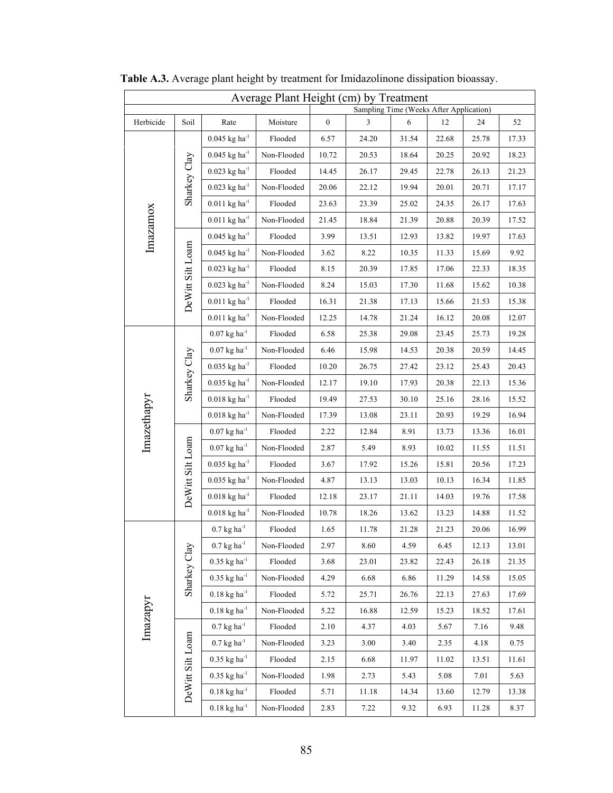| Average Plant Height (cm) by Treatment<br>Sampling Time (Weeks After Application) |                  |                                     |             |                  |       |       |       |       |       |
|-----------------------------------------------------------------------------------|------------------|-------------------------------------|-------------|------------------|-------|-------|-------|-------|-------|
| Herbicide                                                                         | Soil             | Rate                                | Moisture    | $\boldsymbol{0}$ | 3     | 6     | 12    | 24    | 52    |
|                                                                                   |                  | $0.045$ kg ha <sup>-1</sup>         | Flooded     | 6.57             | 24.20 | 31.54 | 22.68 | 25.78 | 17.33 |
|                                                                                   |                  | $0.045$ kg ha <sup>-1</sup>         | Non-Flooded | 10.72            | 20.53 | 18.64 | 20.25 | 20.92 | 18.23 |
|                                                                                   | Sharkey Clay     | $0.023$ kg ha <sup>-1</sup>         | Flooded     | 14.45            | 26.17 | 29.45 | 22.78 | 26.13 | 21.23 |
|                                                                                   |                  | $0.023$ kg ha <sup>-1</sup>         | Non-Flooded | 20.06            | 22.12 | 19.94 | 20.01 | 20.71 | 17.17 |
|                                                                                   |                  | $0.011$ kg ha <sup>-1</sup>         | Flooded     | 23.63            | 23.39 | 25.02 | 24.35 | 26.17 | 17.63 |
|                                                                                   |                  | $0.011$ kg ha <sup>-1</sup>         | Non-Flooded | 21.45            | 18.84 | 21.39 | 20.88 | 20.39 | 17.52 |
| Imazamox                                                                          |                  | $0.045$ kg ha <sup>-1</sup>         | Flooded     | 3.99             | 13.51 | 12.93 | 13.82 | 19.97 | 17.63 |
|                                                                                   |                  | $0.045$ kg ha <sup>-1</sup>         | Non-Flooded | 3.62             | 8.22  | 10.35 | 11.33 | 15.69 | 9.92  |
|                                                                                   |                  | $0.023$ kg ha <sup>-1</sup>         | Flooded     | 8.15             | 20.39 | 17.85 | 17.06 | 22.33 | 18.35 |
|                                                                                   |                  | $0.023$ kg ha <sup>-1</sup>         | Non-Flooded | 8.24             | 15.03 | 17.30 | 11.68 | 15.62 | 10.38 |
|                                                                                   | DeWitt Silt Loam | $0.011$ kg ha <sup>-1</sup>         | Flooded     | 16.31            | 21.38 | 17.13 | 15.66 | 21.53 | 15.38 |
|                                                                                   |                  | $0.011$ kg ha <sup>-1</sup>         | Non-Flooded | 12.25            | 14.78 | 21.24 | 16.12 | 20.08 | 12.07 |
|                                                                                   |                  | $0.07$ kg ha <sup>-1</sup>          | Flooded     | 6.58             | 25.38 | 29.08 | 23.45 | 25.73 | 19.28 |
|                                                                                   |                  | $0.07~\mathrm{kg}~\mathrm{ha}^{1}$  | Non-Flooded | 6.46             | 15.98 | 14.53 | 20.38 | 20.59 | 14.45 |
|                                                                                   | Sharkey Clay     | $0.035$ kg ha <sup>-1</sup>         | Flooded     | $10.20\,$        | 26.75 | 27.42 | 23.12 | 25.43 | 20.43 |
|                                                                                   |                  | $0.035$ kg ha <sup>-1</sup>         | Non-Flooded | 12.17            | 19.10 | 17.93 | 20.38 | 22.13 | 15.36 |
|                                                                                   |                  | $0.018~\mathrm{kg}~\mathrm{ha}^{1}$ | Flooded     | 19.49            | 27.53 | 30.10 | 25.16 | 28.16 | 15.52 |
| Imazethapyr                                                                       |                  | $0.018$ kg ha <sup>-1</sup>         | Non-Flooded | 17.39            | 13.08 | 23.11 | 20.93 | 19.29 | 16.94 |
|                                                                                   |                  | $0.07~\mathrm{kg}~\mathrm{ha}^{1}$  | Flooded     | 2.22             | 12.84 | 8.91  | 13.73 | 13.36 | 16.01 |
|                                                                                   | DeWitt Silt Loam | $0.07$ kg ha <sup>-1</sup>          | Non-Flooded | 2.87             | 5.49  | 8.93  | 10.02 | 11.55 | 11.51 |
|                                                                                   |                  | $0.035$ kg ha <sup>-1</sup>         | Flooded     | 3.67             | 17.92 | 15.26 | 15.81 | 20.56 | 17.23 |
|                                                                                   |                  | $0.035$ kg ha <sup>-1</sup>         | Non-Flooded | 4.87             | 13.13 | 13.03 | 10.13 | 16.34 | 11.85 |
|                                                                                   |                  | $0.018$ kg ha <sup>-1</sup>         | Flooded     | 12.18            | 23.17 | 21.11 | 14.03 | 19.76 | 17.58 |
|                                                                                   |                  | $0.018$ kg ha <sup>-1</sup>         | Non-Flooded | 10.78            | 18.26 | 13.62 | 13.23 | 14.88 | 11.52 |
|                                                                                   |                  | $0.7$ kg ha <sup>-1</sup>           | Flooded     | 1.65             | 11.78 | 21.28 | 21.23 | 20.06 | 16.99 |
|                                                                                   |                  | $0.7$ kg ha <sup>-1</sup>           | Non-Flooded | 2.97             | 8.60  | 4.59  | 6.45  | 12.13 | 13.01 |
|                                                                                   | Sharkey Clay     | $0.35$ kg ha <sup>-1</sup>          | Flooded     | 3.68             | 23.01 | 23.82 | 22.43 | 26.18 | 21.35 |
|                                                                                   |                  | $0.35$ kg ha <sup>-1</sup>          | Non-Flooded | 4.29             | 6.68  | 6.86  | 11.29 | 14.58 | 15.05 |
|                                                                                   |                  | $0.18$ kg ha <sup>-1</sup>          | Flooded     | 5.72             | 25.71 | 26.76 | 22.13 | 27.63 | 17.69 |
| Imazapyr                                                                          |                  | $0.18$ kg ha <sup>-1</sup>          | Non-Flooded | 5.22             | 16.88 | 12.59 | 15.23 | 18.52 | 17.61 |
|                                                                                   |                  | $0.7$ kg ha $^{-1}$                 | Flooded     | 2.10             | 4.37  | 4.03  | 5.67  | 7.16  | 9.48  |
|                                                                                   |                  | $0.7$ kg ha $^{-1}$                 | Non-Flooded | 3.23             | 3.00  | 3.40  | 2.35  | 4.18  | 0.75  |
|                                                                                   |                  | $0.35$ kg ha <sup>-1</sup>          | Flooded     | 2.15             | 6.68  | 11.97 | 11.02 | 13.51 | 11.61 |
|                                                                                   |                  | $0.35$ kg ha <sup>-1</sup>          | Non-Flooded | 1.98             | 2.73  | 5.43  | 5.08  | 7.01  | 5.63  |
|                                                                                   | DeWitt Silt Loam | $0.18$ kg ha <sup>-1</sup>          | Flooded     | 5.71             | 11.18 | 14.34 | 13.60 | 12.79 | 13.38 |
|                                                                                   |                  | $0.18$ kg ha <sup>-1</sup>          | Non-Flooded | 2.83             | 7.22  | 9.32  | 6.93  | 11.28 | 8.37  |

 **Table A.3.** Average plant height by treatment for Imidazolinone dissipation bioassay.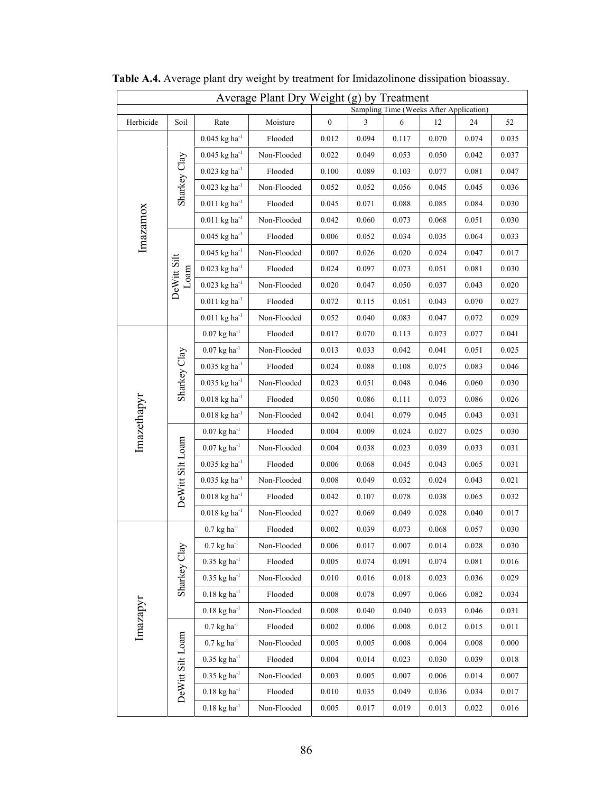| Average Plant Dry Weight (g) by Treatment<br>Sampling Time (Weeks After Application) |                        |                                                |             |                  |               |            |       |       |       |
|--------------------------------------------------------------------------------------|------------------------|------------------------------------------------|-------------|------------------|---------------|------------|-------|-------|-------|
| Herbicide                                                                            | Soil                   | Rate                                           | Moisture    | $\boldsymbol{0}$ | $\mathfrak z$ | $\sqrt{6}$ | 12    | 24    | 52    |
|                                                                                      |                        | $0.045~{\rm kg}~{\rm ha}^{-1}$                 | Flooded     | 0.012            | 0.094         | 0.117      | 0.070 | 0.074 | 0.035 |
| Imazamox                                                                             | Sharkey Clay           | $0.045$ kg ha <sup>-1</sup>                    | Non-Flooded | 0.022            | 0.049         | 0.053      | 0.050 | 0.042 | 0.037 |
|                                                                                      |                        | $0.023$ kg ha <sup>-1</sup>                    | Flooded     | 0.100            | 0.089         | 0.103      | 0.077 | 0.081 | 0.047 |
|                                                                                      |                        | $0.023~\mathrm{kg}~\mathrm{ha}^{_\mathrm{-1}}$ | Non-Flooded | 0.052            | 0.052         | 0.056      | 0.045 | 0.045 | 0.036 |
|                                                                                      |                        | $0.011$ kg ha <sup>-1</sup>                    | Flooded     | 0.045            | 0.071         | 0.088      | 0.085 | 0.084 | 0.030 |
|                                                                                      |                        | $0.011$ kg ha <sup>-1</sup>                    | Non-Flooded | 0.042            | 0.060         | 0.073      | 0.068 | 0.051 | 0.030 |
|                                                                                      | DeWitt Silt<br>$Lo$ am | $0.045$ kg ha <sup>-1</sup>                    | Flooded     | 0.006            | 0.052         | 0.034      | 0.035 | 0.064 | 0.033 |
|                                                                                      |                        | $0.045$ kg ha <sup>-1</sup>                    | Non-Flooded | 0.007            | 0.026         | 0.020      | 0.024 | 0.047 | 0.017 |
|                                                                                      |                        | $0.023~{\rm kg~ha^{\text{-}1}}$                | Flooded     | 0.024            | 0.097         | 0.073      | 0.051 | 0.081 | 0.030 |
|                                                                                      |                        | $0.023~\mathrm{kg}~\mathrm{ha}^{1}$            | Non-Flooded | 0.020            | 0.047         | 0.050      | 0.037 | 0.043 | 0.020 |
|                                                                                      |                        | $0.011$ kg ha <sup>-1</sup>                    | Flooded     | 0.072            | 0.115         | 0.051      | 0.043 | 0.070 | 0.027 |
|                                                                                      |                        | $0.011$ kg ha <sup>-1</sup>                    | Non-Flooded | 0.052            | 0.040         | 0.083      | 0.047 | 0.072 | 0.029 |
|                                                                                      |                        | $0.07$ kg ha <sup>-1</sup>                     | Flooded     | 0.017            | 0.070         | 0.113      | 0.073 | 0.077 | 0.041 |
| Imazethapyr                                                                          | Sharkey Clay           | $0.07$ kg ha <sup>-1</sup>                     | Non-Flooded | 0.013            | 0.033         | 0.042      | 0.041 | 0.051 | 0.025 |
|                                                                                      |                        | $0.035~\mathrm{kg}~\mathrm{ha}^{1}$            | Flooded     | 0.024            | 0.088         | 0.108      | 0.075 | 0.083 | 0.046 |
|                                                                                      |                        | $0.035$ kg ha <sup>-1</sup>                    | Non-Flooded | 0.023            | 0.051         | 0.048      | 0.046 | 0.060 | 0.030 |
|                                                                                      |                        | $0.018$ kg ha <sup>-1</sup>                    | Flooded     | 0.050            | 0.086         | 0.111      | 0.073 | 0.086 | 0.026 |
|                                                                                      |                        | $0.018$ kg ha <sup>-1</sup>                    | Non-Flooded | 0.042            | 0.041         | 0.079      | 0.045 | 0.043 | 0.031 |
|                                                                                      |                        | $0.07$ kg ha <sup>-1</sup>                     | Flooded     | 0.004            | 0.009         | 0.024      | 0.027 | 0.025 | 0.030 |
|                                                                                      |                        | $0.07$ kg ha <sup>-1</sup>                     | Non-Flooded | 0.004            | 0.038         | 0.023      | 0.039 | 0.033 | 0.031 |
|                                                                                      | DeWitt Silt Loam       | $0.035$ kg ha <sup>-1</sup>                    | Flooded     | 0.006            | 0.068         | 0.045      | 0.043 | 0.065 | 0.031 |
|                                                                                      |                        | $0.035$ kg ha <sup>-1</sup>                    | Non-Flooded | 0.008            | 0.049         | 0.032      | 0.024 | 0.043 | 0.021 |
|                                                                                      |                        | $0.018$ kg ha <sup>-1</sup>                    | Flooded     | 0.042            | 0.107         | 0.078      | 0.038 | 0.065 | 0.032 |
|                                                                                      |                        | $0.018$ kg ha <sup>-1</sup>                    | Non-Flooded | 0.027            | 0.069         | 0.049      | 0.028 | 0.040 | 0.017 |
| Imazapyr                                                                             | Sharkey Clay           | $0.7$ kg ha <sup>-1</sup>                      | Flooded     | 0.002            | 0.039         | 0.073      | 0.068 | 0.057 | 0.030 |
|                                                                                      |                        | $0.7$ kg ha $^{-1}$                            | Non-Flooded | 0.006            | 0.017         | 0.007      | 0.014 | 0.028 | 0.030 |
|                                                                                      |                        | $0.35$ kg ha <sup>-1</sup>                     | Flooded     | 0.005            | 0.074         | 0.091      | 0.074 | 0.081 | 0.016 |
|                                                                                      |                        | $0.35$ kg ha <sup>-1</sup>                     | Non-Flooded | 0.010            | 0.016         | 0.018      | 0.023 | 0.036 | 0.029 |
|                                                                                      |                        | $0.18$ kg ha <sup>-1</sup>                     | Flooded     | 0.008            | 0.078         | 0.097      | 0.066 | 0.082 | 0.034 |
|                                                                                      |                        | $0.18~\mathrm{kg}~\mathrm{ha}^{1}$             | Non-Flooded | 0.008            | 0.040         | 0.040      | 0.033 | 0.046 | 0.031 |
|                                                                                      | DeWitt Silt Loam       | $0.7$ kg ha <sup>-1</sup>                      | Flooded     | 0.002            | 0.006         | 0.008      | 0.012 | 0.015 | 0.011 |
|                                                                                      |                        | $0.7$ kg ha $^{-1}$                            | Non-Flooded | 0.005            | 0.005         | 0.008      | 0.004 | 0.008 | 0.000 |
|                                                                                      |                        | $0.35~{\rm kg~ha^{\text{-}1}}$                 | Flooded     | 0.004            | 0.014         | 0.023      | 0.030 | 0.039 | 0.018 |
|                                                                                      |                        | $0.35~{\rm kg~ha}^{-1}$                        | Non-Flooded | 0.003            | 0.005         | 0.007      | 0.006 | 0.014 | 0.007 |
|                                                                                      |                        | $0.18$ kg ha <sup>-1</sup>                     | Flooded     | 0.010            | 0.035         | 0.049      | 0.036 | 0.034 | 0.017 |
|                                                                                      |                        | $0.18~{\rm kg~ha^{\text{-}1}}$                 | Non-Flooded | 0.005            | 0.017         | 0.019      | 0.013 | 0.022 | 0.016 |

 **Table A.4.** Average plant dry weight by treatment for Imidazolinone dissipation bioassay.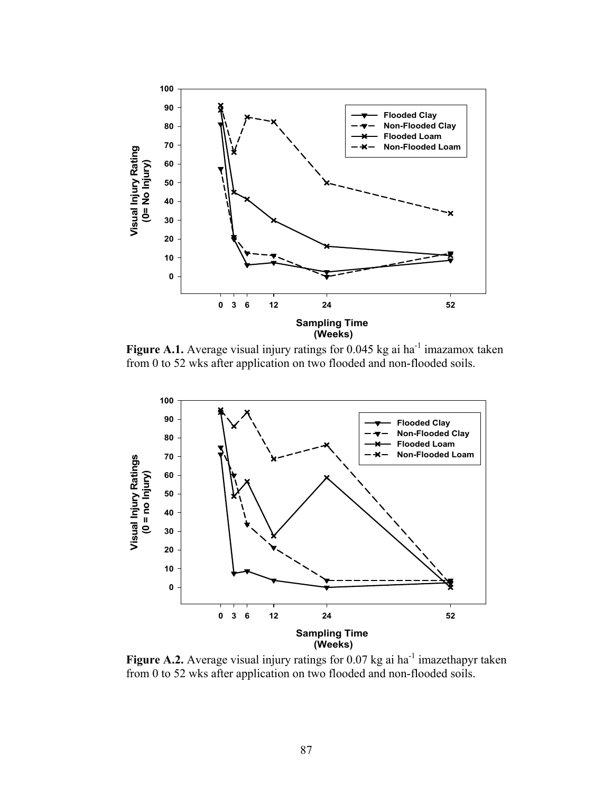

**Figure A.1.** Average visual injury ratings for 0.045 kg ai ha<sup>-1</sup> imazamox taken from 0 to 52 wks after application on two flooded and non-flooded soils.



**Figure A.2.** Average visual injury ratings for 0.07 kg ai ha<sup>-1</sup> imazethapyr taken from 0 to 52 wks after application on two flooded and non-flooded soils.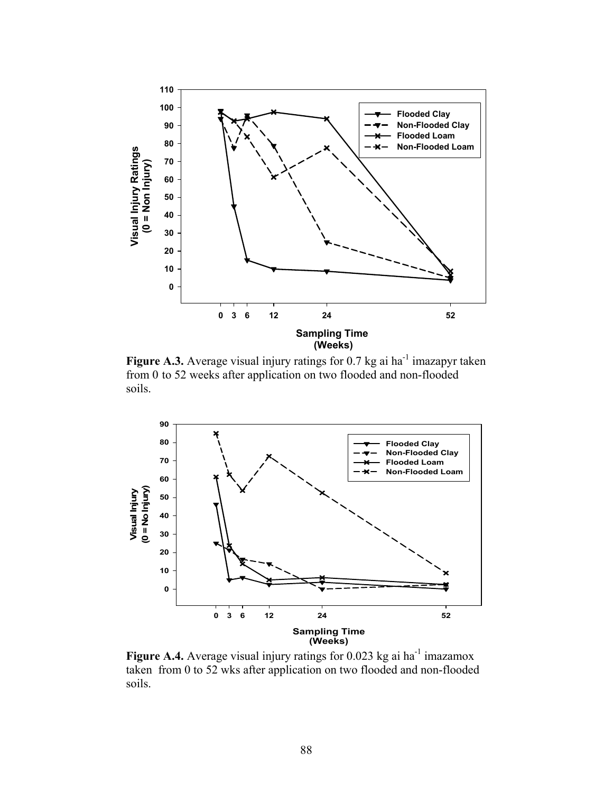

**Figure A.3.** Average visual injury ratings for  $0.7$  kg ai ha<sup>-1</sup> imazapyr taken from 0 to 52 weeks after application on two flooded and non-flooded soils.



**Figure A.4.** Average visual injury ratings for 0.023 kg ai ha<sup>-1</sup> imazamox taken from 0 to 52 wks after application on two flooded and non-flooded soils.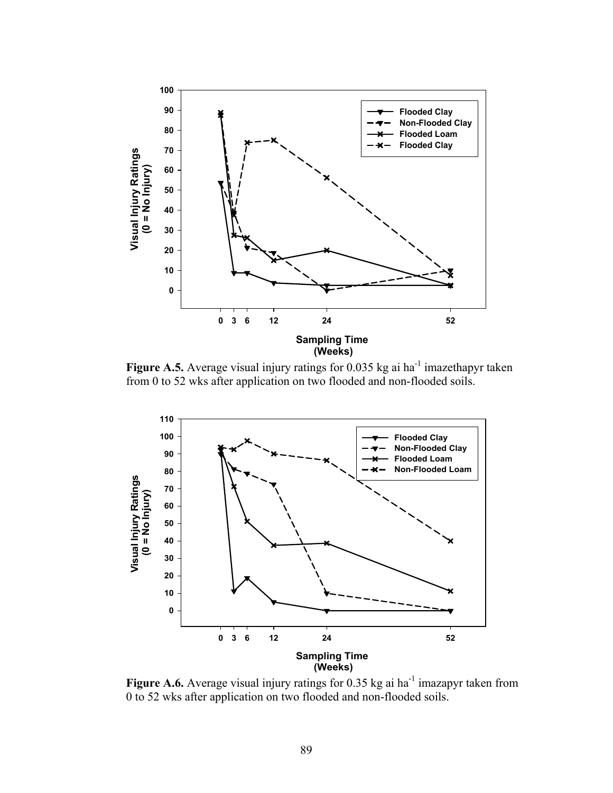

Figure A.5. Average visual injury ratings for 0.035 kg ai ha<sup>-1</sup> imazethapyr taken from 0 to 52 wks after application on two flooded and non-flooded soils.



**Figure A.6.** Average visual injury ratings for 0.35 kg ai ha<sup>-1</sup> imazapyr taken from 0 to 52 wks after application on two flooded and non-flooded soils.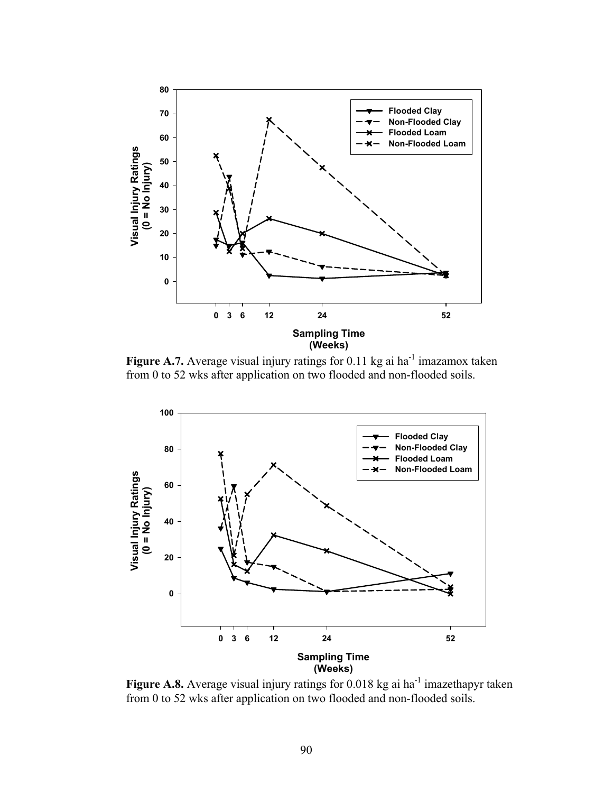

**Figure A.7.** Average visual injury ratings for 0.11 kg ai ha<sup>-1</sup> imazamox taken from 0 to 52 wks after application on two flooded and non-flooded soils.



Figure A.8. Average visual injury ratings for 0.018 kg ai ha<sup>-1</sup> imazethapyr taken from 0 to 52 wks after application on two flooded and non-flooded soils.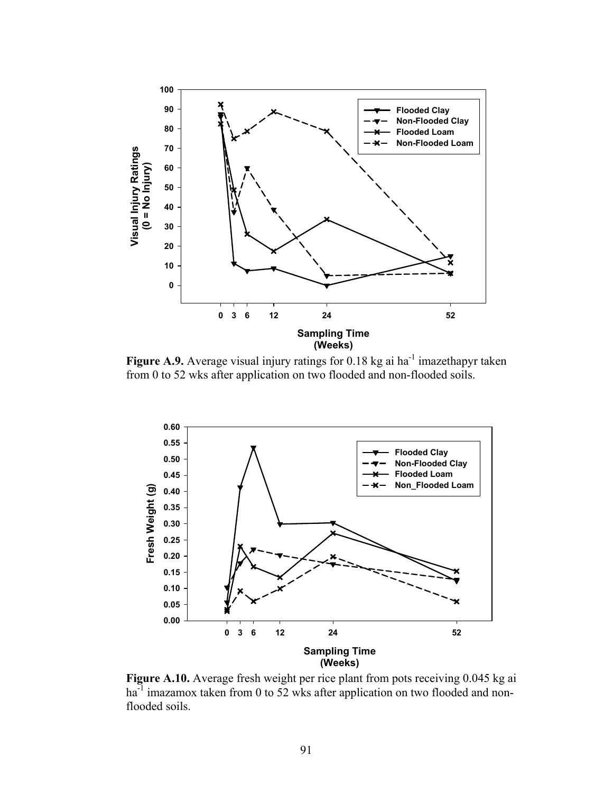

**Figure A.9.** Average visual injury ratings for 0.18 kg ai ha<sup>-1</sup> imazethapyr taken from 0 to 52 wks after application on two flooded and non-flooded soils.



Figure A.10. Average fresh weight per rice plant from pots receiving 0.045 kg ai ha<sup>-1</sup> imazamox taken from 0 to 52 wks after application on two flooded and nonflooded soils.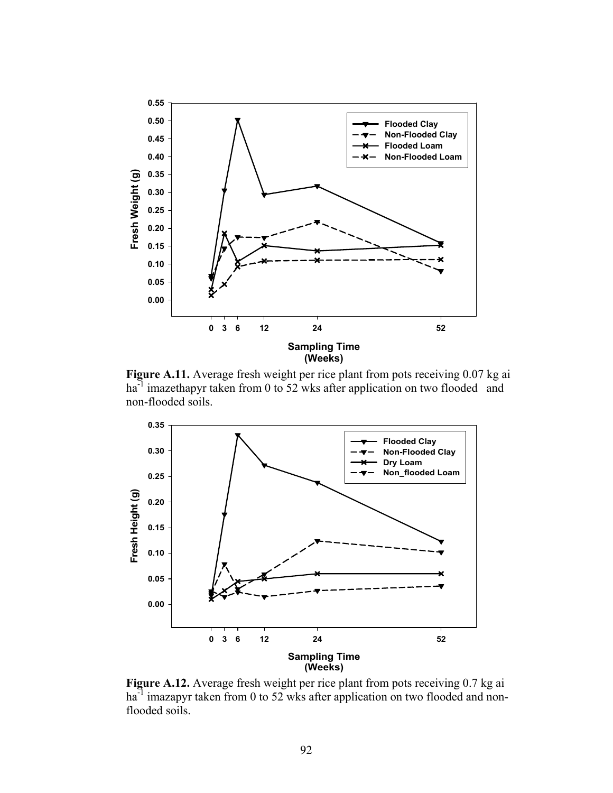

**Figure A.11.** Average fresh weight per rice plant from pots receiving 0.07 kg ai ha<sup>-1</sup> imazethapyr taken from 0 to 52 wks after application on two flooded and non-flooded soils.



**Figure A.12.** Average fresh weight per rice plant from pots receiving 0.7 kg ai  $ha^{-1}$  imazapyr taken from 0 to 52 wks after application on two flooded and nonflooded soils.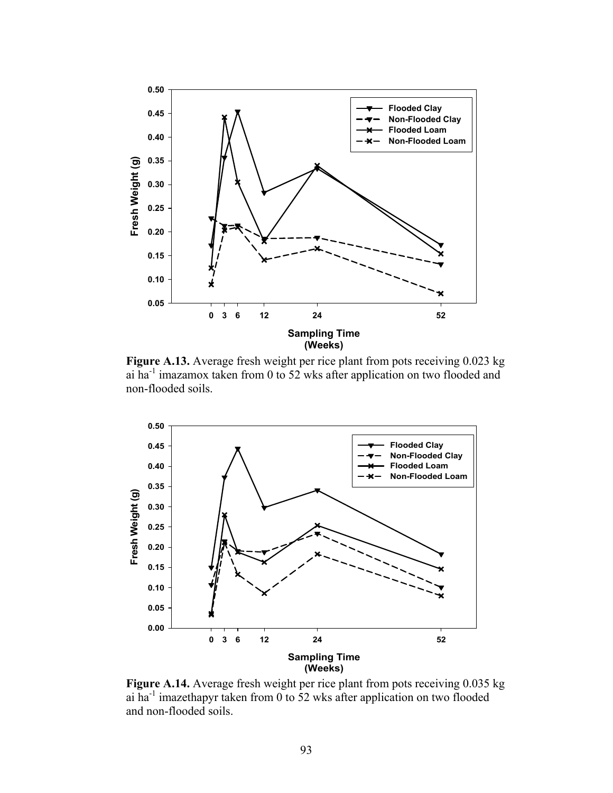

 **Figure A.13.** Average fresh weight per rice plant from pots receiving 0.023 kg ai ha-1 imazamox taken from 0 to 52 wks after application on two flooded and non-flooded soils.



**Figure A.14.** Average fresh weight per rice plant from pots receiving 0.035 kg ai ha<sup>-1</sup> imazethapyr taken from 0 to 52 wks after application on two flooded and non-flooded soils.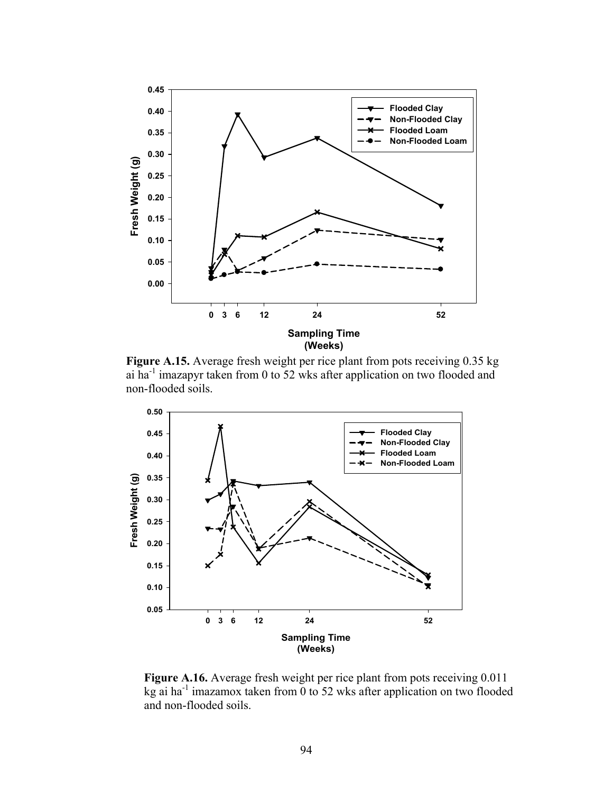

**Figure A.15.** Average fresh weight per rice plant from pots receiving 0.35 kg ai ha-1 imazapyr taken from 0 to 52 wks after application on two flooded and non-flooded soils.



**Figure A.16.** Average fresh weight per rice plant from pots receiving 0.011 kg ai ha<sup>-1</sup> imazamox taken from  $\overline{0}$  to 52 wks after application on two flooded and non-flooded soils.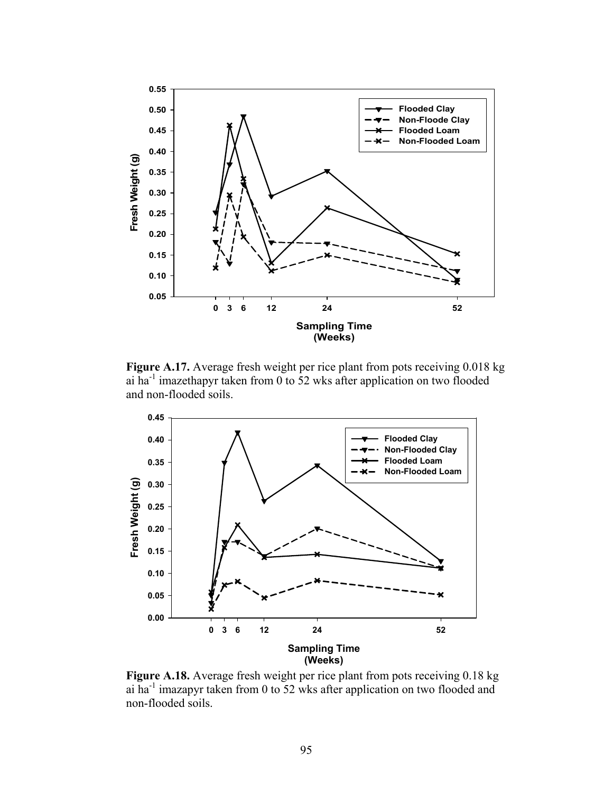

 **Figure A.17.** Average fresh weight per rice plant from pots receiving 0.018 kg ai ha<sup>-1</sup> imazethapyr taken from 0 to 52 wks after application on two flooded and non-flooded soils.



 **Figure A.18.** Average fresh weight per rice plant from pots receiving 0.18 kg ai ha-1 imazapyr taken from 0 to 52 wks after application on two flooded and non-flooded soils.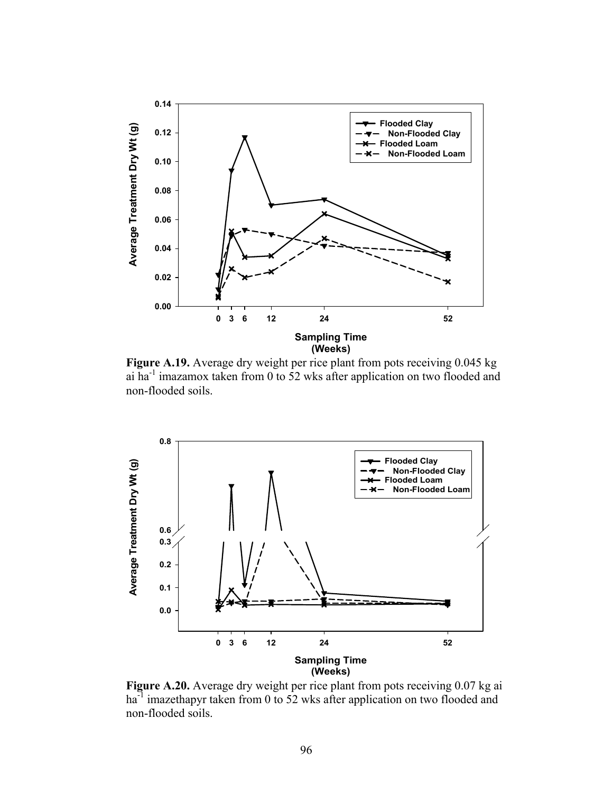

 **Figure A.19.** Average dry weight per rice plant from pots receiving 0.045 kg ai ha-1 imazamox taken from 0 to 52 wks after application on two flooded and non-flooded soils.



**Figure A.20.** Average dry weight per rice plant from pots receiving 0.07 kg ai  $ha^{-1}$  imazethapyr taken from 0 to 52 wks after application on two flooded and non-flooded soils.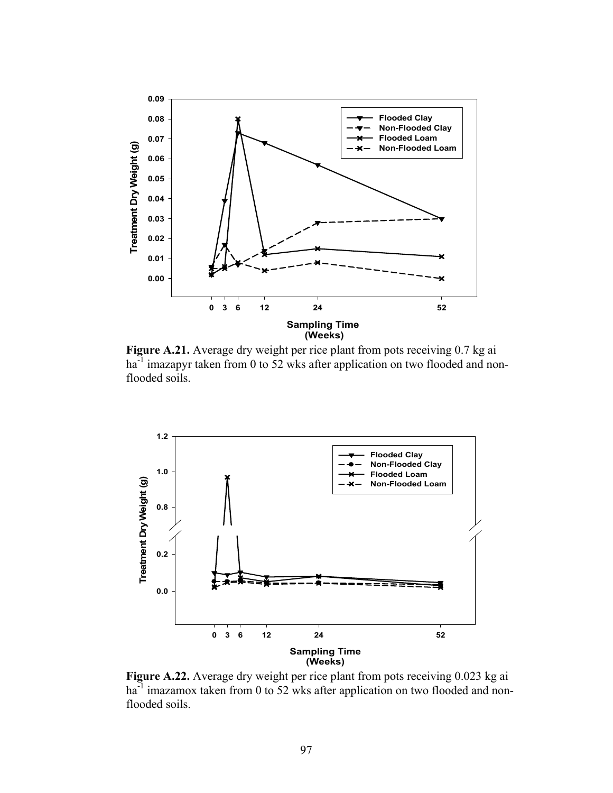

 **Figure A.21.** Average dry weight per rice plant from pots receiving 0.7 kg ai ha<sup>-1</sup> imazapyr taken from 0 to 52 wks after application on two flooded and nonflooded soils.



**Figure A.22.** Average dry weight per rice plant from pots receiving 0.023 kg ai  $ha<sup>-1</sup>$  imazamox taken from 0 to 52 wks after application on two flooded and nonflooded soils.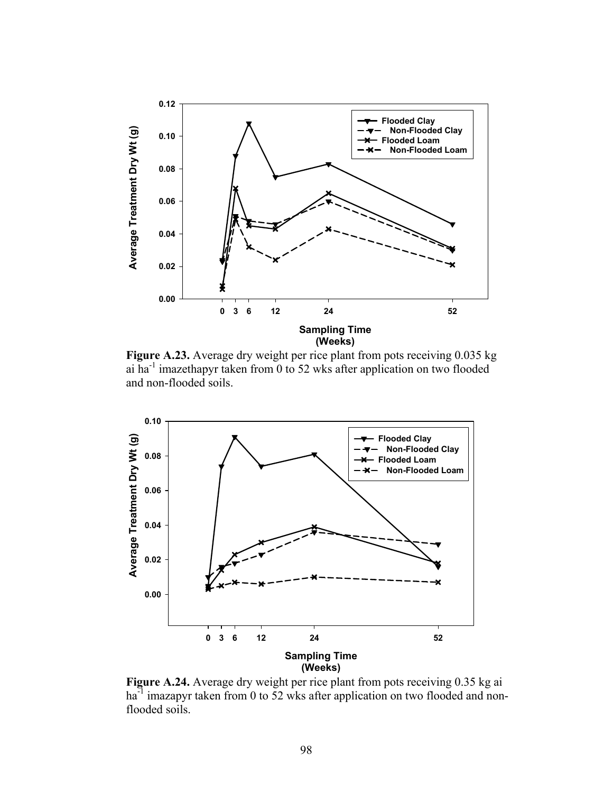

**Figure A.23.** Average dry weight per rice plant from pots receiving 0.035 kg ai ha-1 imazethapyr taken from 0 to 52 wks after application on two flooded and non-flooded soils.



 **Figure A.24.** Average dry weight per rice plant from pots receiving 0.35 kg ai ha<sup>-1</sup> imazapyr taken from 0 to 52 wks after application on two flooded and nonflooded soils.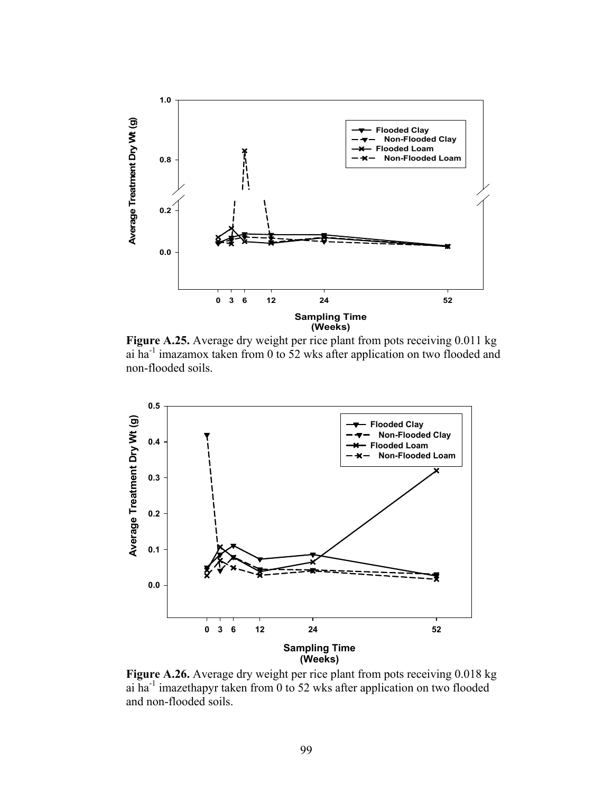

 **Figure A.25.** Average dry weight per rice plant from pots receiving 0.011 kg ai ha-1 imazamox taken from 0 to 52 wks after application on two flooded and non-flooded soils.



**Figure A.26.** Average dry weight per rice plant from pots receiving 0.018 kg ai ha-1 imazethapyr taken from 0 to 52 wks after application on two flooded and non-flooded soils.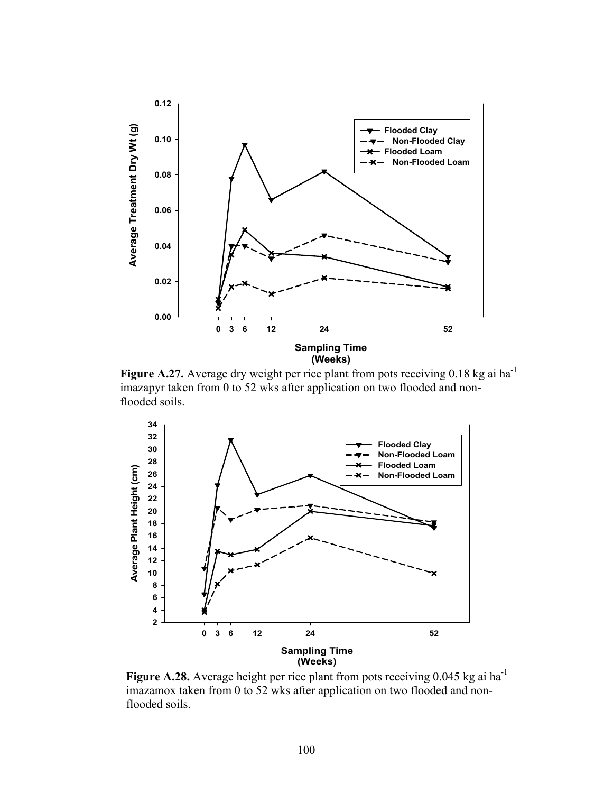

Figure A.27. Average dry weight per rice plant from pots receiving 0.18 kg ai ha<sup>-1</sup> imazapyr taken from 0 to 52 wks after application on two flooded and non flooded soils.



Figure A.28. Average height per rice plant from pots receiving 0.045 kg ai ha<sup>-1</sup> imazamox taken from 0 to 52 wks after application on two flooded and nonflooded soils.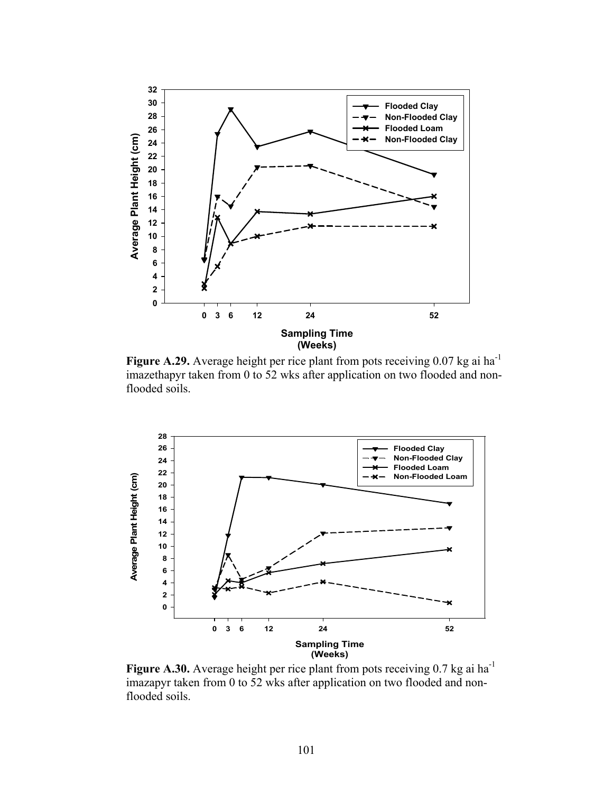

**Figure A.29.** Average height per rice plant from pots receiving 0.07 kg ai ha<sup>-1</sup> imazethapyr taken from 0 to 52 wks after application on two flooded and nonflooded soils.



Figure A.30. Average height per rice plant from pots receiving 0.7 kg ai ha<sup>-1</sup> imazapyr taken from 0 to 52 wks after application on two flooded and nonflooded soils.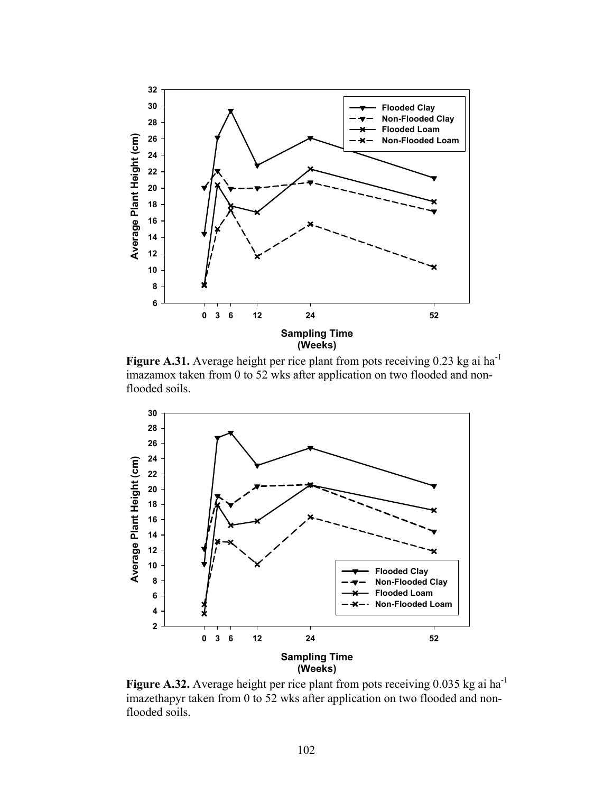

**Figure A.31.** Average height per rice plant from pots receiving 0.23 kg ai ha<sup>-1</sup> imazamox taken from 0 to 52 wks after application on two flooded and nonflooded soils.



Figure A.32. Average height per rice plant from pots receiving 0.035 kg ai ha<sup>-1</sup> imazethapyr taken from 0 to 52 wks after application on two flooded and non flooded soils.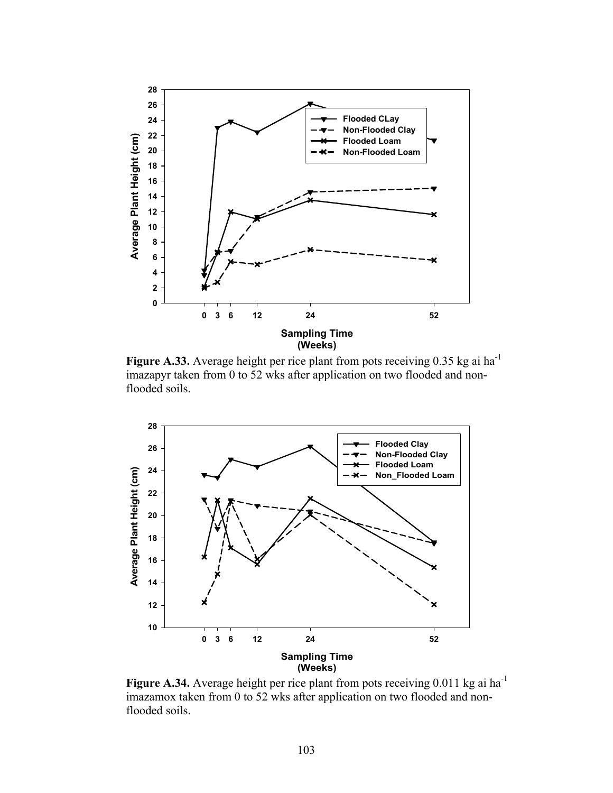

**Figure A.33.** Average height per rice plant from pots receiving  $0.35$  kg ai ha<sup>-1</sup> imazapyr taken from 0 to 52 wks after application on two flooded and nonflooded soils.



Figure A.34. Average height per rice plant from pots receiving 0.011 kg ai ha<sup>-1</sup> imazamox taken from 0 to 52 wks after application on two flooded and nonflooded soils.